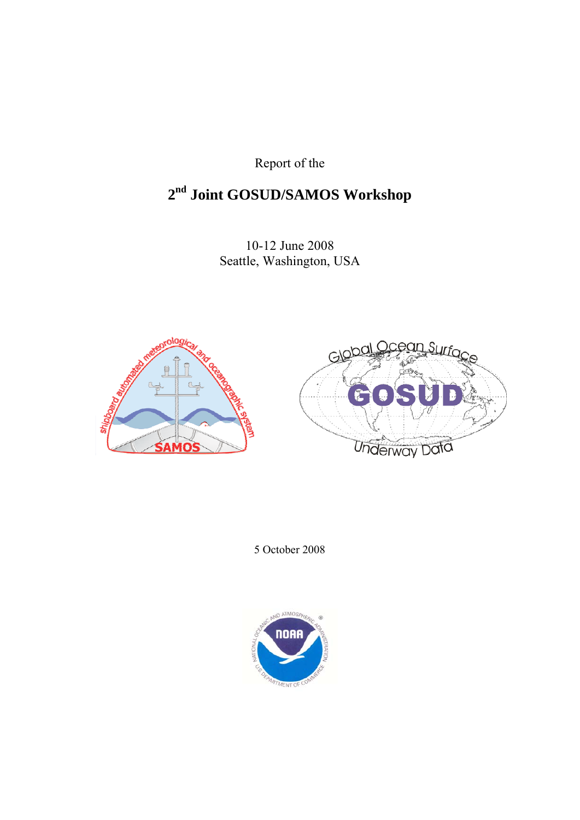Report of the

## **2nd Joint GOSUD/SAMOS Workshop**

10-12 June 2008 Seattle, Washington, USA





5 October 2008

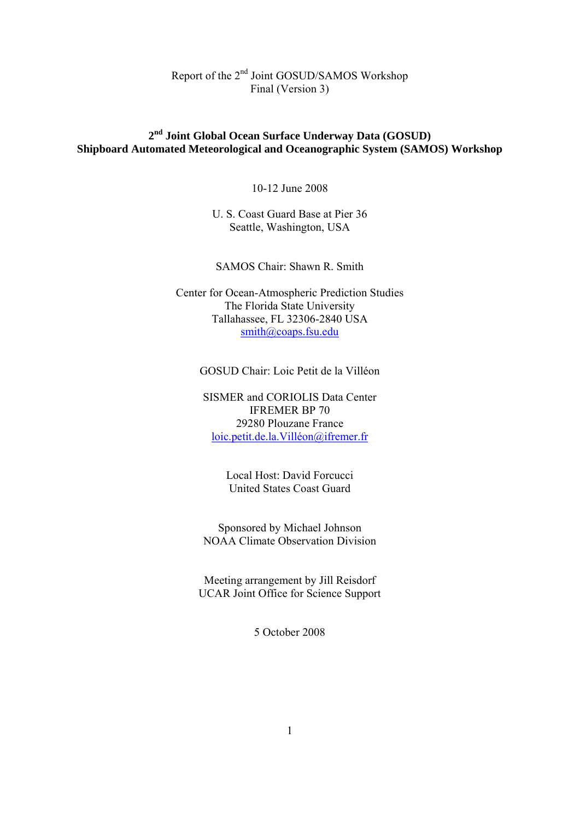## **2nd Joint Global Ocean Surface Underway Data (GOSUD) Shipboard Automated Meteorological and Oceanographic System (SAMOS) Workshop**

10-12 June 2008

U. S. Coast Guard Base at Pier 36 Seattle, Washington, USA

SAMOS Chair: Shawn R. Smith

Center for Ocean-Atmospheric Prediction Studies The Florida State University Tallahassee, FL 32306-2840 USA smith@coaps.fsu.edu

GOSUD Chair: Loic Petit de la Villéon

SISMER and CORIOLIS Data Center IFREMER BP 70 29280 Plouzane France loic.petit.de.la.Villéon@ifremer.fr

> Local Host: David Forcucci United States Coast Guard

Sponsored by Michael Johnson NOAA Climate Observation Division

Meeting arrangement by Jill Reisdorf UCAR Joint Office for Science Support

5 October 2008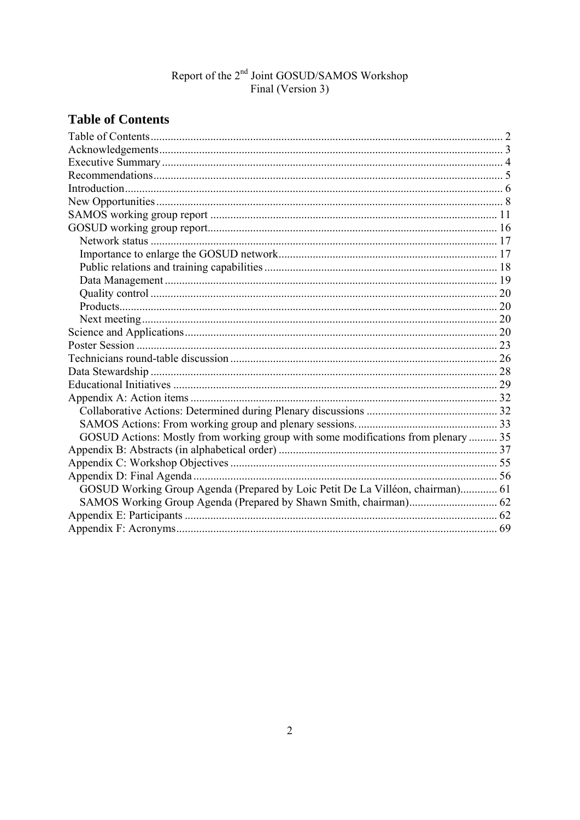## **Table of Contents**

| GOSUD Actions: Mostly from working group with some modifications from plenary  35 |  |
|-----------------------------------------------------------------------------------|--|
|                                                                                   |  |
|                                                                                   |  |
|                                                                                   |  |
| GOSUD Working Group Agenda (Prepared by Loic Petit De La Villéon, chairman) 61    |  |
|                                                                                   |  |
|                                                                                   |  |
|                                                                                   |  |
|                                                                                   |  |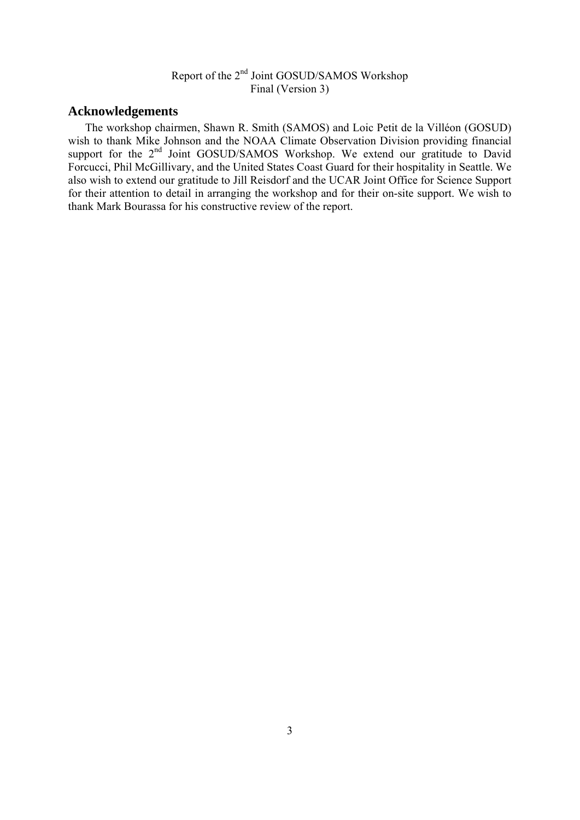## **Acknowledgements**

 The workshop chairmen, Shawn R. Smith (SAMOS) and Loic Petit de la Villéon (GOSUD) wish to thank Mike Johnson and the NOAA Climate Observation Division providing financial support for the 2<sup>nd</sup> Joint GOSUD/SAMOS Workshop. We extend our gratitude to David Forcucci, Phil McGillivary, and the United States Coast Guard for their hospitality in Seattle. We also wish to extend our gratitude to Jill Reisdorf and the UCAR Joint Office for Science Support for their attention to detail in arranging the workshop and for their on-site support. We wish to thank Mark Bourassa for his constructive review of the report.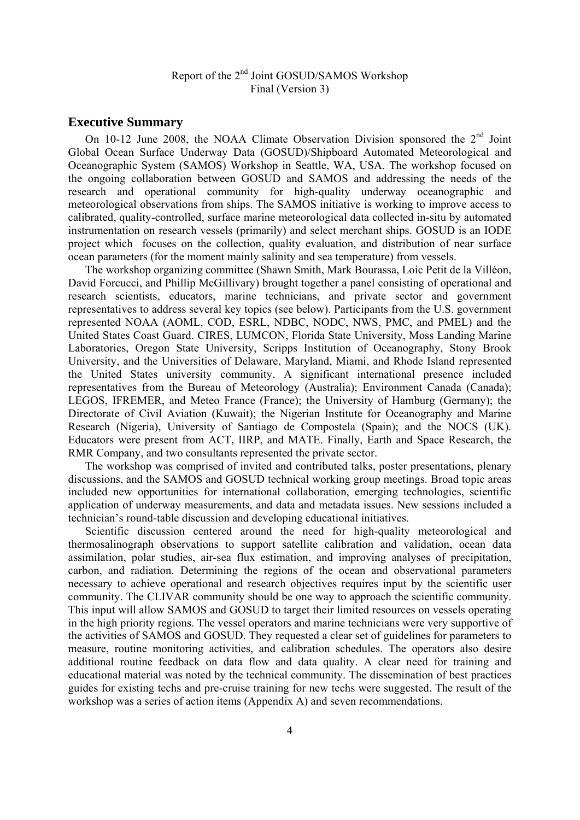#### **Executive Summary**

On 10-12 June 2008, the NOAA Climate Observation Division sponsored the  $2<sup>nd</sup>$  Joint Global Ocean Surface Underway Data (GOSUD)/Shipboard Automated Meteorological and Oceanographic System (SAMOS) Workshop in Seattle, WA, USA. The workshop focused on the ongoing collaboration between GOSUD and SAMOS and addressing the needs of the research and operational community for high-quality underway oceanographic and meteorological observations from ships. The SAMOS initiative is working to improve access to calibrated, quality-controlled, surface marine meteorological data collected in-situ by automated instrumentation on research vessels (primarily) and select merchant ships. GOSUD is an IODE project which focuses on the collection, quality evaluation, and distribution of near surface ocean parameters (for the moment mainly salinity and sea temperature) from vessels.

 The workshop organizing committee (Shawn Smith, Mark Bourassa, Loic Petit de la Villéon, David Forcucci, and Phillip McGillivary) brought together a panel consisting of operational and research scientists, educators, marine technicians, and private sector and government representatives to address several key topics (see below). Participants from the U.S. government represented NOAA (AOML, COD, ESRL, NDBC, NODC, NWS, PMC, and PMEL) and the United States Coast Guard. CIRES, LUMCON, Florida State University, Moss Landing Marine Laboratories, Oregon State University, Scripps Institution of Oceanography, Stony Brook University, and the Universities of Delaware, Maryland, Miami, and Rhode Island represented the United States university community. A significant international presence included representatives from the Bureau of Meteorology (Australia); Environment Canada (Canada); LEGOS, IFREMER, and Meteo France (France); the University of Hamburg (Germany); the Directorate of Civil Aviation (Kuwait); the Nigerian Institute for Oceanography and Marine Research (Nigeria), University of Santiago de Compostela (Spain); and the NOCS (UK). Educators were present from ACT, IIRP, and MATE. Finally, Earth and Space Research, the RMR Company, and two consultants represented the private sector.

 The workshop was comprised of invited and contributed talks, poster presentations, plenary discussions, and the SAMOS and GOSUD technical working group meetings. Broad topic areas included new opportunities for international collaboration, emerging technologies, scientific application of underway measurements, and data and metadata issues. New sessions included a technician's round-table discussion and developing educational initiatives.

 Scientific discussion centered around the need for high-quality meteorological and thermosalinograph observations to support satellite calibration and validation, ocean data assimilation, polar studies, air-sea flux estimation, and improving analyses of precipitation, carbon, and radiation. Determining the regions of the ocean and observational parameters necessary to achieve operational and research objectives requires input by the scientific user community. The CLIVAR community should be one way to approach the scientific community. This input will allow SAMOS and GOSUD to target their limited resources on vessels operating in the high priority regions. The vessel operators and marine technicians were very supportive of the activities of SAMOS and GOSUD. They requested a clear set of guidelines for parameters to measure, routine monitoring activities, and calibration schedules. The operators also desire additional routine feedback on data flow and data quality. A clear need for training and educational material was noted by the technical community. The dissemination of best practices guides for existing techs and pre-cruise training for new techs were suggested. The result of the workshop was a series of action items (Appendix A) and seven recommendations.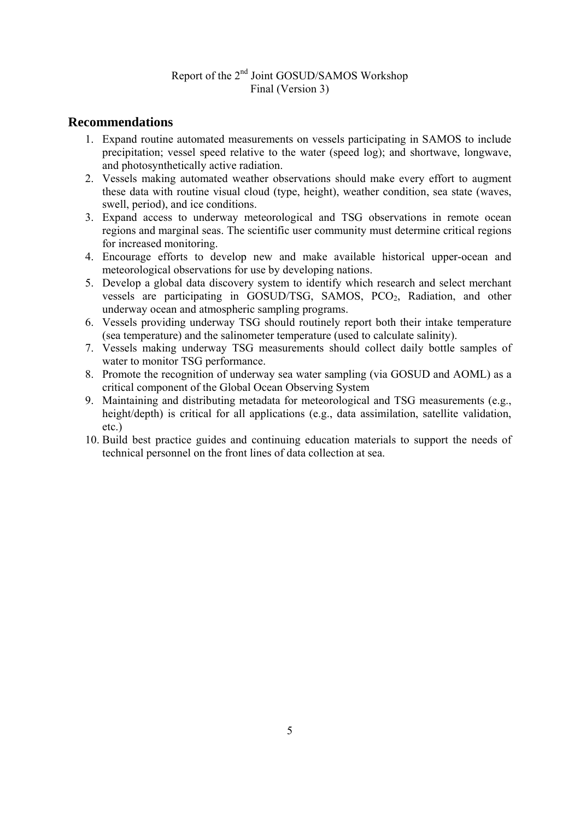## **Recommendations**

- 1. Expand routine automated measurements on vessels participating in SAMOS to include precipitation; vessel speed relative to the water (speed log); and shortwave, longwave, and photosynthetically active radiation.
- 2. Vessels making automated weather observations should make every effort to augment these data with routine visual cloud (type, height), weather condition, sea state (waves, swell, period), and ice conditions.
- 3. Expand access to underway meteorological and TSG observations in remote ocean regions and marginal seas. The scientific user community must determine critical regions for increased monitoring.
- 4. Encourage efforts to develop new and make available historical upper-ocean and meteorological observations for use by developing nations.
- 5. Develop a global data discovery system to identify which research and select merchant vessels are participating in GOSUD/TSG, SAMOS,  $PCO<sub>2</sub>$ , Radiation, and other underway ocean and atmospheric sampling programs.
- 6. Vessels providing underway TSG should routinely report both their intake temperature (sea temperature) and the salinometer temperature (used to calculate salinity).
- 7. Vessels making underway TSG measurements should collect daily bottle samples of water to monitor TSG performance.
- 8. Promote the recognition of underway sea water sampling (via GOSUD and AOML) as a critical component of the Global Ocean Observing System
- 9. Maintaining and distributing metadata for meteorological and TSG measurements (e.g., height/depth) is critical for all applications (e.g., data assimilation, satellite validation, etc.)
- 10. Build best practice guides and continuing education materials to support the needs of technical personnel on the front lines of data collection at sea.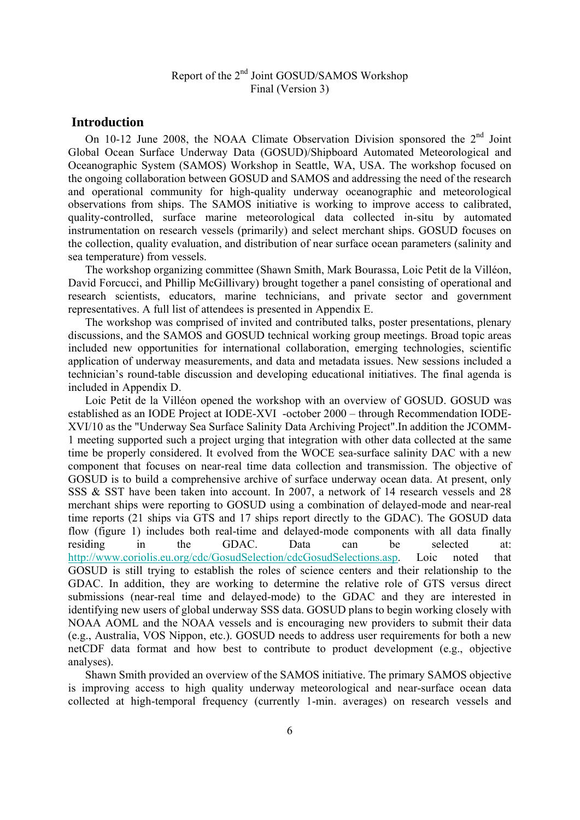#### **Introduction**

On 10-12 June 2008, the NOAA Climate Observation Division sponsored the  $2<sup>nd</sup>$  Joint Global Ocean Surface Underway Data (GOSUD)/Shipboard Automated Meteorological and Oceanographic System (SAMOS) Workshop in Seattle, WA, USA. The workshop focused on the ongoing collaboration between GOSUD and SAMOS and addressing the need of the research and operational community for high-quality underway oceanographic and meteorological observations from ships. The SAMOS initiative is working to improve access to calibrated, quality-controlled, surface marine meteorological data collected in-situ by automated instrumentation on research vessels (primarily) and select merchant ships. GOSUD focuses on the collection, quality evaluation, and distribution of near surface ocean parameters (salinity and sea temperature) from vessels.

 The workshop organizing committee (Shawn Smith, Mark Bourassa, Loic Petit de la Villéon, David Forcucci, and Phillip McGillivary) brought together a panel consisting of operational and research scientists, educators, marine technicians, and private sector and government representatives. A full list of attendees is presented in Appendix E.

 The workshop was comprised of invited and contributed talks, poster presentations, plenary discussions, and the SAMOS and GOSUD technical working group meetings. Broad topic areas included new opportunities for international collaboration, emerging technologies, scientific application of underway measurements, and data and metadata issues. New sessions included a technician's round-table discussion and developing educational initiatives. The final agenda is included in Appendix D.

 Loic Petit de la Villéon opened the workshop with an overview of GOSUD. GOSUD was established as an IODE Project at IODE-XVI -october 2000 – through Recommendation IODE-XVI/10 as the "Underway Sea Surface Salinity Data Archiving Project".In addition the JCOMM-1 meeting supported such a project urging that integration with other data collected at the same time be properly considered. It evolved from the WOCE sea-surface salinity DAC with a new component that focuses on near-real time data collection and transmission. The objective of GOSUD is to build a comprehensive archive of surface underway ocean data. At present, only SSS & SST have been taken into account. In 2007, a network of 14 research vessels and 28 merchant ships were reporting to GOSUD using a combination of delayed-mode and near-real time reports (21 ships via GTS and 17 ships report directly to the GDAC). The GOSUD data flow (figure 1) includes both real-time and delayed-mode components with all data finally residing in the GDAC. Data can be selected at: http://www.coriolis.eu.org/cdc/GosudSelection/cdcGosudSelections.asp. Loic noted that GOSUD is still trying to establish the roles of science centers and their relationship to the GDAC. In addition, they are working to determine the relative role of GTS versus direct submissions (near-real time and delayed-mode) to the GDAC and they are interested in identifying new users of global underway SSS data. GOSUD plans to begin working closely with NOAA AOML and the NOAA vessels and is encouraging new providers to submit their data (e.g., Australia, VOS Nippon, etc.). GOSUD needs to address user requirements for both a new netCDF data format and how best to contribute to product development (e.g., objective analyses).

 Shawn Smith provided an overview of the SAMOS initiative. The primary SAMOS objective is improving access to high quality underway meteorological and near-surface ocean data collected at high-temporal frequency (currently 1-min. averages) on research vessels and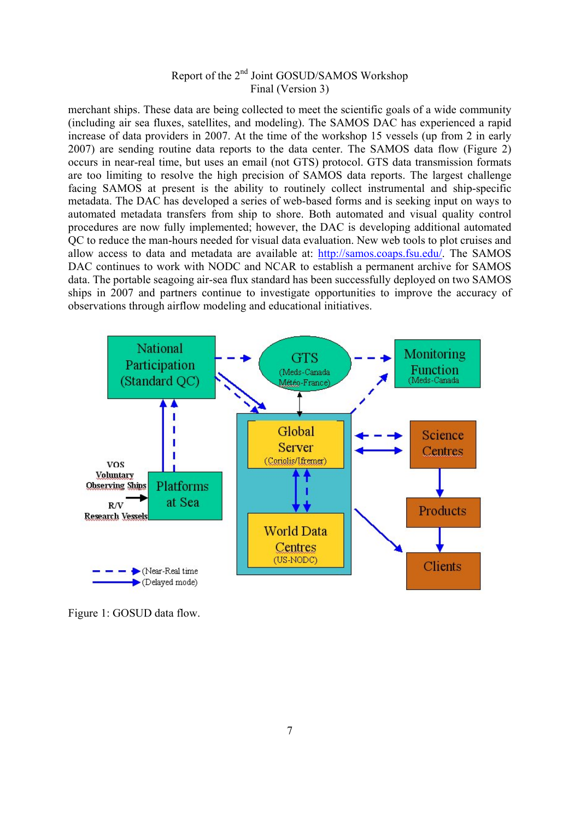merchant ships. These data are being collected to meet the scientific goals of a wide community (including air sea fluxes, satellites, and modeling). The SAMOS DAC has experienced a rapid increase of data providers in 2007. At the time of the workshop 15 vessels (up from 2 in early 2007) are sending routine data reports to the data center. The SAMOS data flow (Figure 2) occurs in near-real time, but uses an email (not GTS) protocol. GTS data transmission formats are too limiting to resolve the high precision of SAMOS data reports. The largest challenge facing SAMOS at present is the ability to routinely collect instrumental and ship-specific metadata. The DAC has developed a series of web-based forms and is seeking input on ways to automated metadata transfers from ship to shore. Both automated and visual quality control procedures are now fully implemented; however, the DAC is developing additional automated QC to reduce the man-hours needed for visual data evaluation. New web tools to plot cruises and allow access to data and metadata are available at: http://samos.coaps.fsu.edu/. The SAMOS DAC continues to work with NODC and NCAR to establish a permanent archive for SAMOS data. The portable seagoing air-sea flux standard has been successfully deployed on two SAMOS ships in 2007 and partners continue to investigate opportunities to improve the accuracy of observations through airflow modeling and educational initiatives.



Figure 1: GOSUD data flow.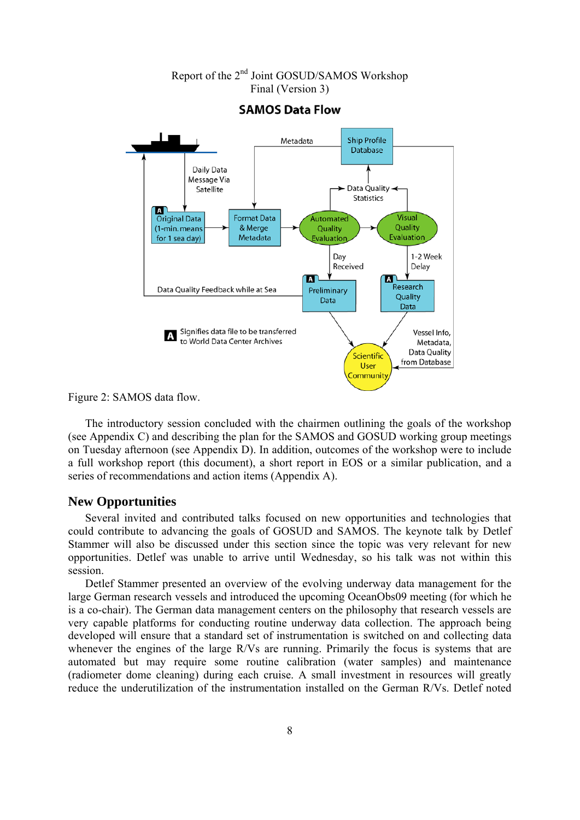

## Final (Version 3) **SAMOS Data Flow**

Report of the 2nd Joint GOSUD/SAMOS Workshop

Figure 2: SAMOS data flow.

 The introductory session concluded with the chairmen outlining the goals of the workshop (see Appendix C) and describing the plan for the SAMOS and GOSUD working group meetings on Tuesday afternoon (see Appendix D). In addition, outcomes of the workshop were to include a full workshop report (this document), a short report in EOS or a similar publication, and a series of recommendations and action items (Appendix A).

#### **New Opportunities**

 Several invited and contributed talks focused on new opportunities and technologies that could contribute to advancing the goals of GOSUD and SAMOS. The keynote talk by Detlef Stammer will also be discussed under this section since the topic was very relevant for new opportunities. Detlef was unable to arrive until Wednesday, so his talk was not within this session.

 Detlef Stammer presented an overview of the evolving underway data management for the large German research vessels and introduced the upcoming OceanObs09 meeting (for which he is a co-chair). The German data management centers on the philosophy that research vessels are very capable platforms for conducting routine underway data collection. The approach being developed will ensure that a standard set of instrumentation is switched on and collecting data whenever the engines of the large R/Vs are running. Primarily the focus is systems that are automated but may require some routine calibration (water samples) and maintenance (radiometer dome cleaning) during each cruise. A small investment in resources will greatly reduce the underutilization of the instrumentation installed on the German R/Vs. Detlef noted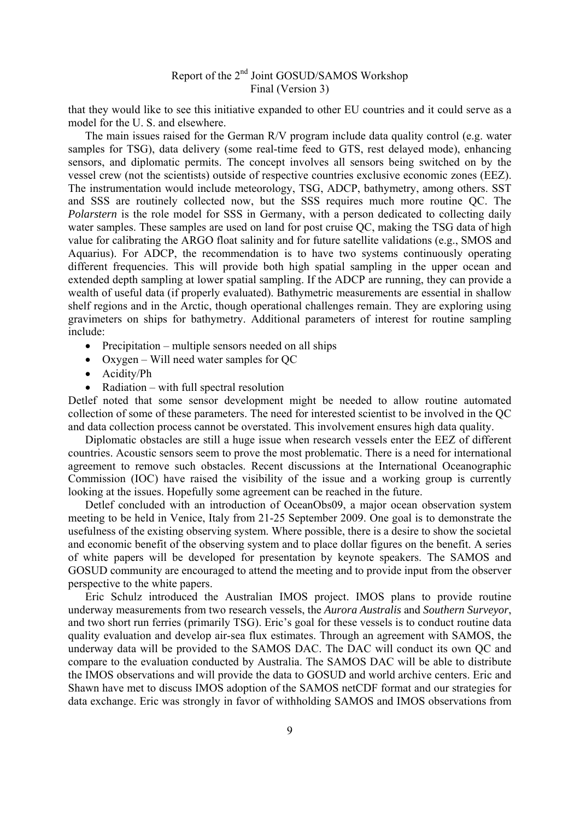that they would like to see this initiative expanded to other EU countries and it could serve as a model for the U. S. and elsewhere.

 The main issues raised for the German R/V program include data quality control (e.g. water samples for TSG), data delivery (some real-time feed to GTS, rest delayed mode), enhancing sensors, and diplomatic permits. The concept involves all sensors being switched on by the vessel crew (not the scientists) outside of respective countries exclusive economic zones (EEZ). The instrumentation would include meteorology, TSG, ADCP, bathymetry, among others. SST and SSS are routinely collected now, but the SSS requires much more routine QC. The *Polarstern* is the role model for SSS in Germany, with a person dedicated to collecting daily water samples. These samples are used on land for post cruise QC, making the TSG data of high value for calibrating the ARGO float salinity and for future satellite validations (e.g., SMOS and Aquarius). For ADCP, the recommendation is to have two systems continuously operating different frequencies. This will provide both high spatial sampling in the upper ocean and extended depth sampling at lower spatial sampling. If the ADCP are running, they can provide a wealth of useful data (if properly evaluated). Bathymetric measurements are essential in shallow shelf regions and in the Arctic, though operational challenges remain. They are exploring using gravimeters on ships for bathymetry. Additional parameters of interest for routine sampling include:

- Precipitation multiple sensors needed on all ships
- Oxygen Will need water samples for QC
- Acidity/Ph
- Radiation with full spectral resolution

Detlef noted that some sensor development might be needed to allow routine automated collection of some of these parameters. The need for interested scientist to be involved in the QC and data collection process cannot be overstated. This involvement ensures high data quality.

 Diplomatic obstacles are still a huge issue when research vessels enter the EEZ of different countries. Acoustic sensors seem to prove the most problematic. There is a need for international agreement to remove such obstacles. Recent discussions at the International Oceanographic Commission (IOC) have raised the visibility of the issue and a working group is currently looking at the issues. Hopefully some agreement can be reached in the future.

 Detlef concluded with an introduction of OceanObs09, a major ocean observation system meeting to be held in Venice, Italy from 21-25 September 2009. One goal is to demonstrate the usefulness of the existing observing system. Where possible, there is a desire to show the societal and economic benefit of the observing system and to place dollar figures on the benefit. A series of white papers will be developed for presentation by keynote speakers. The SAMOS and GOSUD community are encouraged to attend the meeting and to provide input from the observer perspective to the white papers.

 Eric Schulz introduced the Australian IMOS project. IMOS plans to provide routine underway measurements from two research vessels, the *Aurora Australis* and *Southern Surveyor*, and two short run ferries (primarily TSG). Eric's goal for these vessels is to conduct routine data quality evaluation and develop air-sea flux estimates. Through an agreement with SAMOS, the underway data will be provided to the SAMOS DAC. The DAC will conduct its own QC and compare to the evaluation conducted by Australia. The SAMOS DAC will be able to distribute the IMOS observations and will provide the data to GOSUD and world archive centers. Eric and Shawn have met to discuss IMOS adoption of the SAMOS netCDF format and our strategies for data exchange. Eric was strongly in favor of withholding SAMOS and IMOS observations from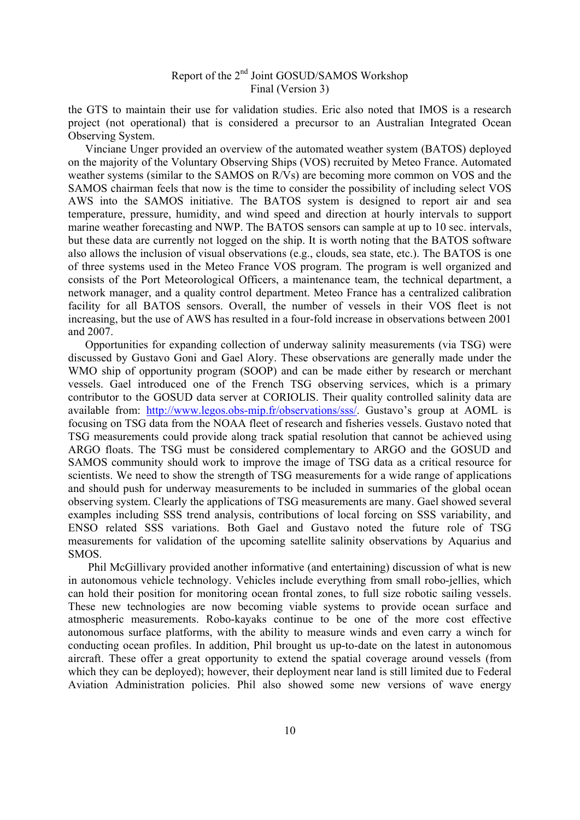the GTS to maintain their use for validation studies. Eric also noted that IMOS is a research project (not operational) that is considered a precursor to an Australian Integrated Ocean Observing System.

 Vinciane Unger provided an overview of the automated weather system (BATOS) deployed on the majority of the Voluntary Observing Ships (VOS) recruited by Meteo France. Automated weather systems (similar to the SAMOS on R/Vs) are becoming more common on VOS and the SAMOS chairman feels that now is the time to consider the possibility of including select VOS AWS into the SAMOS initiative. The BATOS system is designed to report air and sea temperature, pressure, humidity, and wind speed and direction at hourly intervals to support marine weather forecasting and NWP. The BATOS sensors can sample at up to 10 sec. intervals, but these data are currently not logged on the ship. It is worth noting that the BATOS software also allows the inclusion of visual observations (e.g., clouds, sea state, etc.). The BATOS is one of three systems used in the Meteo France VOS program. The program is well organized and consists of the Port Meteorological Officers, a maintenance team, the technical department, a network manager, and a quality control department. Meteo France has a centralized calibration facility for all BATOS sensors. Overall, the number of vessels in their VOS fleet is not increasing, but the use of AWS has resulted in a four-fold increase in observations between 2001 and 2007.

 Opportunities for expanding collection of underway salinity measurements (via TSG) were discussed by Gustavo Goni and Gael Alory. These observations are generally made under the WMO ship of opportunity program (SOOP) and can be made either by research or merchant vessels. Gael introduced one of the French TSG observing services, which is a primary contributor to the GOSUD data server at CORIOLIS. Their quality controlled salinity data are available from: http://www.legos.obs-mip.fr/observations/sss/. Gustavo's group at AOML is focusing on TSG data from the NOAA fleet of research and fisheries vessels. Gustavo noted that TSG measurements could provide along track spatial resolution that cannot be achieved using ARGO floats. The TSG must be considered complementary to ARGO and the GOSUD and SAMOS community should work to improve the image of TSG data as a critical resource for scientists. We need to show the strength of TSG measurements for a wide range of applications and should push for underway measurements to be included in summaries of the global ocean observing system. Clearly the applications of TSG measurements are many. Gael showed several examples including SSS trend analysis, contributions of local forcing on SSS variability, and ENSO related SSS variations. Both Gael and Gustavo noted the future role of TSG measurements for validation of the upcoming satellite salinity observations by Aquarius and SMOS.

 Phil McGillivary provided another informative (and entertaining) discussion of what is new in autonomous vehicle technology. Vehicles include everything from small robo-jellies, which can hold their position for monitoring ocean frontal zones, to full size robotic sailing vessels. These new technologies are now becoming viable systems to provide ocean surface and atmospheric measurements. Robo-kayaks continue to be one of the more cost effective autonomous surface platforms, with the ability to measure winds and even carry a winch for conducting ocean profiles. In addition, Phil brought us up-to-date on the latest in autonomous aircraft. These offer a great opportunity to extend the spatial coverage around vessels (from which they can be deployed); however, their deployment near land is still limited due to Federal Aviation Administration policies. Phil also showed some new versions of wave energy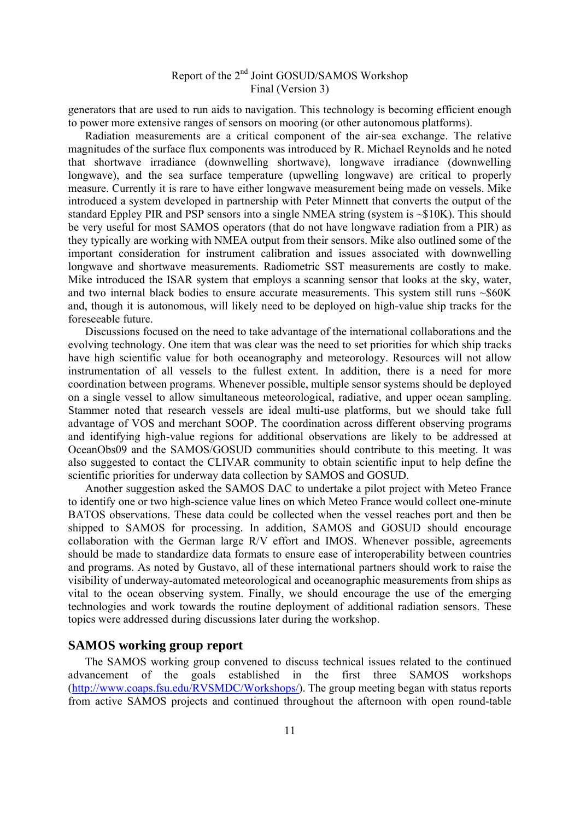generators that are used to run aids to navigation. This technology is becoming efficient enough to power more extensive ranges of sensors on mooring (or other autonomous platforms).

 Radiation measurements are a critical component of the air-sea exchange. The relative magnitudes of the surface flux components was introduced by R. Michael Reynolds and he noted that shortwave irradiance (downwelling shortwave), longwave irradiance (downwelling longwave), and the sea surface temperature (upwelling longwave) are critical to properly measure. Currently it is rare to have either longwave measurement being made on vessels. Mike introduced a system developed in partnership with Peter Minnett that converts the output of the standard Eppley PIR and PSP sensors into a single NMEA string (system is ~\$10K). This should be very useful for most SAMOS operators (that do not have longwave radiation from a PIR) as they typically are working with NMEA output from their sensors. Mike also outlined some of the important consideration for instrument calibration and issues associated with downwelling longwave and shortwave measurements. Radiometric SST measurements are costly to make. Mike introduced the ISAR system that employs a scanning sensor that looks at the sky, water, and two internal black bodies to ensure accurate measurements. This system still runs  $\sim$ \$60K and, though it is autonomous, will likely need to be deployed on high-value ship tracks for the foreseeable future.

 Discussions focused on the need to take advantage of the international collaborations and the evolving technology. One item that was clear was the need to set priorities for which ship tracks have high scientific value for both oceanography and meteorology. Resources will not allow instrumentation of all vessels to the fullest extent. In addition, there is a need for more coordination between programs. Whenever possible, multiple sensor systems should be deployed on a single vessel to allow simultaneous meteorological, radiative, and upper ocean sampling. Stammer noted that research vessels are ideal multi-use platforms, but we should take full advantage of VOS and merchant SOOP. The coordination across different observing programs and identifying high-value regions for additional observations are likely to be addressed at OceanObs09 and the SAMOS/GOSUD communities should contribute to this meeting. It was also suggested to contact the CLIVAR community to obtain scientific input to help define the scientific priorities for underway data collection by SAMOS and GOSUD.

 Another suggestion asked the SAMOS DAC to undertake a pilot project with Meteo France to identify one or two high-science value lines on which Meteo France would collect one-minute BATOS observations. These data could be collected when the vessel reaches port and then be shipped to SAMOS for processing. In addition, SAMOS and GOSUD should encourage collaboration with the German large R/V effort and IMOS. Whenever possible, agreements should be made to standardize data formats to ensure ease of interoperability between countries and programs. As noted by Gustavo, all of these international partners should work to raise the visibility of underway-automated meteorological and oceanographic measurements from ships as vital to the ocean observing system. Finally, we should encourage the use of the emerging technologies and work towards the routine deployment of additional radiation sensors. These topics were addressed during discussions later during the workshop.

#### **SAMOS working group report**

 The SAMOS working group convened to discuss technical issues related to the continued advancement of the goals established in the first three SAMOS workshops (http://www.coaps.fsu.edu/RVSMDC/Workshops/). The group meeting began with status reports from active SAMOS projects and continued throughout the afternoon with open round-table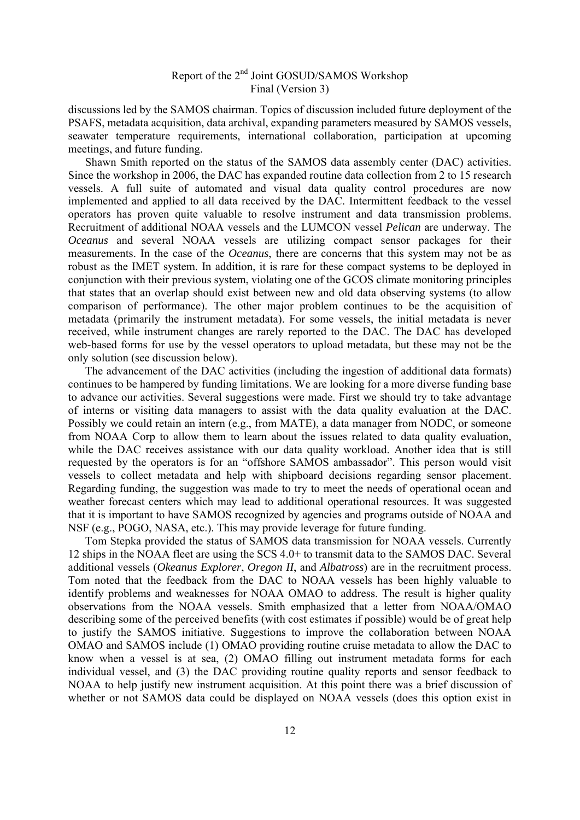discussions led by the SAMOS chairman. Topics of discussion included future deployment of the PSAFS, metadata acquisition, data archival, expanding parameters measured by SAMOS vessels, seawater temperature requirements, international collaboration, participation at upcoming meetings, and future funding.

 Shawn Smith reported on the status of the SAMOS data assembly center (DAC) activities. Since the workshop in 2006, the DAC has expanded routine data collection from 2 to 15 research vessels. A full suite of automated and visual data quality control procedures are now implemented and applied to all data received by the DAC. Intermittent feedback to the vessel operators has proven quite valuable to resolve instrument and data transmission problems. Recruitment of additional NOAA vessels and the LUMCON vessel *Pelican* are underway. The *Oceanus* and several NOAA vessels are utilizing compact sensor packages for their measurements. In the case of the *Oceanus*, there are concerns that this system may not be as robust as the IMET system. In addition, it is rare for these compact systems to be deployed in conjunction with their previous system, violating one of the GCOS climate monitoring principles that states that an overlap should exist between new and old data observing systems (to allow comparison of performance). The other major problem continues to be the acquisition of metadata (primarily the instrument metadata). For some vessels, the initial metadata is never received, while instrument changes are rarely reported to the DAC. The DAC has developed web-based forms for use by the vessel operators to upload metadata, but these may not be the only solution (see discussion below).

 The advancement of the DAC activities (including the ingestion of additional data formats) continues to be hampered by funding limitations. We are looking for a more diverse funding base to advance our activities. Several suggestions were made. First we should try to take advantage of interns or visiting data managers to assist with the data quality evaluation at the DAC. Possibly we could retain an intern (e.g., from MATE), a data manager from NODC, or someone from NOAA Corp to allow them to learn about the issues related to data quality evaluation, while the DAC receives assistance with our data quality workload. Another idea that is still requested by the operators is for an "offshore SAMOS ambassador". This person would visit vessels to collect metadata and help with shipboard decisions regarding sensor placement. Regarding funding, the suggestion was made to try to meet the needs of operational ocean and weather forecast centers which may lead to additional operational resources. It was suggested that it is important to have SAMOS recognized by agencies and programs outside of NOAA and NSF (e.g., POGO, NASA, etc.). This may provide leverage for future funding.

 Tom Stepka provided the status of SAMOS data transmission for NOAA vessels. Currently 12 ships in the NOAA fleet are using the SCS 4.0+ to transmit data to the SAMOS DAC. Several additional vessels (*Okeanus Explorer*, *Oregon II*, and *Albatross*) are in the recruitment process. Tom noted that the feedback from the DAC to NOAA vessels has been highly valuable to identify problems and weaknesses for NOAA OMAO to address. The result is higher quality observations from the NOAA vessels. Smith emphasized that a letter from NOAA/OMAO describing some of the perceived benefits (with cost estimates if possible) would be of great help to justify the SAMOS initiative. Suggestions to improve the collaboration between NOAA OMAO and SAMOS include (1) OMAO providing routine cruise metadata to allow the DAC to know when a vessel is at sea, (2) OMAO filling out instrument metadata forms for each individual vessel, and (3) the DAC providing routine quality reports and sensor feedback to NOAA to help justify new instrument acquisition. At this point there was a brief discussion of whether or not SAMOS data could be displayed on NOAA vessels (does this option exist in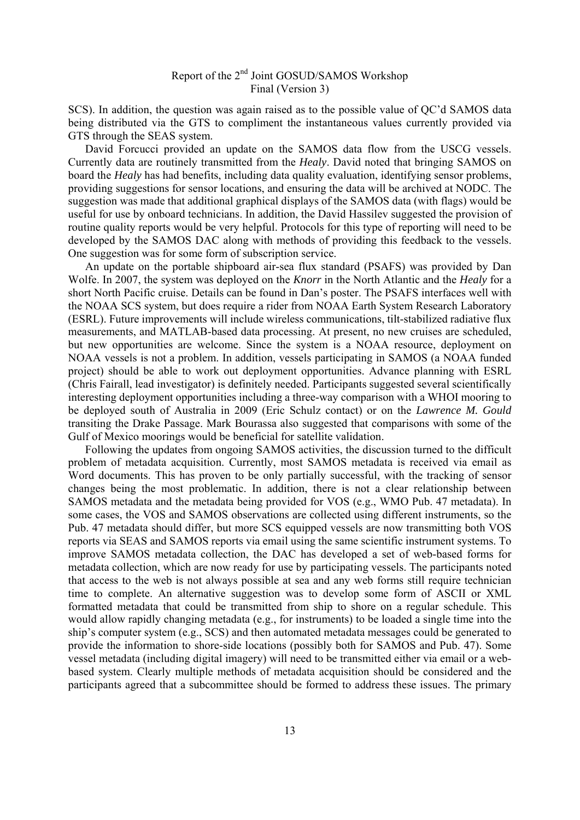SCS). In addition, the question was again raised as to the possible value of QC'd SAMOS data being distributed via the GTS to compliment the instantaneous values currently provided via GTS through the SEAS system.

 David Forcucci provided an update on the SAMOS data flow from the USCG vessels. Currently data are routinely transmitted from the *Healy*. David noted that bringing SAMOS on board the *Healy* has had benefits, including data quality evaluation, identifying sensor problems, providing suggestions for sensor locations, and ensuring the data will be archived at NODC. The suggestion was made that additional graphical displays of the SAMOS data (with flags) would be useful for use by onboard technicians. In addition, the David Hassilev suggested the provision of routine quality reports would be very helpful. Protocols for this type of reporting will need to be developed by the SAMOS DAC along with methods of providing this feedback to the vessels. One suggestion was for some form of subscription service.

 An update on the portable shipboard air-sea flux standard (PSAFS) was provided by Dan Wolfe. In 2007, the system was deployed on the *Knorr* in the North Atlantic and the *Healy* for a short North Pacific cruise. Details can be found in Dan's poster. The PSAFS interfaces well with the NOAA SCS system, but does require a rider from NOAA Earth System Research Laboratory (ESRL). Future improvements will include wireless communications, tilt-stabilized radiative flux measurements, and MATLAB-based data processing. At present, no new cruises are scheduled, but new opportunities are welcome. Since the system is a NOAA resource, deployment on NOAA vessels is not a problem. In addition, vessels participating in SAMOS (a NOAA funded project) should be able to work out deployment opportunities. Advance planning with ESRL (Chris Fairall, lead investigator) is definitely needed. Participants suggested several scientifically interesting deployment opportunities including a three-way comparison with a WHOI mooring to be deployed south of Australia in 2009 (Eric Schulz contact) or on the *Lawrence M. Gould* transiting the Drake Passage. Mark Bourassa also suggested that comparisons with some of the Gulf of Mexico moorings would be beneficial for satellite validation.

 Following the updates from ongoing SAMOS activities, the discussion turned to the difficult problem of metadata acquisition. Currently, most SAMOS metadata is received via email as Word documents. This has proven to be only partially successful, with the tracking of sensor changes being the most problematic. In addition, there is not a clear relationship between SAMOS metadata and the metadata being provided for VOS (e.g., WMO Pub. 47 metadata). In some cases, the VOS and SAMOS observations are collected using different instruments, so the Pub. 47 metadata should differ, but more SCS equipped vessels are now transmitting both VOS reports via SEAS and SAMOS reports via email using the same scientific instrument systems. To improve SAMOS metadata collection, the DAC has developed a set of web-based forms for metadata collection, which are now ready for use by participating vessels. The participants noted that access to the web is not always possible at sea and any web forms still require technician time to complete. An alternative suggestion was to develop some form of ASCII or XML formatted metadata that could be transmitted from ship to shore on a regular schedule. This would allow rapidly changing metadata (e.g., for instruments) to be loaded a single time into the ship's computer system (e.g., SCS) and then automated metadata messages could be generated to provide the information to shore-side locations (possibly both for SAMOS and Pub. 47). Some vessel metadata (including digital imagery) will need to be transmitted either via email or a webbased system. Clearly multiple methods of metadata acquisition should be considered and the participants agreed that a subcommittee should be formed to address these issues. The primary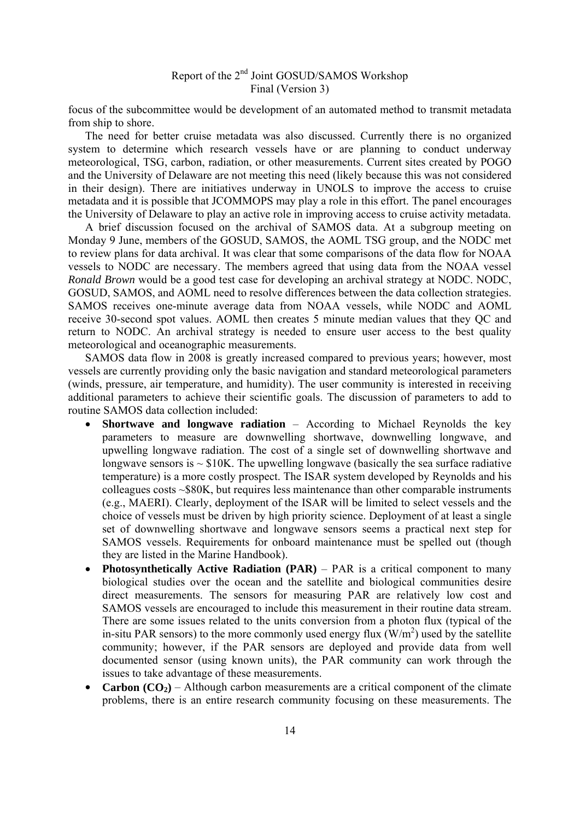focus of the subcommittee would be development of an automated method to transmit metadata from ship to shore.

 The need for better cruise metadata was also discussed. Currently there is no organized system to determine which research vessels have or are planning to conduct underway meteorological, TSG, carbon, radiation, or other measurements. Current sites created by POGO and the University of Delaware are not meeting this need (likely because this was not considered in their design). There are initiatives underway in UNOLS to improve the access to cruise metadata and it is possible that JCOMMOPS may play a role in this effort. The panel encourages the University of Delaware to play an active role in improving access to cruise activity metadata.

 A brief discussion focused on the archival of SAMOS data. At a subgroup meeting on Monday 9 June, members of the GOSUD, SAMOS, the AOML TSG group, and the NODC met to review plans for data archival. It was clear that some comparisons of the data flow for NOAA vessels to NODC are necessary. The members agreed that using data from the NOAA vessel *Ronald Brown* would be a good test case for developing an archival strategy at NODC. NODC, GOSUD, SAMOS, and AOML need to resolve differences between the data collection strategies. SAMOS receives one-minute average data from NOAA vessels, while NODC and AOML receive 30-second spot values. AOML then creates 5 minute median values that they QC and return to NODC. An archival strategy is needed to ensure user access to the best quality meteorological and oceanographic measurements.

 SAMOS data flow in 2008 is greatly increased compared to previous years; however, most vessels are currently providing only the basic navigation and standard meteorological parameters (winds, pressure, air temperature, and humidity). The user community is interested in receiving additional parameters to achieve their scientific goals. The discussion of parameters to add to routine SAMOS data collection included:

- **Shortwave and longwave radiation** According to Michael Reynolds the key parameters to measure are downwelling shortwave, downwelling longwave, and upwelling longwave radiation. The cost of a single set of downwelling shortwave and longwave sensors is  $\sim$  \$10K. The upwelling longwave (basically the sea surface radiative temperature) is a more costly prospect. The ISAR system developed by Reynolds and his colleagues costs ~\$80K, but requires less maintenance than other comparable instruments (e.g., MAERI). Clearly, deployment of the ISAR will be limited to select vessels and the choice of vessels must be driven by high priority science. Deployment of at least a single set of downwelling shortwave and longwave sensors seems a practical next step for SAMOS vessels. Requirements for onboard maintenance must be spelled out (though they are listed in the Marine Handbook).
- **Photosynthetically Active Radiation (PAR)** PAR is a critical component to many biological studies over the ocean and the satellite and biological communities desire direct measurements. The sensors for measuring PAR are relatively low cost and SAMOS vessels are encouraged to include this measurement in their routine data stream. There are some issues related to the units conversion from a photon flux (typical of the in-situ PAR sensors) to the more commonly used energy flux  $(W/m<sup>2</sup>)$  used by the satellite community; however, if the PAR sensors are deployed and provide data from well documented sensor (using known units), the PAR community can work through the issues to take advantage of these measurements.
- **Carbon**  $(CO_2)$  Although carbon measurements are a critical component of the climate problems, there is an entire research community focusing on these measurements. The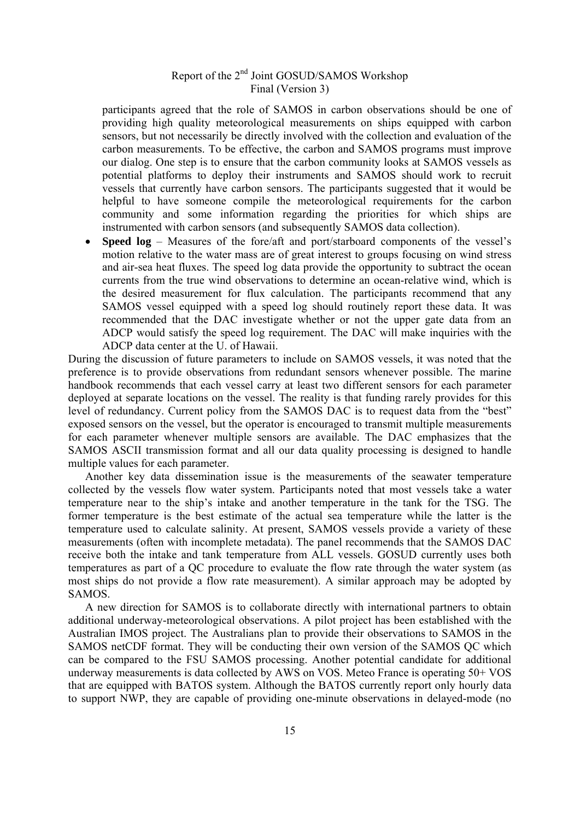participants agreed that the role of SAMOS in carbon observations should be one of providing high quality meteorological measurements on ships equipped with carbon sensors, but not necessarily be directly involved with the collection and evaluation of the carbon measurements. To be effective, the carbon and SAMOS programs must improve our dialog. One step is to ensure that the carbon community looks at SAMOS vessels as potential platforms to deploy their instruments and SAMOS should work to recruit vessels that currently have carbon sensors. The participants suggested that it would be helpful to have someone compile the meteorological requirements for the carbon community and some information regarding the priorities for which ships are instrumented with carbon sensors (and subsequently SAMOS data collection).

• **Speed log** – Measures of the fore/aft and port/starboard components of the vessel's motion relative to the water mass are of great interest to groups focusing on wind stress and air-sea heat fluxes. The speed log data provide the opportunity to subtract the ocean currents from the true wind observations to determine an ocean-relative wind, which is the desired measurement for flux calculation. The participants recommend that any SAMOS vessel equipped with a speed log should routinely report these data. It was recommended that the DAC investigate whether or not the upper gate data from an ADCP would satisfy the speed log requirement. The DAC will make inquiries with the ADCP data center at the U. of Hawaii.

During the discussion of future parameters to include on SAMOS vessels, it was noted that the preference is to provide observations from redundant sensors whenever possible. The marine handbook recommends that each vessel carry at least two different sensors for each parameter deployed at separate locations on the vessel. The reality is that funding rarely provides for this level of redundancy. Current policy from the SAMOS DAC is to request data from the "best" exposed sensors on the vessel, but the operator is encouraged to transmit multiple measurements for each parameter whenever multiple sensors are available. The DAC emphasizes that the SAMOS ASCII transmission format and all our data quality processing is designed to handle multiple values for each parameter.

 Another key data dissemination issue is the measurements of the seawater temperature collected by the vessels flow water system. Participants noted that most vessels take a water temperature near to the ship's intake and another temperature in the tank for the TSG. The former temperature is the best estimate of the actual sea temperature while the latter is the temperature used to calculate salinity. At present, SAMOS vessels provide a variety of these measurements (often with incomplete metadata). The panel recommends that the SAMOS DAC receive both the intake and tank temperature from ALL vessels. GOSUD currently uses both temperatures as part of a QC procedure to evaluate the flow rate through the water system (as most ships do not provide a flow rate measurement). A similar approach may be adopted by SAMOS.

 A new direction for SAMOS is to collaborate directly with international partners to obtain additional underway-meteorological observations. A pilot project has been established with the Australian IMOS project. The Australians plan to provide their observations to SAMOS in the SAMOS netCDF format. They will be conducting their own version of the SAMOS QC which can be compared to the FSU SAMOS processing. Another potential candidate for additional underway measurements is data collected by AWS on VOS. Meteo France is operating 50+ VOS that are equipped with BATOS system. Although the BATOS currently report only hourly data to support NWP, they are capable of providing one-minute observations in delayed-mode (no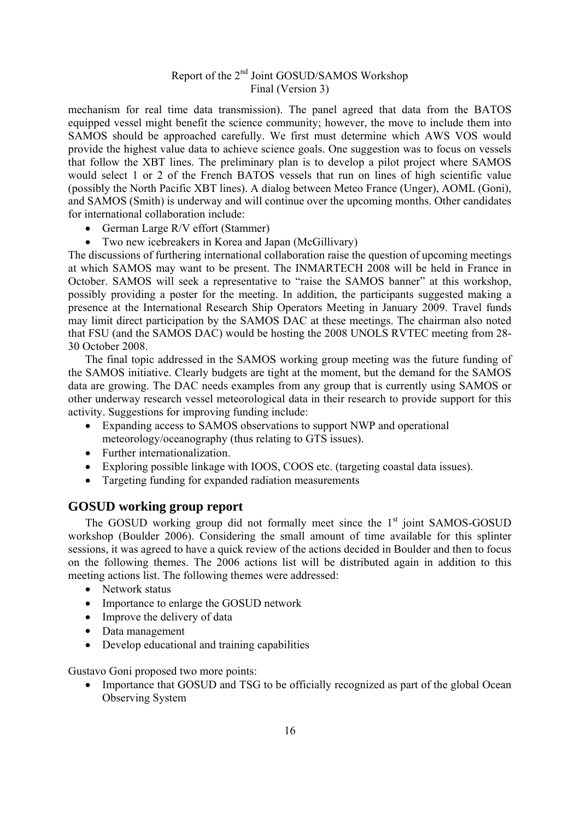mechanism for real time data transmission). The panel agreed that data from the BATOS equipped vessel might benefit the science community; however, the move to include them into SAMOS should be approached carefully. We first must determine which AWS VOS would provide the highest value data to achieve science goals. One suggestion was to focus on vessels that follow the XBT lines. The preliminary plan is to develop a pilot project where SAMOS would select 1 or 2 of the French BATOS vessels that run on lines of high scientific value (possibly the North Pacific XBT lines). A dialog between Meteo France (Unger), AOML (Goni), and SAMOS (Smith) is underway and will continue over the upcoming months. Other candidates for international collaboration include:

- German Large R/V effort (Stammer)
- Two new icebreakers in Korea and Japan (McGillivary)

The discussions of furthering international collaboration raise the question of upcoming meetings at which SAMOS may want to be present. The INMARTECH 2008 will be held in France in October. SAMOS will seek a representative to "raise the SAMOS banner" at this workshop, possibly providing a poster for the meeting. In addition, the participants suggested making a presence at the International Research Ship Operators Meeting in January 2009. Travel funds may limit direct participation by the SAMOS DAC at these meetings. The chairman also noted that FSU (and the SAMOS DAC) would be hosting the 2008 UNOLS RVTEC meeting from 28- 30 October 2008.

 The final topic addressed in the SAMOS working group meeting was the future funding of the SAMOS initiative. Clearly budgets are tight at the moment, but the demand for the SAMOS data are growing. The DAC needs examples from any group that is currently using SAMOS or other underway research vessel meteorological data in their research to provide support for this activity. Suggestions for improving funding include:

- Expanding access to SAMOS observations to support NWP and operational meteorology/oceanography (thus relating to GTS issues).
- Further internationalization.
- Exploring possible linkage with IOOS, COOS etc. (targeting coastal data issues).
- Targeting funding for expanded radiation measurements

#### **GOSUD working group report**

The GOSUD working group did not formally meet since the  $1<sup>st</sup>$  joint SAMOS-GOSUD workshop (Boulder 2006). Considering the small amount of time available for this splinter sessions, it was agreed to have a quick review of the actions decided in Boulder and then to focus on the following themes. The 2006 actions list will be distributed again in addition to this meeting actions list. The following themes were addressed:

- Network status
- Importance to enlarge the GOSUD network
- Improve the delivery of data
- Data management
- Develop educational and training capabilities

Gustavo Goni proposed two more points:

• Importance that GOSUD and TSG to be officially recognized as part of the global Ocean Observing System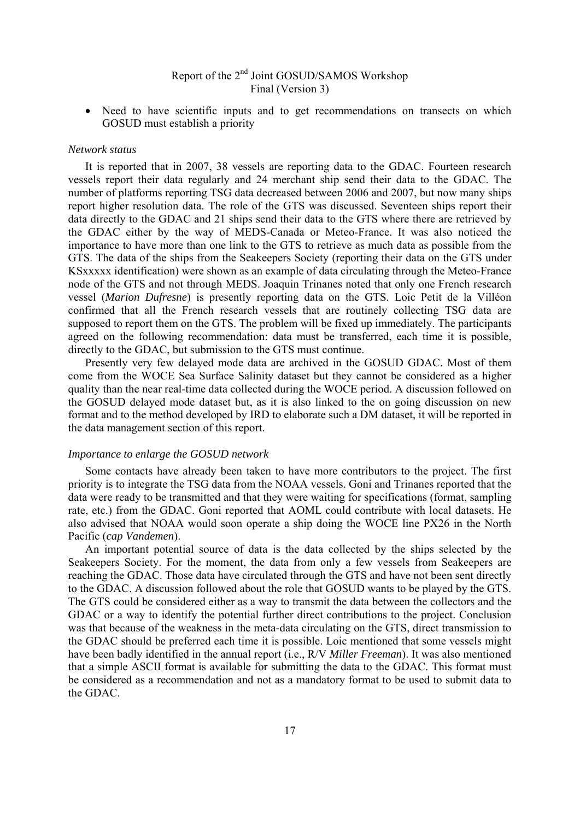• Need to have scientific inputs and to get recommendations on transects on which GOSUD must establish a priority

#### *Network status*

 It is reported that in 2007, 38 vessels are reporting data to the GDAC. Fourteen research vessels report their data regularly and 24 merchant ship send their data to the GDAC. The number of platforms reporting TSG data decreased between 2006 and 2007, but now many ships report higher resolution data. The role of the GTS was discussed. Seventeen ships report their data directly to the GDAC and 21 ships send their data to the GTS where there are retrieved by the GDAC either by the way of MEDS-Canada or Meteo-France. It was also noticed the importance to have more than one link to the GTS to retrieve as much data as possible from the GTS. The data of the ships from the Seakeepers Society (reporting their data on the GTS under KSxxxxx identification) were shown as an example of data circulating through the Meteo-France node of the GTS and not through MEDS. Joaquin Trinanes noted that only one French research vessel (*Marion Dufresne*) is presently reporting data on the GTS. Loic Petit de la Villéon confirmed that all the French research vessels that are routinely collecting TSG data are supposed to report them on the GTS. The problem will be fixed up immediately. The participants agreed on the following recommendation: data must be transferred, each time it is possible, directly to the GDAC, but submission to the GTS must continue.

 Presently very few delayed mode data are archived in the GOSUD GDAC. Most of them come from the WOCE Sea Surface Salinity dataset but they cannot be considered as a higher quality than the near real-time data collected during the WOCE period. A discussion followed on the GOSUD delayed mode dataset but, as it is also linked to the on going discussion on new format and to the method developed by IRD to elaborate such a DM dataset, it will be reported in the data management section of this report.

#### *Importance to enlarge the GOSUD network*

 Some contacts have already been taken to have more contributors to the project. The first priority is to integrate the TSG data from the NOAA vessels. Goni and Trinanes reported that the data were ready to be transmitted and that they were waiting for specifications (format, sampling rate, etc.) from the GDAC. Goni reported that AOML could contribute with local datasets. He also advised that NOAA would soon operate a ship doing the WOCE line PX26 in the North Pacific (*cap Vandemen*).

 An important potential source of data is the data collected by the ships selected by the Seakeepers Society. For the moment, the data from only a few vessels from Seakeepers are reaching the GDAC. Those data have circulated through the GTS and have not been sent directly to the GDAC. A discussion followed about the role that GOSUD wants to be played by the GTS. The GTS could be considered either as a way to transmit the data between the collectors and the GDAC or a way to identify the potential further direct contributions to the project. Conclusion was that because of the weakness in the meta-data circulating on the GTS, direct transmission to the GDAC should be preferred each time it is possible. Loic mentioned that some vessels might have been badly identified in the annual report (i.e., R/V *Miller Freeman*). It was also mentioned that a simple ASCII format is available for submitting the data to the GDAC. This format must be considered as a recommendation and not as a mandatory format to be used to submit data to the GDAC.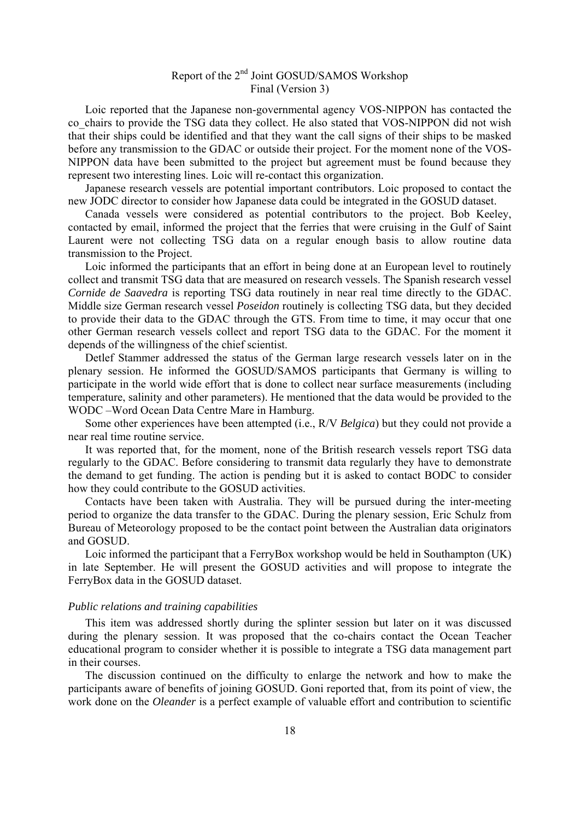Loic reported that the Japanese non-governmental agency VOS-NIPPON has contacted the co chairs to provide the TSG data they collect. He also stated that VOS-NIPPON did not wish that their ships could be identified and that they want the call signs of their ships to be masked before any transmission to the GDAC or outside their project. For the moment none of the VOS-NIPPON data have been submitted to the project but agreement must be found because they represent two interesting lines. Loic will re-contact this organization.

 Japanese research vessels are potential important contributors. Loic proposed to contact the new JODC director to consider how Japanese data could be integrated in the GOSUD dataset.

 Canada vessels were considered as potential contributors to the project. Bob Keeley, contacted by email, informed the project that the ferries that were cruising in the Gulf of Saint Laurent were not collecting TSG data on a regular enough basis to allow routine data transmission to the Project.

 Loic informed the participants that an effort in being done at an European level to routinely collect and transmit TSG data that are measured on research vessels. The Spanish research vessel *Cornide de Saavedra* is reporting TSG data routinely in near real time directly to the GDAC. Middle size German research vessel *Poseidon* routinely is collecting TSG data, but they decided to provide their data to the GDAC through the GTS. From time to time, it may occur that one other German research vessels collect and report TSG data to the GDAC. For the moment it depends of the willingness of the chief scientist.

 Detlef Stammer addressed the status of the German large research vessels later on in the plenary session. He informed the GOSUD/SAMOS participants that Germany is willing to participate in the world wide effort that is done to collect near surface measurements (including temperature, salinity and other parameters). He mentioned that the data would be provided to the WODC –Word Ocean Data Centre Mare in Hamburg.

 Some other experiences have been attempted (i.e., R/V *Belgica*) but they could not provide a near real time routine service.

 It was reported that, for the moment, none of the British research vessels report TSG data regularly to the GDAC. Before considering to transmit data regularly they have to demonstrate the demand to get funding. The action is pending but it is asked to contact BODC to consider how they could contribute to the GOSUD activities.

 Contacts have been taken with Australia. They will be pursued during the inter-meeting period to organize the data transfer to the GDAC. During the plenary session, Eric Schulz from Bureau of Meteorology proposed to be the contact point between the Australian data originators and GOSUD.

 Loic informed the participant that a FerryBox workshop would be held in Southampton (UK) in late September. He will present the GOSUD activities and will propose to integrate the FerryBox data in the GOSUD dataset.

#### *Public relations and training capabilities*

 This item was addressed shortly during the splinter session but later on it was discussed during the plenary session. It was proposed that the co-chairs contact the Ocean Teacher educational program to consider whether it is possible to integrate a TSG data management part in their courses.

 The discussion continued on the difficulty to enlarge the network and how to make the participants aware of benefits of joining GOSUD. Goni reported that, from its point of view, the work done on the *Oleander* is a perfect example of valuable effort and contribution to scientific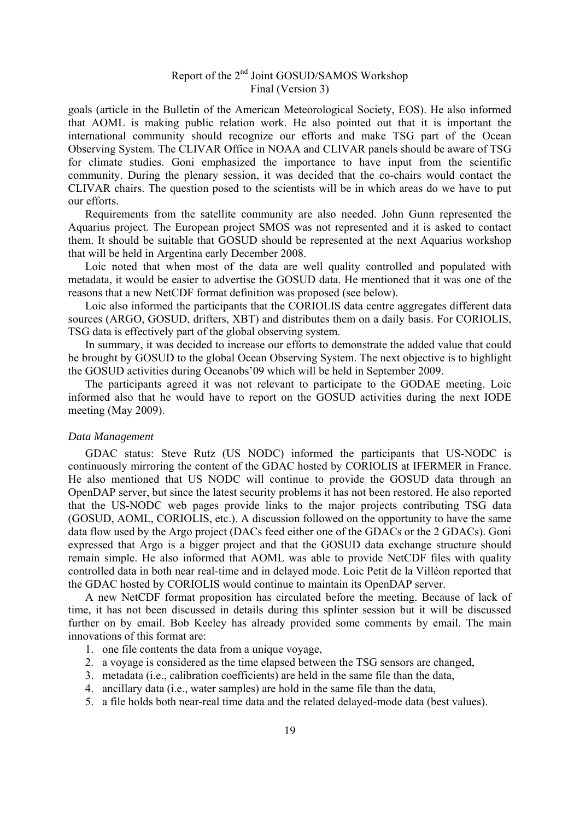goals (article in the Bulletin of the American Meteorological Society, EOS). He also informed that AOML is making public relation work. He also pointed out that it is important the international community should recognize our efforts and make TSG part of the Ocean Observing System. The CLIVAR Office in NOAA and CLIVAR panels should be aware of TSG for climate studies. Goni emphasized the importance to have input from the scientific community. During the plenary session, it was decided that the co-chairs would contact the CLIVAR chairs. The question posed to the scientists will be in which areas do we have to put our efforts.

 Requirements from the satellite community are also needed. John Gunn represented the Aquarius project. The European project SMOS was not represented and it is asked to contact them. It should be suitable that GOSUD should be represented at the next Aquarius workshop that will be held in Argentina early December 2008.

 Loic noted that when most of the data are well quality controlled and populated with metadata, it would be easier to advertise the GOSUD data. He mentioned that it was one of the reasons that a new NetCDF format definition was proposed (see below).

 Loic also informed the participants that the CORIOLIS data centre aggregates different data sources (ARGO, GOSUD, drifters, XBT) and distributes them on a daily basis. For CORIOLIS, TSG data is effectively part of the global observing system.

 In summary, it was decided to increase our efforts to demonstrate the added value that could be brought by GOSUD to the global Ocean Observing System. The next objective is to highlight the GOSUD activities during Oceanobs'09 which will be held in September 2009.

 The participants agreed it was not relevant to participate to the GODAE meeting. Loic informed also that he would have to report on the GOSUD activities during the next IODE meeting (May 2009).

#### *Data Management*

 GDAC status: Steve Rutz (US NODC) informed the participants that US-NODC is continuously mirroring the content of the GDAC hosted by CORIOLIS at IFERMER in France. He also mentioned that US NODC will continue to provide the GOSUD data through an OpenDAP server, but since the latest security problems it has not been restored. He also reported that the US-NODC web pages provide links to the major projects contributing TSG data (GOSUD, AOML, CORIOLIS, etc.). A discussion followed on the opportunity to have the same data flow used by the Argo project (DACs feed either one of the GDACs or the 2 GDACs). Goni expressed that Argo is a bigger project and that the GOSUD data exchange structure should remain simple. He also informed that AOML was able to provide NetCDF files with quality controlled data in both near real-time and in delayed mode. Loic Petit de la Villéon reported that the GDAC hosted by CORIOLIS would continue to maintain its OpenDAP server.

 A new NetCDF format proposition has circulated before the meeting. Because of lack of time, it has not been discussed in details during this splinter session but it will be discussed further on by email. Bob Keeley has already provided some comments by email. The main innovations of this format are:

- 1. one file contents the data from a unique voyage,
- 2. a voyage is considered as the time elapsed between the TSG sensors are changed,
- 3. metadata (i.e., calibration coefficients) are held in the same file than the data,
- 4. ancillary data (i.e., water samples) are hold in the same file than the data,
- 5. a file holds both near-real time data and the related delayed-mode data (best values).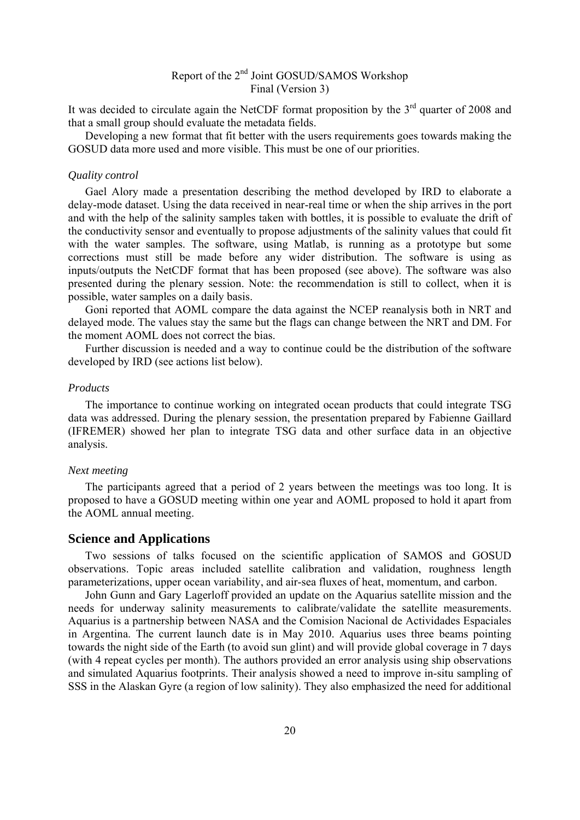It was decided to circulate again the NetCDF format proposition by the  $3<sup>rd</sup>$  quarter of 2008 and that a small group should evaluate the metadata fields.

Developing a new format that fit better with the users requirements goes towards making the GOSUD data more used and more visible. This must be one of our priorities.

#### *Quality control*

 Gael Alory made a presentation describing the method developed by IRD to elaborate a delay-mode dataset. Using the data received in near-real time or when the ship arrives in the port and with the help of the salinity samples taken with bottles, it is possible to evaluate the drift of the conductivity sensor and eventually to propose adjustments of the salinity values that could fit with the water samples. The software, using Matlab, is running as a prototype but some corrections must still be made before any wider distribution. The software is using as inputs/outputs the NetCDF format that has been proposed (see above). The software was also presented during the plenary session. Note: the recommendation is still to collect, when it is possible, water samples on a daily basis.

 Goni reported that AOML compare the data against the NCEP reanalysis both in NRT and delayed mode. The values stay the same but the flags can change between the NRT and DM. For the moment AOML does not correct the bias.

 Further discussion is needed and a way to continue could be the distribution of the software developed by IRD (see actions list below).

#### *Products*

 The importance to continue working on integrated ocean products that could integrate TSG data was addressed. During the plenary session, the presentation prepared by Fabienne Gaillard (IFREMER) showed her plan to integrate TSG data and other surface data in an objective analysis.

#### *Next meeting*

 The participants agreed that a period of 2 years between the meetings was too long. It is proposed to have a GOSUD meeting within one year and AOML proposed to hold it apart from the AOML annual meeting.

#### **Science and Applications**

 Two sessions of talks focused on the scientific application of SAMOS and GOSUD observations. Topic areas included satellite calibration and validation, roughness length parameterizations, upper ocean variability, and air-sea fluxes of heat, momentum, and carbon.

 John Gunn and Gary Lagerloff provided an update on the Aquarius satellite mission and the needs for underway salinity measurements to calibrate/validate the satellite measurements. Aquarius is a partnership between NASA and the Comision Nacional de Actividades Espaciales in Argentina. The current launch date is in May 2010. Aquarius uses three beams pointing towards the night side of the Earth (to avoid sun glint) and will provide global coverage in 7 days (with 4 repeat cycles per month). The authors provided an error analysis using ship observations and simulated Aquarius footprints. Their analysis showed a need to improve in-situ sampling of SSS in the Alaskan Gyre (a region of low salinity). They also emphasized the need for additional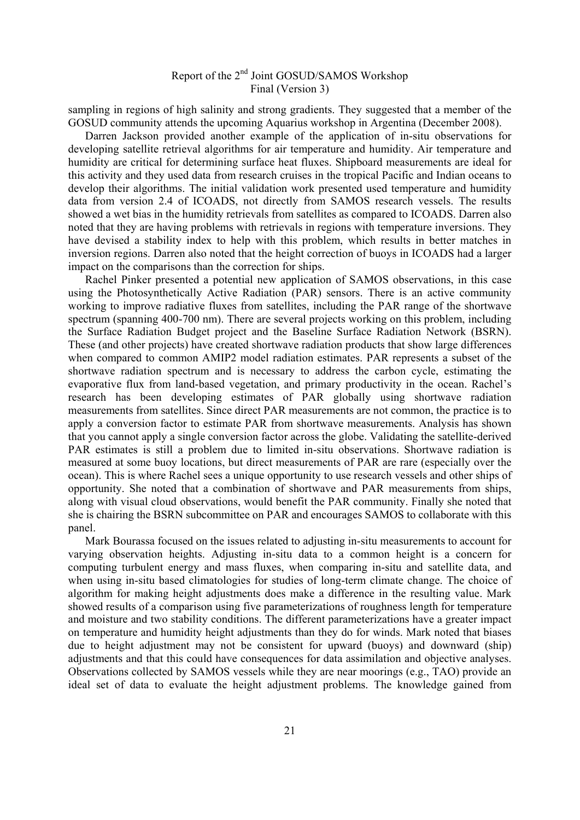sampling in regions of high salinity and strong gradients. They suggested that a member of the GOSUD community attends the upcoming Aquarius workshop in Argentina (December 2008).

 Darren Jackson provided another example of the application of in-situ observations for developing satellite retrieval algorithms for air temperature and humidity. Air temperature and humidity are critical for determining surface heat fluxes. Shipboard measurements are ideal for this activity and they used data from research cruises in the tropical Pacific and Indian oceans to develop their algorithms. The initial validation work presented used temperature and humidity data from version 2.4 of ICOADS, not directly from SAMOS research vessels. The results showed a wet bias in the humidity retrievals from satellites as compared to ICOADS. Darren also noted that they are having problems with retrievals in regions with temperature inversions. They have devised a stability index to help with this problem, which results in better matches in inversion regions. Darren also noted that the height correction of buoys in ICOADS had a larger impact on the comparisons than the correction for ships.

 Rachel Pinker presented a potential new application of SAMOS observations, in this case using the Photosynthetically Active Radiation (PAR) sensors. There is an active community working to improve radiative fluxes from satellites, including the PAR range of the shortwave spectrum (spanning 400-700 nm). There are several projects working on this problem, including the Surface Radiation Budget project and the Baseline Surface Radiation Network (BSRN). These (and other projects) have created shortwave radiation products that show large differences when compared to common AMIP2 model radiation estimates. PAR represents a subset of the shortwave radiation spectrum and is necessary to address the carbon cycle, estimating the evaporative flux from land-based vegetation, and primary productivity in the ocean. Rachel's research has been developing estimates of PAR globally using shortwave radiation measurements from satellites. Since direct PAR measurements are not common, the practice is to apply a conversion factor to estimate PAR from shortwave measurements. Analysis has shown that you cannot apply a single conversion factor across the globe. Validating the satellite-derived PAR estimates is still a problem due to limited in-situ observations. Shortwave radiation is measured at some buoy locations, but direct measurements of PAR are rare (especially over the ocean). This is where Rachel sees a unique opportunity to use research vessels and other ships of opportunity. She noted that a combination of shortwave and PAR measurements from ships, along with visual cloud observations, would benefit the PAR community. Finally she noted that she is chairing the BSRN subcommittee on PAR and encourages SAMOS to collaborate with this panel.

 Mark Bourassa focused on the issues related to adjusting in-situ measurements to account for varying observation heights. Adjusting in-situ data to a common height is a concern for computing turbulent energy and mass fluxes, when comparing in-situ and satellite data, and when using in-situ based climatologies for studies of long-term climate change. The choice of algorithm for making height adjustments does make a difference in the resulting value. Mark showed results of a comparison using five parameterizations of roughness length for temperature and moisture and two stability conditions. The different parameterizations have a greater impact on temperature and humidity height adjustments than they do for winds. Mark noted that biases due to height adjustment may not be consistent for upward (buoys) and downward (ship) adjustments and that this could have consequences for data assimilation and objective analyses. Observations collected by SAMOS vessels while they are near moorings (e.g., TAO) provide an ideal set of data to evaluate the height adjustment problems. The knowledge gained from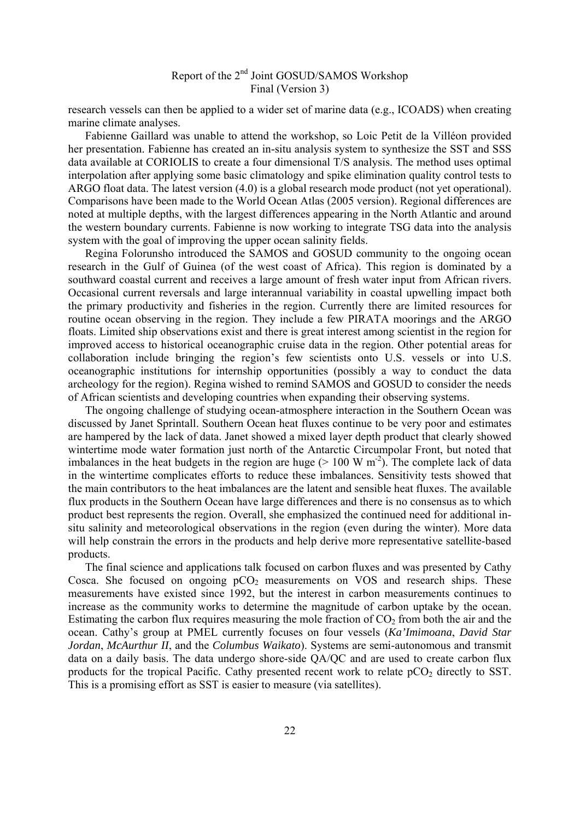research vessels can then be applied to a wider set of marine data (e.g., ICOADS) when creating marine climate analyses.

 Fabienne Gaillard was unable to attend the workshop, so Loic Petit de la Villéon provided her presentation. Fabienne has created an in-situ analysis system to synthesize the SST and SSS data available at CORIOLIS to create a four dimensional T/S analysis. The method uses optimal interpolation after applying some basic climatology and spike elimination quality control tests to ARGO float data. The latest version (4.0) is a global research mode product (not yet operational). Comparisons have been made to the World Ocean Atlas (2005 version). Regional differences are noted at multiple depths, with the largest differences appearing in the North Atlantic and around the western boundary currents. Fabienne is now working to integrate TSG data into the analysis system with the goal of improving the upper ocean salinity fields.

 Regina Folorunsho introduced the SAMOS and GOSUD community to the ongoing ocean research in the Gulf of Guinea (of the west coast of Africa). This region is dominated by a southward coastal current and receives a large amount of fresh water input from African rivers. Occasional current reversals and large interannual variability in coastal upwelling impact both the primary productivity and fisheries in the region. Currently there are limited resources for routine ocean observing in the region. They include a few PIRATA moorings and the ARGO floats. Limited ship observations exist and there is great interest among scientist in the region for improved access to historical oceanographic cruise data in the region. Other potential areas for collaboration include bringing the region's few scientists onto U.S. vessels or into U.S. oceanographic institutions for internship opportunities (possibly a way to conduct the data archeology for the region). Regina wished to remind SAMOS and GOSUD to consider the needs of African scientists and developing countries when expanding their observing systems.

 The ongoing challenge of studying ocean-atmosphere interaction in the Southern Ocean was discussed by Janet Sprintall. Southern Ocean heat fluxes continue to be very poor and estimates are hampered by the lack of data. Janet showed a mixed layer depth product that clearly showed wintertime mode water formation just north of the Antarctic Circumpolar Front, but noted that imbalances in the heat budgets in the region are huge  $(> 100 \text{ W m}^2)$ . The complete lack of data in the wintertime complicates efforts to reduce these imbalances. Sensitivity tests showed that the main contributors to the heat imbalances are the latent and sensible heat fluxes. The available flux products in the Southern Ocean have large differences and there is no consensus as to which product best represents the region. Overall, she emphasized the continued need for additional insitu salinity and meteorological observations in the region (even during the winter). More data will help constrain the errors in the products and help derive more representative satellite-based products.

 The final science and applications talk focused on carbon fluxes and was presented by Cathy Cosca. She focused on ongoing  $pCO<sub>2</sub>$  measurements on VOS and research ships. These measurements have existed since 1992, but the interest in carbon measurements continues to increase as the community works to determine the magnitude of carbon uptake by the ocean. Estimating the carbon flux requires measuring the mole fraction of  $CO<sub>2</sub>$  from both the air and the ocean. Cathy's group at PMEL currently focuses on four vessels (*Ka'Imimoana*, *David Star Jordan*, *McAurthur II*, and the *Columbus Waikato*). Systems are semi-autonomous and transmit data on a daily basis. The data undergo shore-side QA/QC and are used to create carbon flux products for the tropical Pacific. Cathy presented recent work to relate  $pCO<sub>2</sub>$  directly to SST. This is a promising effort as SST is easier to measure (via satellites).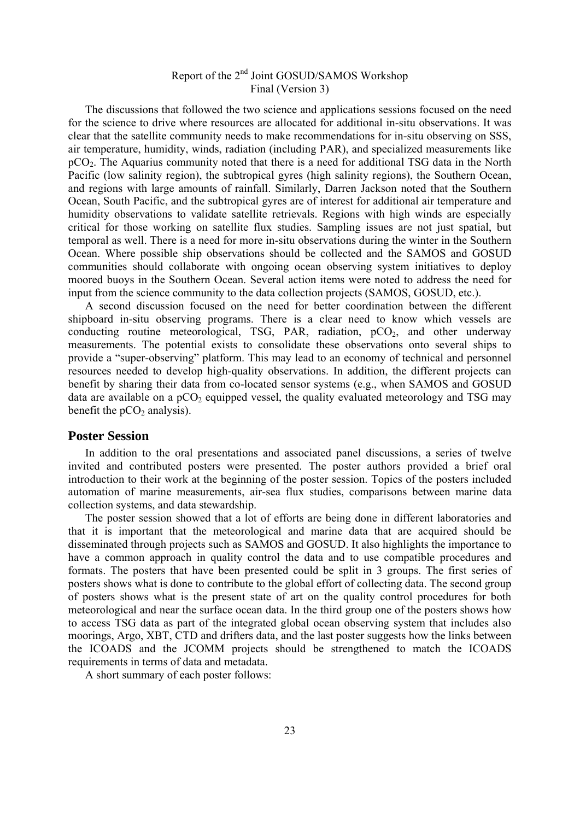The discussions that followed the two science and applications sessions focused on the need for the science to drive where resources are allocated for additional in-situ observations. It was clear that the satellite community needs to make recommendations for in-situ observing on SSS, air temperature, humidity, winds, radiation (including PAR), and specialized measurements like pCO2. The Aquarius community noted that there is a need for additional TSG data in the North Pacific (low salinity region), the subtropical gyres (high salinity regions), the Southern Ocean, and regions with large amounts of rainfall. Similarly, Darren Jackson noted that the Southern Ocean, South Pacific, and the subtropical gyres are of interest for additional air temperature and humidity observations to validate satellite retrievals. Regions with high winds are especially critical for those working on satellite flux studies. Sampling issues are not just spatial, but temporal as well. There is a need for more in-situ observations during the winter in the Southern Ocean. Where possible ship observations should be collected and the SAMOS and GOSUD communities should collaborate with ongoing ocean observing system initiatives to deploy moored buoys in the Southern Ocean. Several action items were noted to address the need for input from the science community to the data collection projects (SAMOS, GOSUD, etc.).

 A second discussion focused on the need for better coordination between the different shipboard in-situ observing programs. There is a clear need to know which vessels are conducting routine meteorological, TSG, PAR, radiation,  $pCO<sub>2</sub>$ , and other underway measurements. The potential exists to consolidate these observations onto several ships to provide a "super-observing" platform. This may lead to an economy of technical and personnel resources needed to develop high-quality observations. In addition, the different projects can benefit by sharing their data from co-located sensor systems (e.g., when SAMOS and GOSUD data are available on a  $pCO<sub>2</sub>$  equipped vessel, the quality evaluated meteorology and TSG may benefit the  $pCO<sub>2</sub>$  analysis).

#### **Poster Session**

 In addition to the oral presentations and associated panel discussions, a series of twelve invited and contributed posters were presented. The poster authors provided a brief oral introduction to their work at the beginning of the poster session. Topics of the posters included automation of marine measurements, air-sea flux studies, comparisons between marine data collection systems, and data stewardship.

 The poster session showed that a lot of efforts are being done in different laboratories and that it is important that the meteorological and marine data that are acquired should be disseminated through projects such as SAMOS and GOSUD. It also highlights the importance to have a common approach in quality control the data and to use compatible procedures and formats. The posters that have been presented could be split in 3 groups. The first series of posters shows what is done to contribute to the global effort of collecting data. The second group of posters shows what is the present state of art on the quality control procedures for both meteorological and near the surface ocean data. In the third group one of the posters shows how to access TSG data as part of the integrated global ocean observing system that includes also moorings, Argo, XBT, CTD and drifters data, and the last poster suggests how the links between the ICOADS and the JCOMM projects should be strengthened to match the ICOADS requirements in terms of data and metadata.

A short summary of each poster follows: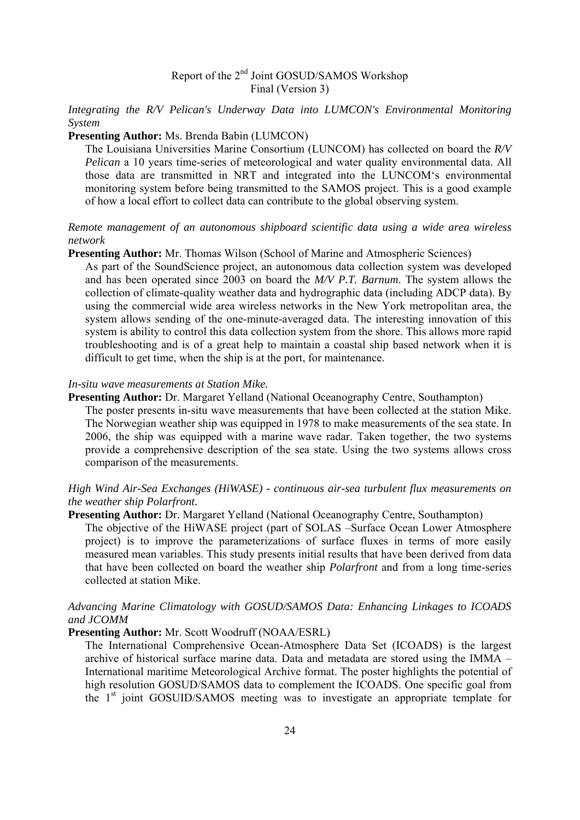*Integrating the R/V Pelican's Underway Data into LUMCON's Environmental Monitoring System* 

#### **Presenting Author:** Ms. Brenda Babin (LUMCON)

The Louisiana Universities Marine Consortium (LUNCOM) has collected on board the *R/V Pelican* a 10 years time-series of meteorological and water quality environmental data. All those data are transmitted in NRT and integrated into the LUNCOM's environmental monitoring system before being transmitted to the SAMOS project. This is a good example of how a local effort to collect data can contribute to the global observing system.

#### *Remote management of an autonomous shipboard scientific data using a wide area wireless network*

#### **Presenting Author:** Mr. Thomas Wilson (School of Marine and Atmospheric Sciences)

As part of the SoundScience project, an autonomous data collection system was developed and has been operated since 2003 on board the *M/V P.T. Barnum*. The system allows the collection of climate-quality weather data and hydrographic data (including ADCP data). By using the commercial wide area wireless networks in the New York metropolitan area, the system allows sending of the one-minute-averaged data. The interesting innovation of this system is ability to control this data collection system from the shore. This allows more rapid troubleshooting and is of a great help to maintain a coastal ship based network when it is difficult to get time, when the ship is at the port, for maintenance.

#### *In-situ wave measurements at Station Mike.*

comparison of the measurements.

**Presenting Author:** Dr. Margaret Yelland (National Oceanography Centre, Southampton) The poster presents in-situ wave measurements that have been collected at the station Mike. The Norwegian weather ship was equipped in 1978 to make measurements of the sea state. In 2006, the ship was equipped with a marine wave radar. Taken together, the two systems provide a comprehensive description of the sea state. Using the two systems allows cross

*High Wind Air-Sea Exchanges (HiWASE) - continuous air-sea turbulent flux measurements on the weather ship Polarfront.* 

#### **Presenting Author:** Dr. Margaret Yelland (National Oceanography Centre, Southampton)

The objective of the HiWASE project (part of SOLAS –Surface Ocean Lower Atmosphere project) is to improve the parameterizations of surface fluxes in terms of more easily measured mean variables. This study presents initial results that have been derived from data that have been collected on board the weather ship *Polarfront* and from a long time-series collected at station Mike.

#### *Advancing Marine Climatology with GOSUD/SAMOS Data: Enhancing Linkages to ICOADS and JCOMM*

#### **Presenting Author:** Mr. Scott Woodruff (NOAA/ESRL)

The International Comprehensive Ocean-Atmosphere Data Set (ICOADS) is the largest archive of historical surface marine data. Data and metadata are stored using the IMMA – International maritime Meteorological Archive format. The poster highlights the potential of high resolution GOSUD/SAMOS data to complement the ICOADS. One specific goal from the 1<sup>st</sup> joint GOSUID/SAMOS meeting was to investigate an appropriate template for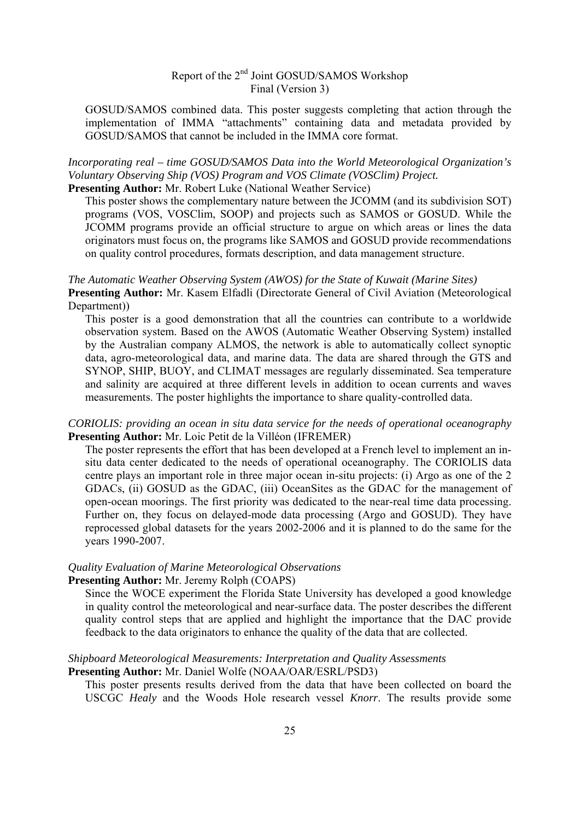GOSUD/SAMOS combined data. This poster suggests completing that action through the implementation of IMMA "attachments" containing data and metadata provided by GOSUD/SAMOS that cannot be included in the IMMA core format.

*Incorporating real – time GOSUD/SAMOS Data into the World Meteorological Organization's Voluntary Observing Ship (VOS) Program and VOS Climate (VOSClim) Project.*  **Presenting Author:** Mr. Robert Luke (National Weather Service)

This poster shows the complementary nature between the JCOMM (and its subdivision SOT)

programs (VOS, VOSClim, SOOP) and projects such as SAMOS or GOSUD. While the JCOMM programs provide an official structure to argue on which areas or lines the data originators must focus on, the programs like SAMOS and GOSUD provide recommendations on quality control procedures, formats description, and data management structure.

#### *The Automatic Weather Observing System (AWOS) for the State of Kuwait (Marine Sites)*

**Presenting Author:** Mr. Kasem Elfadli (Directorate General of Civil Aviation (Meteorological Department))

This poster is a good demonstration that all the countries can contribute to a worldwide observation system. Based on the AWOS (Automatic Weather Observing System) installed by the Australian company ALMOS, the network is able to automatically collect synoptic data, agro-meteorological data, and marine data. The data are shared through the GTS and SYNOP, SHIP, BUOY, and CLIMAT messages are regularly disseminated. Sea temperature and salinity are acquired at three different levels in addition to ocean currents and waves measurements. The poster highlights the importance to share quality-controlled data.

#### *CORIOLIS: providing an ocean in situ data service for the needs of operational oceanography*  **Presenting Author:** Mr. Loic Petit de la Villéon (IFREMER)

The poster represents the effort that has been developed at a French level to implement an insitu data center dedicated to the needs of operational oceanography. The CORIOLIS data centre plays an important role in three major ocean in-situ projects: (i) Argo as one of the 2 GDACs, (ii) GOSUD as the GDAC, (iii) OceanSites as the GDAC for the management of open-ocean moorings. The first priority was dedicated to the near-real time data processing. Further on, they focus on delayed-mode data processing (Argo and GOSUD). They have reprocessed global datasets for the years 2002-2006 and it is planned to do the same for the years 1990-2007.

#### *Quality Evaluation of Marine Meteorological Observations*

#### **Presenting Author:** Mr. Jeremy Rolph (COAPS)

Since the WOCE experiment the Florida State University has developed a good knowledge in quality control the meteorological and near-surface data. The poster describes the different quality control steps that are applied and highlight the importance that the DAC provide feedback to the data originators to enhance the quality of the data that are collected.

## *Shipboard Meteorological Measurements: Interpretation and Quality Assessments*

## **Presenting Author:** Mr. Daniel Wolfe (NOAA/OAR/ESRL/PSD3)

This poster presents results derived from the data that have been collected on board the USCGC *Healy* and the Woods Hole research vessel *Knorr*. The results provide some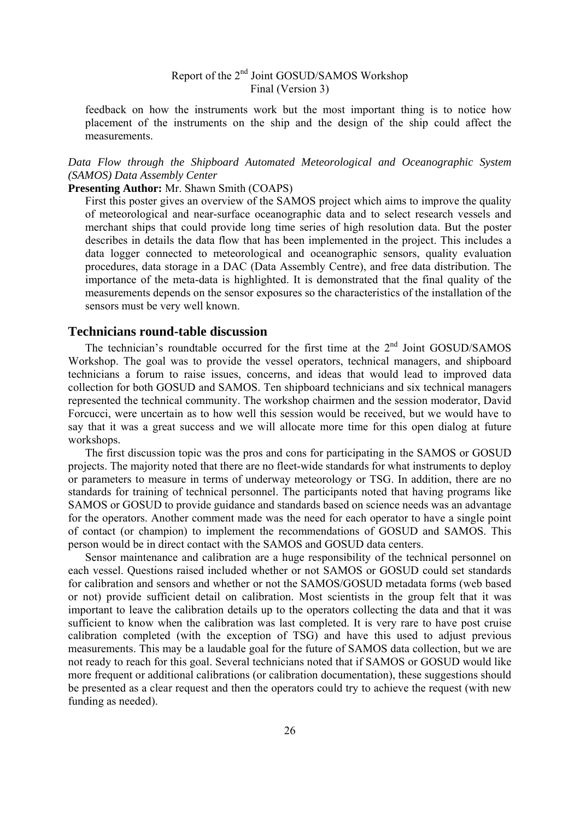feedback on how the instruments work but the most important thing is to notice how placement of the instruments on the ship and the design of the ship could affect the measurements.

#### *Data Flow through the Shipboard Automated Meteorological and Oceanographic System (SAMOS) Data Assembly Center*

#### **Presenting Author:** Mr. Shawn Smith (COAPS)

First this poster gives an overview of the SAMOS project which aims to improve the quality of meteorological and near-surface oceanographic data and to select research vessels and merchant ships that could provide long time series of high resolution data. But the poster describes in details the data flow that has been implemented in the project. This includes a data logger connected to meteorological and oceanographic sensors, quality evaluation procedures, data storage in a DAC (Data Assembly Centre), and free data distribution. The importance of the meta-data is highlighted. It is demonstrated that the final quality of the measurements depends on the sensor exposures so the characteristics of the installation of the sensors must be very well known.

#### **Technicians round-table discussion**

The technician's roundtable occurred for the first time at the  $2<sup>nd</sup>$  Joint GOSUD/SAMOS Workshop. The goal was to provide the vessel operators, technical managers, and shipboard technicians a forum to raise issues, concerns, and ideas that would lead to improved data collection for both GOSUD and SAMOS. Ten shipboard technicians and six technical managers represented the technical community. The workshop chairmen and the session moderator, David Forcucci, were uncertain as to how well this session would be received, but we would have to say that it was a great success and we will allocate more time for this open dialog at future workshops.

 The first discussion topic was the pros and cons for participating in the SAMOS or GOSUD projects. The majority noted that there are no fleet-wide standards for what instruments to deploy or parameters to measure in terms of underway meteorology or TSG. In addition, there are no standards for training of technical personnel. The participants noted that having programs like SAMOS or GOSUD to provide guidance and standards based on science needs was an advantage for the operators. Another comment made was the need for each operator to have a single point of contact (or champion) to implement the recommendations of GOSUD and SAMOS. This person would be in direct contact with the SAMOS and GOSUD data centers.

 Sensor maintenance and calibration are a huge responsibility of the technical personnel on each vessel. Questions raised included whether or not SAMOS or GOSUD could set standards for calibration and sensors and whether or not the SAMOS/GOSUD metadata forms (web based or not) provide sufficient detail on calibration. Most scientists in the group felt that it was important to leave the calibration details up to the operators collecting the data and that it was sufficient to know when the calibration was last completed. It is very rare to have post cruise calibration completed (with the exception of TSG) and have this used to adjust previous measurements. This may be a laudable goal for the future of SAMOS data collection, but we are not ready to reach for this goal. Several technicians noted that if SAMOS or GOSUD would like more frequent or additional calibrations (or calibration documentation), these suggestions should be presented as a clear request and then the operators could try to achieve the request (with new funding as needed).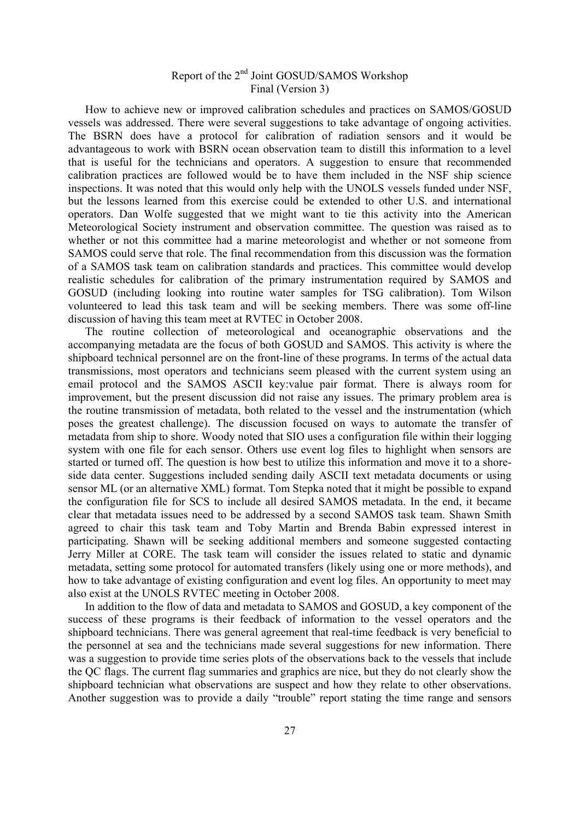How to achieve new or improved calibration schedules and practices on SAMOS/GOSUD vessels was addressed. There were several suggestions to take advantage of ongoing activities. The BSRN does have a protocol for calibration of radiation sensors and it would be advantageous to work with BSRN ocean observation team to distill this information to a level that is useful for the technicians and operators. A suggestion to ensure that recommended calibration practices are followed would be to have them included in the NSF ship science inspections. It was noted that this would only help with the UNOLS vessels funded under NSF, but the lessons learned from this exercise could be extended to other U.S. and international operators. Dan Wolfe suggested that we might want to tie this activity into the American Meteorological Society instrument and observation committee. The question was raised as to whether or not this committee had a marine meteorologist and whether or not someone from SAMOS could serve that role. The final recommendation from this discussion was the formation of a SAMOS task team on calibration standards and practices. This committee would develop realistic schedules for calibration of the primary instrumentation required by SAMOS and GOSUD (including looking into routine water samples for TSG calibration). Tom Wilson volunteered to lead this task team and will be seeking members. There was some off-line discussion of having this team meet at RVTEC in October 2008.

 The routine collection of meteorological and oceanographic observations and the accompanying metadata are the focus of both GOSUD and SAMOS. This activity is where the shipboard technical personnel are on the front-line of these programs. In terms of the actual data transmissions, most operators and technicians seem pleased with the current system using an email protocol and the SAMOS ASCII key:value pair format. There is always room for improvement, but the present discussion did not raise any issues. The primary problem area is the routine transmission of metadata, both related to the vessel and the instrumentation (which poses the greatest challenge). The discussion focused on ways to automate the transfer of metadata from ship to shore. Woody noted that SIO uses a configuration file within their logging system with one file for each sensor. Others use event log files to highlight when sensors are started or turned off. The question is how best to utilize this information and move it to a shoreside data center. Suggestions included sending daily ASCII text metadata documents or using sensor ML (or an alternative XML) format. Tom Stepka noted that it might be possible to expand the configuration file for SCS to include all desired SAMOS metadata. In the end, it became clear that metadata issues need to be addressed by a second SAMOS task team. Shawn Smith agreed to chair this task team and Toby Martin and Brenda Babin expressed interest in participating. Shawn will be seeking additional members and someone suggested contacting Jerry Miller at CORE. The task team will consider the issues related to static and dynamic metadata, setting some protocol for automated transfers (likely using one or more methods), and how to take advantage of existing configuration and event log files. An opportunity to meet may also exist at the UNOLS RVTEC meeting in October 2008.

 In addition to the flow of data and metadata to SAMOS and GOSUD, a key component of the success of these programs is their feedback of information to the vessel operators and the shipboard technicians. There was general agreement that real-time feedback is very beneficial to the personnel at sea and the technicians made several suggestions for new information. There was a suggestion to provide time series plots of the observations back to the vessels that include the QC flags. The current flag summaries and graphics are nice, but they do not clearly show the shipboard technician what observations are suspect and how they relate to other observations. Another suggestion was to provide a daily "trouble" report stating the time range and sensors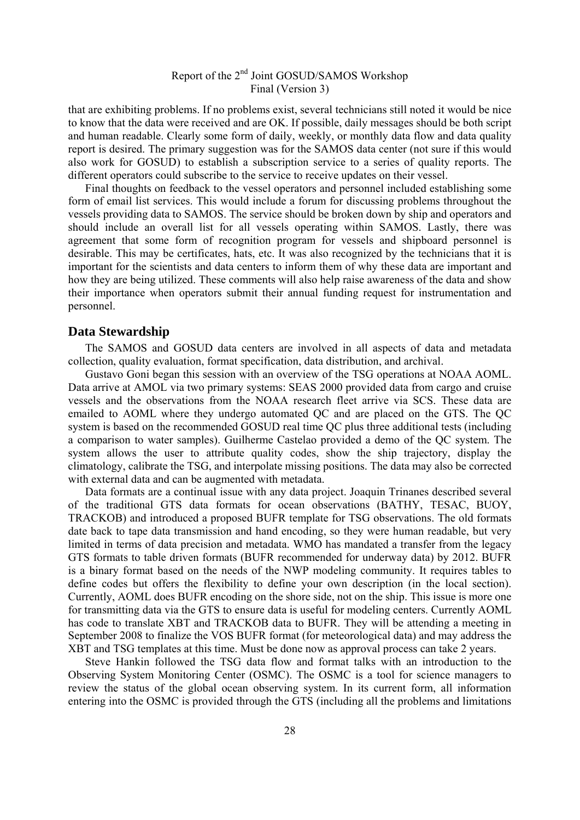that are exhibiting problems. If no problems exist, several technicians still noted it would be nice to know that the data were received and are OK. If possible, daily messages should be both script and human readable. Clearly some form of daily, weekly, or monthly data flow and data quality report is desired. The primary suggestion was for the SAMOS data center (not sure if this would also work for GOSUD) to establish a subscription service to a series of quality reports. The different operators could subscribe to the service to receive updates on their vessel.

 Final thoughts on feedback to the vessel operators and personnel included establishing some form of email list services. This would include a forum for discussing problems throughout the vessels providing data to SAMOS. The service should be broken down by ship and operators and should include an overall list for all vessels operating within SAMOS. Lastly, there was agreement that some form of recognition program for vessels and shipboard personnel is desirable. This may be certificates, hats, etc. It was also recognized by the technicians that it is important for the scientists and data centers to inform them of why these data are important and how they are being utilized. These comments will also help raise awareness of the data and show their importance when operators submit their annual funding request for instrumentation and personnel.

#### **Data Stewardship**

 The SAMOS and GOSUD data centers are involved in all aspects of data and metadata collection, quality evaluation, format specification, data distribution, and archival.

 Gustavo Goni began this session with an overview of the TSG operations at NOAA AOML. Data arrive at AMOL via two primary systems: SEAS 2000 provided data from cargo and cruise vessels and the observations from the NOAA research fleet arrive via SCS. These data are emailed to AOML where they undergo automated QC and are placed on the GTS. The QC system is based on the recommended GOSUD real time QC plus three additional tests (including a comparison to water samples). Guilherme Castelao provided a demo of the QC system. The system allows the user to attribute quality codes, show the ship trajectory, display the climatology, calibrate the TSG, and interpolate missing positions. The data may also be corrected with external data and can be augmented with metadata.

 Data formats are a continual issue with any data project. Joaquin Trinanes described several of the traditional GTS data formats for ocean observations (BATHY, TESAC, BUOY, TRACKOB) and introduced a proposed BUFR template for TSG observations. The old formats date back to tape data transmission and hand encoding, so they were human readable, but very limited in terms of data precision and metadata. WMO has mandated a transfer from the legacy GTS formats to table driven formats (BUFR recommended for underway data) by 2012. BUFR is a binary format based on the needs of the NWP modeling community. It requires tables to define codes but offers the flexibility to define your own description (in the local section). Currently, AOML does BUFR encoding on the shore side, not on the ship. This issue is more one for transmitting data via the GTS to ensure data is useful for modeling centers. Currently AOML has code to translate XBT and TRACKOB data to BUFR. They will be attending a meeting in September 2008 to finalize the VOS BUFR format (for meteorological data) and may address the XBT and TSG templates at this time. Must be done now as approval process can take 2 years.

 Steve Hankin followed the TSG data flow and format talks with an introduction to the Observing System Monitoring Center (OSMC). The OSMC is a tool for science managers to review the status of the global ocean observing system. In its current form, all information entering into the OSMC is provided through the GTS (including all the problems and limitations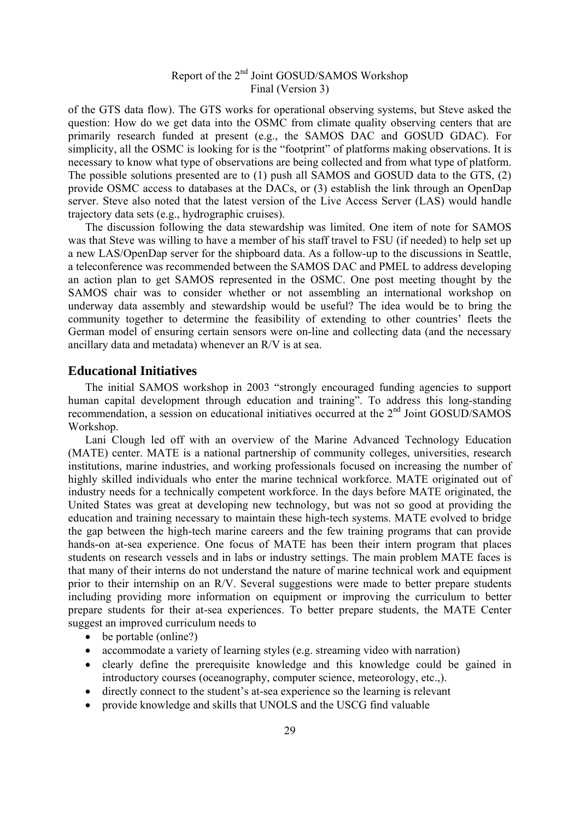of the GTS data flow). The GTS works for operational observing systems, but Steve asked the question: How do we get data into the OSMC from climate quality observing centers that are primarily research funded at present (e.g., the SAMOS DAC and GOSUD GDAC). For simplicity, all the OSMC is looking for is the "footprint" of platforms making observations. It is necessary to know what type of observations are being collected and from what type of platform. The possible solutions presented are to (1) push all SAMOS and GOSUD data to the GTS, (2) provide OSMC access to databases at the DACs, or (3) establish the link through an OpenDap server. Steve also noted that the latest version of the Live Access Server (LAS) would handle trajectory data sets (e.g., hydrographic cruises).

 The discussion following the data stewardship was limited. One item of note for SAMOS was that Steve was willing to have a member of his staff travel to FSU (if needed) to help set up a new LAS/OpenDap server for the shipboard data. As a follow-up to the discussions in Seattle, a teleconference was recommended between the SAMOS DAC and PMEL to address developing an action plan to get SAMOS represented in the OSMC. One post meeting thought by the SAMOS chair was to consider whether or not assembling an international workshop on underway data assembly and stewardship would be useful? The idea would be to bring the community together to determine the feasibility of extending to other countries' fleets the German model of ensuring certain sensors were on-line and collecting data (and the necessary ancillary data and metadata) whenever an R/V is at sea.

#### **Educational Initiatives**

 The initial SAMOS workshop in 2003 "strongly encouraged funding agencies to support human capital development through education and training". To address this long-standing recommendation, a session on educational initiatives occurred at the 2<sup>nd</sup> Joint GOSUD/SAMOS Workshop.

 Lani Clough led off with an overview of the Marine Advanced Technology Education (MATE) center. MATE is a national partnership of community colleges, universities, research institutions, marine industries, and working professionals focused on increasing the number of highly skilled individuals who enter the marine technical workforce. MATE originated out of industry needs for a technically competent workforce. In the days before MATE originated, the United States was great at developing new technology, but was not so good at providing the education and training necessary to maintain these high-tech systems. MATE evolved to bridge the gap between the high-tech marine careers and the few training programs that can provide hands-on at-sea experience. One focus of MATE has been their intern program that places students on research vessels and in labs or industry settings. The main problem MATE faces is that many of their interns do not understand the nature of marine technical work and equipment prior to their internship on an R/V. Several suggestions were made to better prepare students including providing more information on equipment or improving the curriculum to better prepare students for their at-sea experiences. To better prepare students, the MATE Center suggest an improved curriculum needs to

- be portable (online?)
- accommodate a variety of learning styles (e.g. streaming video with narration)
- clearly define the prerequisite knowledge and this knowledge could be gained in introductory courses (oceanography, computer science, meteorology, etc.,).
- directly connect to the student's at-sea experience so the learning is relevant
- provide knowledge and skills that UNOLS and the USCG find valuable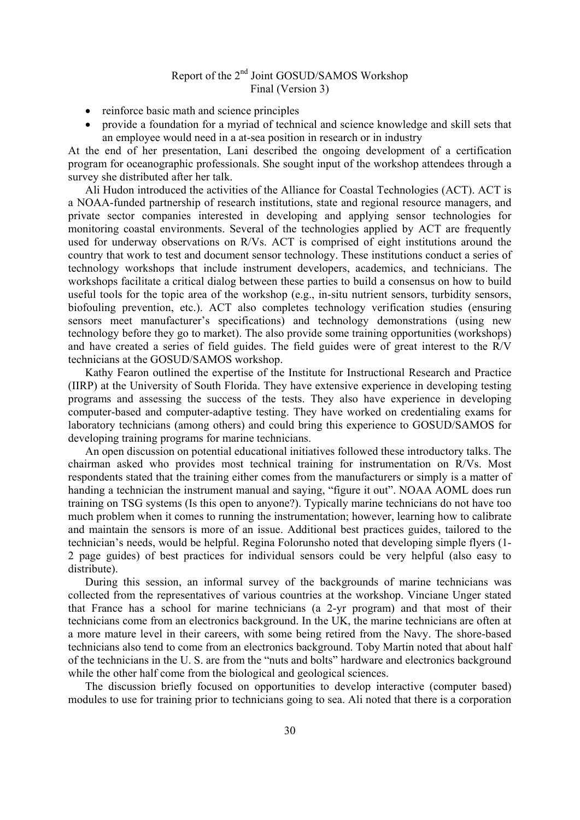- reinforce basic math and science principles
- provide a foundation for a myriad of technical and science knowledge and skill sets that an employee would need in a at-sea position in research or in industry

At the end of her presentation, Lani described the ongoing development of a certification program for oceanographic professionals. She sought input of the workshop attendees through a survey she distributed after her talk.

 Ali Hudon introduced the activities of the Alliance for Coastal Technologies (ACT). ACT is a NOAA-funded partnership of research institutions, state and regional resource managers, and private sector companies interested in developing and applying sensor technologies for monitoring coastal environments. Several of the technologies applied by ACT are frequently used for underway observations on R/Vs. ACT is comprised of eight institutions around the country that work to test and document sensor technology. These institutions conduct a series of technology workshops that include instrument developers, academics, and technicians. The workshops facilitate a critical dialog between these parties to build a consensus on how to build useful tools for the topic area of the workshop (e.g., in-situ nutrient sensors, turbidity sensors, biofouling prevention, etc.). ACT also completes technology verification studies (ensuring sensors meet manufacturer's specifications) and technology demonstrations (using new technology before they go to market). The also provide some training opportunities (workshops) and have created a series of field guides. The field guides were of great interest to the R/V technicians at the GOSUD/SAMOS workshop.

 Kathy Fearon outlined the expertise of the Institute for Instructional Research and Practice (IIRP) at the University of South Florida. They have extensive experience in developing testing programs and assessing the success of the tests. They also have experience in developing computer-based and computer-adaptive testing. They have worked on credentialing exams for laboratory technicians (among others) and could bring this experience to GOSUD/SAMOS for developing training programs for marine technicians.

 An open discussion on potential educational initiatives followed these introductory talks. The chairman asked who provides most technical training for instrumentation on R/Vs. Most respondents stated that the training either comes from the manufacturers or simply is a matter of handing a technician the instrument manual and saying, "figure it out". NOAA AOML does run training on TSG systems (Is this open to anyone?). Typically marine technicians do not have too much problem when it comes to running the instrumentation; however, learning how to calibrate and maintain the sensors is more of an issue. Additional best practices guides, tailored to the technician's needs, would be helpful. Regina Folorunsho noted that developing simple flyers (1- 2 page guides) of best practices for individual sensors could be very helpful (also easy to distribute).

 During this session, an informal survey of the backgrounds of marine technicians was collected from the representatives of various countries at the workshop. Vinciane Unger stated that France has a school for marine technicians (a 2-yr program) and that most of their technicians come from an electronics background. In the UK, the marine technicians are often at a more mature level in their careers, with some being retired from the Navy. The shore-based technicians also tend to come from an electronics background. Toby Martin noted that about half of the technicians in the U. S. are from the "nuts and bolts" hardware and electronics background while the other half come from the biological and geological sciences.

 The discussion briefly focused on opportunities to develop interactive (computer based) modules to use for training prior to technicians going to sea. Ali noted that there is a corporation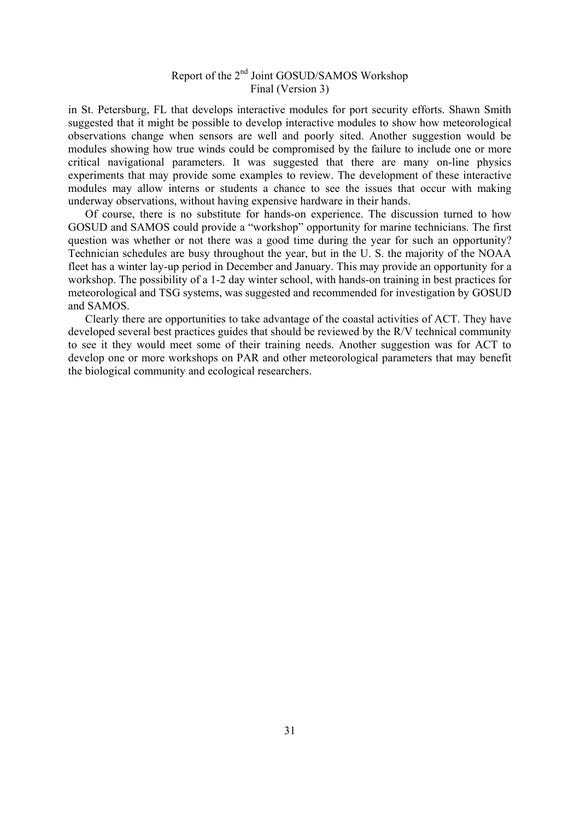in St. Petersburg, FL that develops interactive modules for port security efforts. Shawn Smith suggested that it might be possible to develop interactive modules to show how meteorological observations change when sensors are well and poorly sited. Another suggestion would be modules showing how true winds could be compromised by the failure to include one or more critical navigational parameters. It was suggested that there are many on-line physics experiments that may provide some examples to review. The development of these interactive modules may allow interns or students a chance to see the issues that occur with making underway observations, without having expensive hardware in their hands.

 Of course, there is no substitute for hands-on experience. The discussion turned to how GOSUD and SAMOS could provide a "workshop" opportunity for marine technicians. The first question was whether or not there was a good time during the year for such an opportunity? Technician schedules are busy throughout the year, but in the U. S. the majority of the NOAA fleet has a winter lay-up period in December and January. This may provide an opportunity for a workshop. The possibility of a 1-2 day winter school, with hands-on training in best practices for meteorological and TSG systems, was suggested and recommended for investigation by GOSUD and SAMOS.

 Clearly there are opportunities to take advantage of the coastal activities of ACT. They have developed several best practices guides that should be reviewed by the R/V technical community to see it they would meet some of their training needs. Another suggestion was for ACT to develop one or more workshops on PAR and other meteorological parameters that may benefit the biological community and ecological researchers.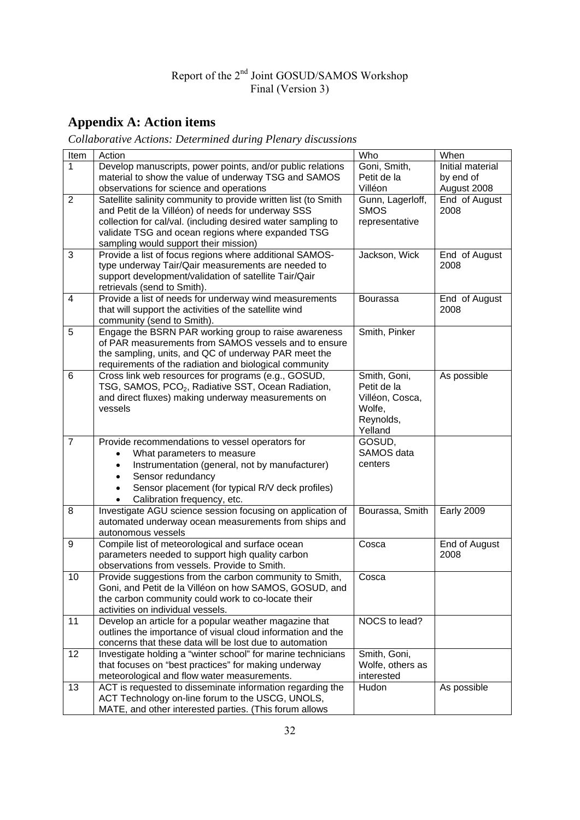## **Appendix A: Action items**

*Collaborative Actions: Determined during Plenary discussions*

| Item           | Action                                                                                                      | Who                            | When              |
|----------------|-------------------------------------------------------------------------------------------------------------|--------------------------------|-------------------|
| $\mathbf{1}$   | Develop manuscripts, power points, and/or public relations                                                  | Goni, Smith,                   | Initial material  |
|                | material to show the value of underway TSG and SAMOS                                                        | Petit de la                    | by end of         |
|                | observations for science and operations                                                                     | Villéon                        | August 2008       |
| $\overline{2}$ | Satellite salinity community to provide written list (to Smith                                              | Gunn, Lagerloff,               | End of August     |
|                | and Petit de la Villéon) of needs for underway SSS                                                          | <b>SMOS</b>                    | 2008              |
|                | collection for cal/val. (including desired water sampling to                                                | representative                 |                   |
|                | validate TSG and ocean regions where expanded TSG                                                           |                                |                   |
|                | sampling would support their mission)                                                                       |                                |                   |
| 3              | Provide a list of focus regions where additional SAMOS-                                                     | Jackson, Wick                  | End of August     |
|                | type underway Tair/Qair measurements are needed to<br>support development/validation of satellite Tair/Qair |                                | 2008              |
|                | retrievals (send to Smith).                                                                                 |                                |                   |
| 4              | Provide a list of needs for underway wind measurements                                                      | <b>Bourassa</b>                | End of August     |
|                | that will support the activities of the satellite wind                                                      |                                | 2008              |
|                | community (send to Smith).                                                                                  |                                |                   |
| 5              | Engage the BSRN PAR working group to raise awareness                                                        | Smith, Pinker                  |                   |
|                | of PAR measurements from SAMOS vessels and to ensure                                                        |                                |                   |
|                | the sampling, units, and QC of underway PAR meet the                                                        |                                |                   |
|                | requirements of the radiation and biological community                                                      |                                |                   |
| 6              | Cross link web resources for programs (e.g., GOSUD,                                                         | Smith, Goni,                   | As possible       |
|                | TSG, SAMOS, PCO <sub>2</sub> , Radiative SST, Ocean Radiation,                                              | Petit de la                    |                   |
|                | and direct fluxes) making underway measurements on                                                          | Villéon, Cosca,                |                   |
|                | vessels                                                                                                     | Wolfe,                         |                   |
|                |                                                                                                             | Reynolds,                      |                   |
|                |                                                                                                             | Yelland                        |                   |
| $\overline{7}$ | Provide recommendations to vessel operators for                                                             | GOSUD,<br>SAMOS data           |                   |
|                | What parameters to measure<br>$\bullet$                                                                     | centers                        |                   |
|                | Instrumentation (general, not by manufacturer)<br>$\bullet$<br>Sensor redundancy                            |                                |                   |
|                | $\bullet$<br>Sensor placement (for typical R/V deck profiles)<br>$\bullet$                                  |                                |                   |
|                | Calibration frequency, etc.<br>$\bullet$                                                                    |                                |                   |
| 8              | Investigate AGU science session focusing on application of                                                  | Bourassa, Smith                | <b>Early 2009</b> |
|                | automated underway ocean measurements from ships and                                                        |                                |                   |
|                | autonomous vessels                                                                                          |                                |                   |
| 9              | Compile list of meteorological and surface ocean                                                            | Cosca                          | End of August     |
|                | parameters needed to support high quality carbon                                                            |                                | 2008              |
|                | observations from vessels. Provide to Smith.                                                                |                                |                   |
| 10             | Provide suggestions from the carbon community to Smith,                                                     | Cosca                          |                   |
|                | Goni, and Petit de la Villéon on how SAMOS, GOSUD, and                                                      |                                |                   |
|                | the carbon community could work to co-locate their                                                          |                                |                   |
|                | activities on individual vessels.                                                                           |                                |                   |
| 11             | Develop an article for a popular weather magazine that                                                      | NOCS to lead?                  |                   |
|                | outlines the importance of visual cloud information and the                                                 |                                |                   |
|                | concerns that these data will be lost due to automation                                                     |                                |                   |
| 12             | Investigate holding a "winter school" for marine technicians                                                | Smith, Goni,                   |                   |
|                | that focuses on "best practices" for making underway<br>meteorological and flow water measurements.         | Wolfe, others as<br>interested |                   |
| 13             | ACT is requested to disseminate information regarding the                                                   | Hudon                          | As possible       |
|                | ACT Technology on-line forum to the USCG, UNOLS,                                                            |                                |                   |
|                | MATE, and other interested parties. (This forum allows                                                      |                                |                   |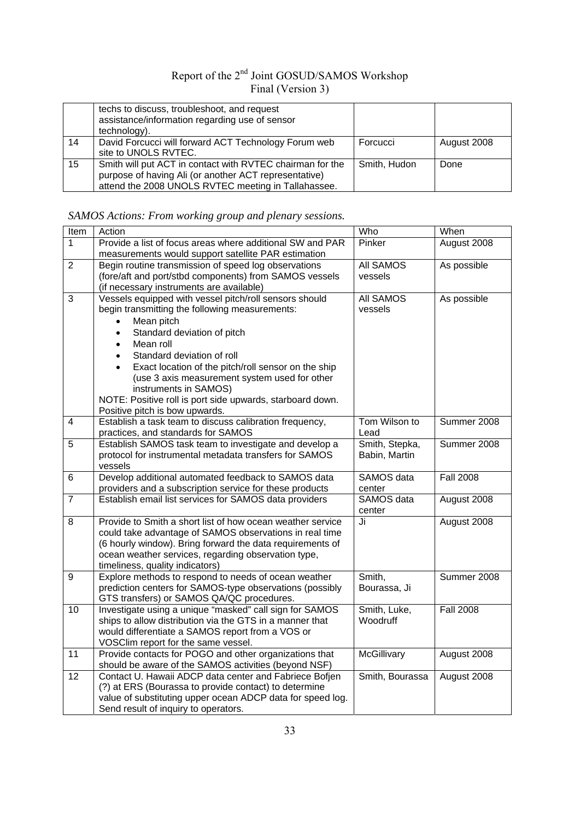|    | techs to discuss, troubleshoot, and request<br>assistance/information regarding use of sensor<br>technology).                                                             |              |             |
|----|---------------------------------------------------------------------------------------------------------------------------------------------------------------------------|--------------|-------------|
| 14 | David Forcucci will forward ACT Technology Forum web<br>site to UNOLS RVTEC.                                                                                              | Forcucci     | August 2008 |
| 15 | Smith will put ACT in contact with RVTEC chairman for the<br>purpose of having Ali (or another ACT representative)<br>attend the 2008 UNOLS RVTEC meeting in Tallahassee. | Smith, Hudon | Done        |

## *SAMOS Actions: From working group and plenary sessions.*

| Item            | Action                                                                                                | Who              | When             |
|-----------------|-------------------------------------------------------------------------------------------------------|------------------|------------------|
| $\mathbf{1}$    | Provide a list of focus areas where additional SW and PAR                                             | Pinker           | August 2008      |
|                 | measurements would support satellite PAR estimation                                                   |                  |                  |
| $\overline{2}$  | Begin routine transmission of speed log observations                                                  | All SAMOS        | As possible      |
|                 | (fore/aft and port/stbd components) from SAMOS vessels                                                | vessels          |                  |
|                 | (if necessary instruments are available)                                                              |                  |                  |
| 3               | Vessels equipped with vessel pitch/roll sensors should                                                | <b>All SAMOS</b> | As possible      |
|                 | begin transmitting the following measurements:                                                        | vessels          |                  |
|                 | Mean pitch                                                                                            |                  |                  |
|                 | Standard deviation of pitch<br>$\bullet$                                                              |                  |                  |
|                 | Mean roll<br>$\bullet$                                                                                |                  |                  |
|                 | Standard deviation of roll                                                                            |                  |                  |
|                 | Exact location of the pitch/roll sensor on the ship<br>$\bullet$                                      |                  |                  |
|                 | (use 3 axis measurement system used for other                                                         |                  |                  |
|                 | instruments in SAMOS)                                                                                 |                  |                  |
|                 | NOTE: Positive roll is port side upwards, starboard down.                                             |                  |                  |
|                 | Positive pitch is bow upwards.                                                                        |                  |                  |
| 4               | Establish a task team to discuss calibration frequency,                                               | Tom Wilson to    | Summer 2008      |
|                 | practices, and standards for SAMOS                                                                    | Lead             |                  |
| 5               | Establish SAMOS task team to investigate and develop a                                                | Smith, Stepka,   | Summer 2008      |
|                 | protocol for instrumental metadata transfers for SAMOS                                                | Babin, Martin    |                  |
|                 | vessels                                                                                               |                  |                  |
| $\overline{6}$  | Develop additional automated feedback to SAMOS data                                                   | SAMOS data       | <b>Fall 2008</b> |
|                 | providers and a subscription service for these products                                               | center           |                  |
| $\overline{7}$  | Establish email list services for SAMOS data providers                                                | SAMOS data       | August 2008      |
|                 |                                                                                                       | center           |                  |
| 8               | Provide to Smith a short list of how ocean weather service                                            | Ji               | August 2008      |
|                 | could take advantage of SAMOS observations in real time                                               |                  |                  |
|                 | (6 hourly window). Bring forward the data requirements of                                             |                  |                  |
|                 | ocean weather services, regarding observation type,                                                   |                  |                  |
|                 | timeliness, quality indicators)                                                                       |                  |                  |
| 9               | Explore methods to respond to needs of ocean weather                                                  | Smith,           | Summer 2008      |
|                 | prediction centers for SAMOS-type observations (possibly<br>GTS transfers) or SAMOS QA/QC procedures. | Bourassa, Ji     |                  |
| 10              | Investigate using a unique "masked" call sign for SAMOS                                               | Smith, Luke,     | <b>Fall 2008</b> |
|                 | ships to allow distribution via the GTS in a manner that                                              | Woodruff         |                  |
|                 | would differentiate a SAMOS report from a VOS or                                                      |                  |                  |
|                 | VOSClim report for the same vessel.                                                                   |                  |                  |
| $\overline{11}$ | Provide contacts for POGO and other organizations that                                                | McGillivary      | August 2008      |
|                 | should be aware of the SAMOS activities (beyond NSF)                                                  |                  |                  |
| 12              | Contact U. Hawaii ADCP data center and Fabriece Bofjen                                                | Smith, Bourassa  | August 2008      |
|                 | (?) at ERS (Bourassa to provide contact) to determine                                                 |                  |                  |
|                 | value of substituting upper ocean ADCP data for speed log.                                            |                  |                  |
|                 | Send result of inquiry to operators.                                                                  |                  |                  |
|                 |                                                                                                       |                  |                  |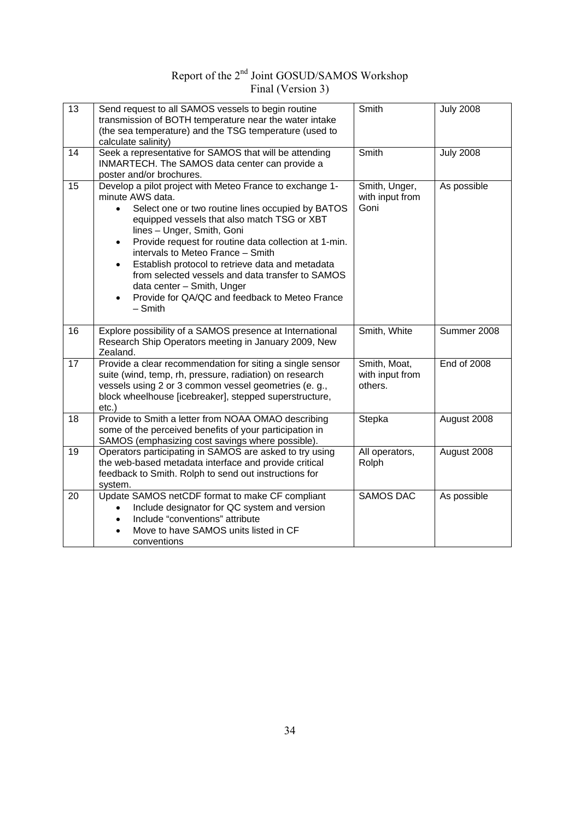| 13 | Send request to all SAMOS vessels to begin routine<br>transmission of BOTH temperature near the water intake<br>(the sea temperature) and the TSG temperature (used to<br>calculate salinity)                                                                                                                                                                                                                                                                                                                                                            | Smith                                      | <b>July 2008</b>   |
|----|----------------------------------------------------------------------------------------------------------------------------------------------------------------------------------------------------------------------------------------------------------------------------------------------------------------------------------------------------------------------------------------------------------------------------------------------------------------------------------------------------------------------------------------------------------|--------------------------------------------|--------------------|
| 14 | Seek a representative for SAMOS that will be attending<br>INMARTECH. The SAMOS data center can provide a<br>poster and/or brochures.                                                                                                                                                                                                                                                                                                                                                                                                                     | Smith                                      | <b>July 2008</b>   |
| 15 | Develop a pilot project with Meteo France to exchange 1-<br>minute AWS data.<br>Select one or two routine lines occupied by BATOS<br>$\bullet$<br>equipped vessels that also match TSG or XBT<br>lines - Unger, Smith, Goni<br>Provide request for routine data collection at 1-min.<br>$\bullet$<br>intervals to Meteo France - Smith<br>Establish protocol to retrieve data and metadata<br>$\bullet$<br>from selected vessels and data transfer to SAMOS<br>data center - Smith, Unger<br>Provide for QA/QC and feedback to Meteo France<br>$-$ Smith | Smith, Unger,<br>with input from<br>Goni   | As possible        |
| 16 | Explore possibility of a SAMOS presence at International<br>Research Ship Operators meeting in January 2009, New<br>Zealand.                                                                                                                                                                                                                                                                                                                                                                                                                             | Smith, White                               | Summer 2008        |
| 17 | Provide a clear recommendation for siting a single sensor<br>suite (wind, temp, rh, pressure, radiation) on research<br>vessels using 2 or 3 common vessel geometries (e. g.,<br>block wheelhouse [icebreaker], stepped superstructure,<br>etc.)                                                                                                                                                                                                                                                                                                         | Smith, Moat,<br>with input from<br>others. | <b>End of 2008</b> |
| 18 | Provide to Smith a letter from NOAA OMAO describing<br>some of the perceived benefits of your participation in<br>SAMOS (emphasizing cost savings where possible).                                                                                                                                                                                                                                                                                                                                                                                       | Stepka                                     | August 2008        |
| 19 | Operators participating in SAMOS are asked to try using<br>the web-based metadata interface and provide critical<br>feedback to Smith. Rolph to send out instructions for<br>system.                                                                                                                                                                                                                                                                                                                                                                     | All operators,<br>Rolph                    | August 2008        |
| 20 | Update SAMOS netCDF format to make CF compliant<br>Include designator for QC system and version<br>Include "conventions" attribute<br>$\bullet$<br>Move to have SAMOS units listed in CF<br>conventions                                                                                                                                                                                                                                                                                                                                                  | <b>SAMOS DAC</b>                           | As possible        |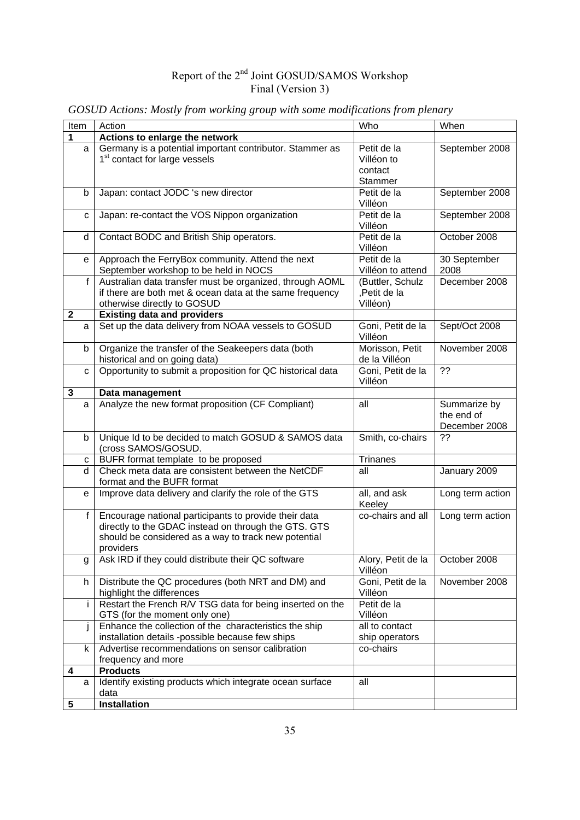| Item         | Action                                                                                                                                                                             | Who                                             | When                                        |
|--------------|------------------------------------------------------------------------------------------------------------------------------------------------------------------------------------|-------------------------------------------------|---------------------------------------------|
| 1            | Actions to enlarge the network                                                                                                                                                     |                                                 |                                             |
| a            | Germany is a potential important contributor. Stammer as<br>1 <sup>st</sup> contact for large vessels                                                                              | Petit de la<br>Villéon to<br>contact<br>Stammer | September 2008                              |
| b            | Japan: contact JODC 's new director                                                                                                                                                | Petit de la<br>Villéon                          | September 2008                              |
| c            | Japan: re-contact the VOS Nippon organization                                                                                                                                      | Petit de la<br>Villéon                          | September 2008                              |
| d            | Contact BODC and British Ship operators.                                                                                                                                           | Petit de la<br>Villéon                          | October 2008                                |
| e            | Approach the FerryBox community. Attend the next<br>September workshop to be held in NOCS                                                                                          | Petit de la<br>Villéon to attend                | 30 September<br>2008                        |
| $\mathbf f$  | Australian data transfer must be organized, through AOML<br>if there are both met & ocean data at the same frequency<br>otherwise directly to GOSUD                                | (Buttler, Schulz<br>,Petit de la<br>Villéon)    | December 2008                               |
| $\mathbf{2}$ | <b>Existing data and providers</b>                                                                                                                                                 |                                                 |                                             |
| a            | Set up the data delivery from NOAA vessels to GOSUD                                                                                                                                | Goni, Petit de la<br>Villéon                    | Sept/Oct 2008                               |
| b            | Organize the transfer of the Seakeepers data (both<br>historical and on going data)                                                                                                | Morisson, Petit<br>de la Villéon                | November 2008                               |
| C            | Opportunity to submit a proposition for QC historical data                                                                                                                         | Goni, Petit de la<br>Villéon                    | ??                                          |
| 3            | Data management                                                                                                                                                                    |                                                 |                                             |
| a            | Analyze the new format proposition (CF Compliant)                                                                                                                                  | all                                             | Summarize by<br>the end of<br>December 2008 |
| b            | Unique Id to be decided to match GOSUD & SAMOS data<br>(cross SAMOS/GOSUD.                                                                                                         | Smith, co-chairs                                | ??                                          |
| с            | BUFR format template to be proposed                                                                                                                                                | Trinanes                                        |                                             |
| d.           | Check meta data are consistent between the NetCDF<br>format and the BUFR format                                                                                                    | all                                             | January 2009                                |
| e            | Improve data delivery and clarify the role of the GTS                                                                                                                              | all, and ask<br>Keeley                          | Long term action                            |
| $\mathsf{f}$ | Encourage national participants to provide their data<br>directly to the GDAC instead on through the GTS. GTS<br>should be considered as a way to track new potential<br>providers | co-chairs and all                               | Long term action                            |
| g            | Ask IRD if they could distribute their QC software                                                                                                                                 | Alory, Petit de la<br>Villéon                   | October 2008                                |
| h            | Distribute the QC procedures (both NRT and DM) and<br>highlight the differences                                                                                                    | Goni, Petit de la<br>Villéon                    | November 2008                               |
| i.           | Restart the French R/V TSG data for being inserted on the<br>GTS (for the moment only one)                                                                                         | Petit de la<br>Villéon                          |                                             |
| İ            | Enhance the collection of the characteristics the ship<br>installation details -possible because few ships                                                                         | all to contact<br>ship operators                |                                             |
| k            | Advertise recommendations on sensor calibration<br>frequency and more                                                                                                              | co-chairs                                       |                                             |
| 4            | <b>Products</b>                                                                                                                                                                    |                                                 |                                             |
| a            | Identify existing products which integrate ocean surface<br>data                                                                                                                   | all                                             |                                             |
| 5            | <b>Installation</b>                                                                                                                                                                |                                                 |                                             |

*GOSUD Actions: Mostly from working group with some modifications from plenary*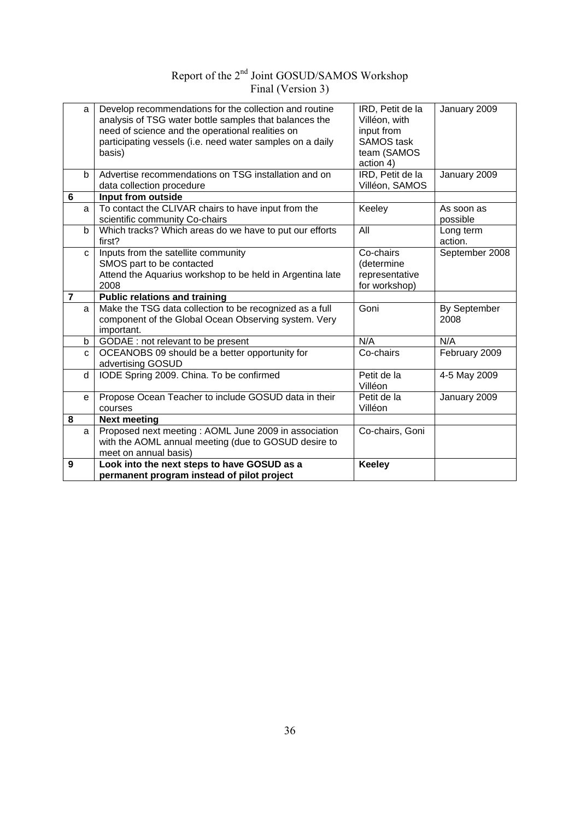| a              | Develop recommendations for the collection and routine<br>analysis of TSG water bottle samples that balances the<br>need of science and the operational realities on<br>participating vessels (i.e. need water samples on a daily<br>basis) | IRD, Petit de la<br>Villéon, with<br>input from<br><b>SAMOS</b> task<br>team (SAMOS<br>action 4) | January 2009           |
|----------------|---------------------------------------------------------------------------------------------------------------------------------------------------------------------------------------------------------------------------------------------|--------------------------------------------------------------------------------------------------|------------------------|
| b              | Advertise recommendations on TSG installation and on                                                                                                                                                                                        | IRD, Petit de la                                                                                 | January 2009           |
|                | data collection procedure                                                                                                                                                                                                                   | Villéon, SAMOS                                                                                   |                        |
| $6\phantom{1}$ | Input from outside                                                                                                                                                                                                                          |                                                                                                  |                        |
| a              | To contact the CLIVAR chairs to have input from the<br>scientific community Co-chairs                                                                                                                                                       | Keeley                                                                                           | As soon as<br>possible |
| b              | Which tracks? Which areas do we have to put our efforts<br>first?                                                                                                                                                                           | All                                                                                              | Long term<br>action.   |
| $\mathbf{C}$   | Inputs from the satellite community<br>SMOS part to be contacted<br>Attend the Aquarius workshop to be held in Argentina late<br>2008                                                                                                       | Co-chairs<br>(determine<br>representative<br>for workshop)                                       | September 2008         |
| $\overline{7}$ | <b>Public relations and training</b>                                                                                                                                                                                                        |                                                                                                  |                        |
| a              | Make the TSG data collection to be recognized as a full<br>component of the Global Ocean Observing system. Very<br>important.                                                                                                               | Goni                                                                                             | By September<br>2008   |
| b              | GODAE : not relevant to be present                                                                                                                                                                                                          | N/A                                                                                              | N/A                    |
| $\mathbf{C}$   | OCEANOBS 09 should be a better opportunity for<br>advertising GOSUD                                                                                                                                                                         | Co-chairs                                                                                        | February 2009          |
| d              | IODE Spring 2009. China. To be confirmed                                                                                                                                                                                                    | Petit de la<br>Villéon                                                                           | 4-5 May 2009           |
| e              | Propose Ocean Teacher to include GOSUD data in their<br>courses                                                                                                                                                                             | Petit de la<br>Villéon                                                                           | January 2009           |
| 8              | <b>Next meeting</b>                                                                                                                                                                                                                         |                                                                                                  |                        |
| a              | Proposed next meeting : AOML June 2009 in association<br>with the AOML annual meeting (due to GOSUD desire to<br>meet on annual basis)                                                                                                      | Co-chairs, Goni                                                                                  |                        |
| 9              | Look into the next steps to have GOSUD as a<br>permanent program instead of pilot project                                                                                                                                                   | <b>Keeley</b>                                                                                    |                        |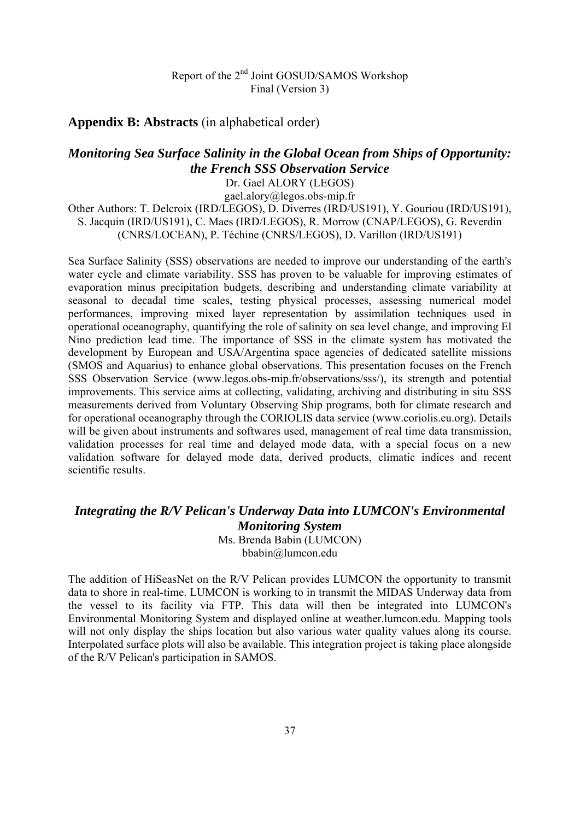#### **Appendix B: Abstracts** (in alphabetical order)

#### *Monitoring Sea Surface Salinity in the Global Ocean from Ships of Opportunity: the French SSS Observation Service*

Dr. Gael ALORY (LEGOS)

gael.alory@legos.obs-mip.fr Other Authors: T. Delcroix (IRD/LEGOS), D. Diverres (IRD/US191), Y. Gouriou (IRD/US191), S. Jacquin (IRD/US191), C. Maes (IRD/LEGOS), R. Morrow (CNAP/LEGOS), G. Reverdin (CNRS/LOCEAN), P. Téchine (CNRS/LEGOS), D. Varillon (IRD/US191)

Sea Surface Salinity (SSS) observations are needed to improve our understanding of the earth's water cycle and climate variability. SSS has proven to be valuable for improving estimates of evaporation minus precipitation budgets, describing and understanding climate variability at seasonal to decadal time scales, testing physical processes, assessing numerical model performances, improving mixed layer representation by assimilation techniques used in operational oceanography, quantifying the role of salinity on sea level change, and improving El Nino prediction lead time. The importance of SSS in the climate system has motivated the development by European and USA/Argentina space agencies of dedicated satellite missions (SMOS and Aquarius) to enhance global observations. This presentation focuses on the French SSS Observation Service (www.legos.obs-mip.fr/observations/sss/), its strength and potential improvements. This service aims at collecting, validating, archiving and distributing in situ SSS measurements derived from Voluntary Observing Ship programs, both for climate research and for operational oceanography through the CORIOLIS data service (www.coriolis.eu.org). Details will be given about instruments and softwares used, management of real time data transmission, validation processes for real time and delayed mode data, with a special focus on a new validation software for delayed mode data, derived products, climatic indices and recent scientific results.

### *Integrating the R/V Pelican's Underway Data into LUMCON's Environmental Monitoring System*

Ms. Brenda Babin (LUMCON) bbabin@lumcon.edu

The addition of HiSeasNet on the R/V Pelican provides LUMCON the opportunity to transmit data to shore in real-time. LUMCON is working to in transmit the MIDAS Underway data from the vessel to its facility via FTP. This data will then be integrated into LUMCON's Environmental Monitoring System and displayed online at weather.lumcon.edu. Mapping tools will not only display the ships location but also various water quality values along its course. Interpolated surface plots will also be available. This integration project is taking place alongside of the R/V Pelican's participation in SAMOS.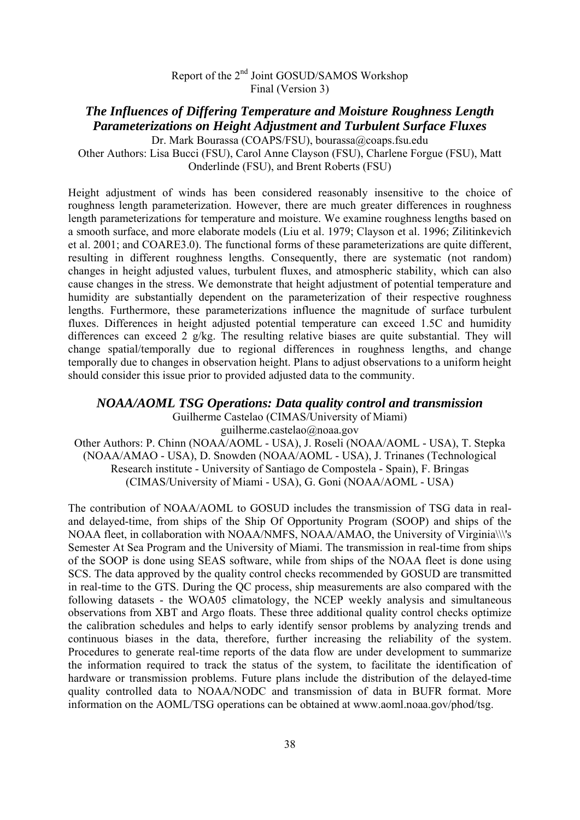#### *The Influences of Differing Temperature and Moisture Roughness Length Parameterizations on Height Adjustment and Turbulent Surface Fluxes*  Dr. Mark Bourassa (COAPS/FSU), bourassa@coaps.fsu.edu

Other Authors: Lisa Bucci (FSU), Carol Anne Clayson (FSU), Charlene Forgue (FSU), Matt Onderlinde (FSU), and Brent Roberts (FSU)

Height adjustment of winds has been considered reasonably insensitive to the choice of roughness length parameterization. However, there are much greater differences in roughness length parameterizations for temperature and moisture. We examine roughness lengths based on a smooth surface, and more elaborate models (Liu et al. 1979; Clayson et al. 1996; Zilitinkevich et al. 2001; and COARE3.0). The functional forms of these parameterizations are quite different, resulting in different roughness lengths. Consequently, there are systematic (not random) changes in height adjusted values, turbulent fluxes, and atmospheric stability, which can also cause changes in the stress. We demonstrate that height adjustment of potential temperature and humidity are substantially dependent on the parameterization of their respective roughness lengths. Furthermore, these parameterizations influence the magnitude of surface turbulent fluxes. Differences in height adjusted potential temperature can exceed 1.5C and humidity differences can exceed 2 g/kg. The resulting relative biases are quite substantial. They will change spatial/temporally due to regional differences in roughness lengths, and change temporally due to changes in observation height. Plans to adjust observations to a uniform height should consider this issue prior to provided adjusted data to the community.

*NOAA/AOML TSG Operations: Data quality control and transmission*  Guilherme Castelao (CIMAS/University of Miami) guilherme.castelao@noaa.gov

Other Authors: P. Chinn (NOAA/AOML - USA), J. Roseli (NOAA/AOML - USA), T. Stepka (NOAA/AMAO - USA), D. Snowden (NOAA/AOML - USA), J. Trinanes (Technological Research institute - University of Santiago de Compostela - Spain), F. Bringas (CIMAS/University of Miami - USA), G. Goni (NOAA/AOML - USA)

The contribution of NOAA/AOML to GOSUD includes the transmission of TSG data in realand delayed-time, from ships of the Ship Of Opportunity Program (SOOP) and ships of the NOAA fleet, in collaboration with NOAA/NMFS, NOAA/AMAO, the University of Virginia\\\'s Semester At Sea Program and the University of Miami. The transmission in real-time from ships of the SOOP is done using SEAS software, while from ships of the NOAA fleet is done using SCS. The data approved by the quality control checks recommended by GOSUD are transmitted in real-time to the GTS. During the QC process, ship measurements are also compared with the following datasets - the WOA05 climatology, the NCEP weekly analysis and simultaneous observations from XBT and Argo floats. These three additional quality control checks optimize the calibration schedules and helps to early identify sensor problems by analyzing trends and continuous biases in the data, therefore, further increasing the reliability of the system. Procedures to generate real-time reports of the data flow are under development to summarize the information required to track the status of the system, to facilitate the identification of hardware or transmission problems. Future plans include the distribution of the delayed-time quality controlled data to NOAA/NODC and transmission of data in BUFR format. More information on the AOML/TSG operations can be obtained at www.aoml.noaa.gov/phod/tsg.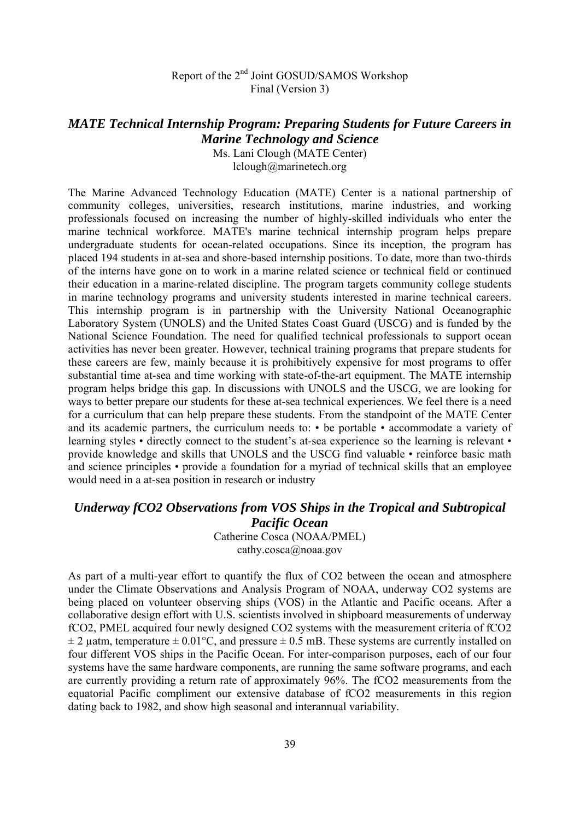#### *MATE Technical Internship Program: Preparing Students for Future Careers in Marine Technology and Science*

Ms. Lani Clough (MATE Center) lclough@marinetech.org

The Marine Advanced Technology Education (MATE) Center is a national partnership of community colleges, universities, research institutions, marine industries, and working professionals focused on increasing the number of highly-skilled individuals who enter the marine technical workforce. MATE's marine technical internship program helps prepare undergraduate students for ocean-related occupations. Since its inception, the program has placed 194 students in at-sea and shore-based internship positions. To date, more than two-thirds of the interns have gone on to work in a marine related science or technical field or continued their education in a marine-related discipline. The program targets community college students in marine technology programs and university students interested in marine technical careers. This internship program is in partnership with the University National Oceanographic Laboratory System (UNOLS) and the United States Coast Guard (USCG) and is funded by the National Science Foundation. The need for qualified technical professionals to support ocean activities has never been greater. However, technical training programs that prepare students for these careers are few, mainly because it is prohibitively expensive for most programs to offer substantial time at-sea and time working with state-of-the-art equipment. The MATE internship program helps bridge this gap. In discussions with UNOLS and the USCG, we are looking for ways to better prepare our students for these at-sea technical experiences. We feel there is a need for a curriculum that can help prepare these students. From the standpoint of the MATE Center and its academic partners, the curriculum needs to: • be portable • accommodate a variety of learning styles • directly connect to the student's at-sea experience so the learning is relevant • provide knowledge and skills that UNOLS and the USCG find valuable • reinforce basic math and science principles • provide a foundation for a myriad of technical skills that an employee would need in a at-sea position in research or industry

#### *Underway fCO2 Observations from VOS Ships in the Tropical and Subtropical Pacific Ocean*

Catherine Cosca (NOAA/PMEL) cathy.cosca@noaa.gov

As part of a multi-year effort to quantify the flux of CO2 between the ocean and atmosphere under the Climate Observations and Analysis Program of NOAA, underway CO2 systems are being placed on volunteer observing ships (VOS) in the Atlantic and Pacific oceans. After a collaborative design effort with U.S. scientists involved in shipboard measurements of underway fCO2, PMEL acquired four newly designed CO2 systems with the measurement criteria of fCO2  $\pm$  2 uatm, temperature  $\pm$  0.01°C, and pressure  $\pm$  0.5 mB. These systems are currently installed on four different VOS ships in the Pacific Ocean. For inter-comparison purposes, each of our four systems have the same hardware components, are running the same software programs, and each are currently providing a return rate of approximately 96%. The fCO2 measurements from the equatorial Pacific compliment our extensive database of fCO2 measurements in this region dating back to 1982, and show high seasonal and interannual variability.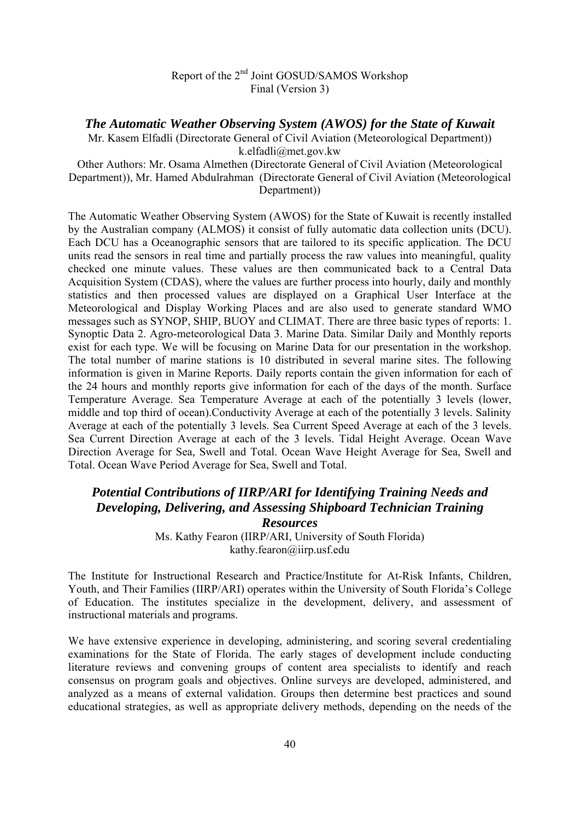#### *The Automatic Weather Observing System (AWOS) for the State of Kuwait*

Mr. Kasem Elfadli (Directorate General of Civil Aviation (Meteorological Department)) k.elfadli@met.gov.kw

Other Authors: Mr. Osama Almethen (Directorate General of Civil Aviation (Meteorological Department)), Mr. Hamed Abdulrahman (Directorate General of Civil Aviation (Meteorological Department))

The Automatic Weather Observing System (AWOS) for the State of Kuwait is recently installed by the Australian company (ALMOS) it consist of fully automatic data collection units (DCU). Each DCU has a Oceanographic sensors that are tailored to its specific application. The DCU units read the sensors in real time and partially process the raw values into meaningful, quality checked one minute values. These values are then communicated back to a Central Data Acquisition System (CDAS), where the values are further process into hourly, daily and monthly statistics and then processed values are displayed on a Graphical User Interface at the Meteorological and Display Working Places and are also used to generate standard WMO messages such as SYNOP, SHIP, BUOY and CLIMAT. There are three basic types of reports: 1. Synoptic Data 2. Agro-meteorological Data 3. Marine Data. Similar Daily and Monthly reports exist for each type. We will be focusing on Marine Data for our presentation in the workshop. The total number of marine stations is 10 distributed in several marine sites. The following information is given in Marine Reports. Daily reports contain the given information for each of the 24 hours and monthly reports give information for each of the days of the month. Surface Temperature Average. Sea Temperature Average at each of the potentially 3 levels (lower, middle and top third of ocean).Conductivity Average at each of the potentially 3 levels. Salinity Average at each of the potentially 3 levels. Sea Current Speed Average at each of the 3 levels. Sea Current Direction Average at each of the 3 levels. Tidal Height Average. Ocean Wave Direction Average for Sea, Swell and Total. Ocean Wave Height Average for Sea, Swell and Total. Ocean Wave Period Average for Sea, Swell and Total.

# *Potential Contributions of IIRP/ARI for Identifying Training Needs and Developing, Delivering, and Assessing Shipboard Technician Training Resources*

Ms. Kathy Fearon (IIRP/ARI, University of South Florida) kathy.fearon@iirp.usf.edu

The Institute for Instructional Research and Practice/Institute for At-Risk Infants, Children, Youth, and Their Families (IIRP/ARI) operates within the University of South Florida's College of Education. The institutes specialize in the development, delivery, and assessment of instructional materials and programs.

We have extensive experience in developing, administering, and scoring several credentialing examinations for the State of Florida. The early stages of development include conducting literature reviews and convening groups of content area specialists to identify and reach consensus on program goals and objectives. Online surveys are developed, administered, and analyzed as a means of external validation. Groups then determine best practices and sound educational strategies, as well as appropriate delivery methods, depending on the needs of the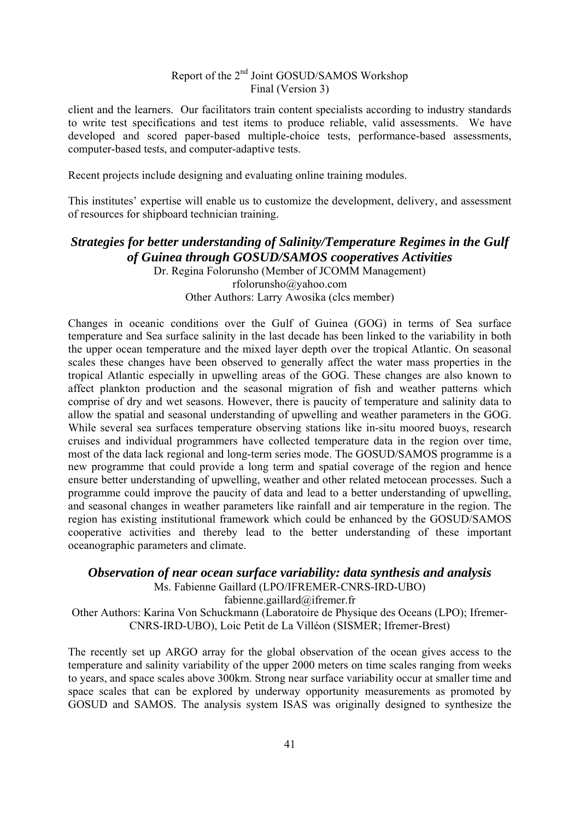client and the learners. Our facilitators train content specialists according to industry standards to write test specifications and test items to produce reliable, valid assessments. We have developed and scored paper-based multiple-choice tests, performance-based assessments, computer-based tests, and computer-adaptive tests.

Recent projects include designing and evaluating online training modules.

This institutes' expertise will enable us to customize the development, delivery, and assessment of resources for shipboard technician training.

# *Strategies for better understanding of Salinity/Temperature Regimes in the Gulf of Guinea through GOSUD/SAMOS cooperatives Activities*

Dr. Regina Folorunsho (Member of JCOMM Management) rfolorunsho@yahoo.com Other Authors: Larry Awosika (clcs member)

Changes in oceanic conditions over the Gulf of Guinea (GOG) in terms of Sea surface temperature and Sea surface salinity in the last decade has been linked to the variability in both the upper ocean temperature and the mixed layer depth over the tropical Atlantic. On seasonal scales these changes have been observed to generally affect the water mass properties in the tropical Atlantic especially in upwelling areas of the GOG. These changes are also known to affect plankton production and the seasonal migration of fish and weather patterns which comprise of dry and wet seasons. However, there is paucity of temperature and salinity data to allow the spatial and seasonal understanding of upwelling and weather parameters in the GOG. While several sea surfaces temperature observing stations like in-situ moored buoys, research cruises and individual programmers have collected temperature data in the region over time, most of the data lack regional and long-term series mode. The GOSUD/SAMOS programme is a new programme that could provide a long term and spatial coverage of the region and hence ensure better understanding of upwelling, weather and other related metocean processes. Such a programme could improve the paucity of data and lead to a better understanding of upwelling, and seasonal changes in weather parameters like rainfall and air temperature in the region. The region has existing institutional framework which could be enhanced by the GOSUD/SAMOS cooperative activities and thereby lead to the better understanding of these important oceanographic parameters and climate.

*Observation of near ocean surface variability: data synthesis and analysis* 

Ms. Fabienne Gaillard (LPO/IFREMER-CNRS-IRD-UBO)

fabienne.gaillard@ifremer.fr

Other Authors: Karina Von Schuckmann (Laboratoire de Physique des Oceans (LPO); Ifremer-CNRS-IRD-UBO), Loic Petit de La Villéon (SISMER; Ifremer-Brest)

The recently set up ARGO array for the global observation of the ocean gives access to the temperature and salinity variability of the upper 2000 meters on time scales ranging from weeks to years, and space scales above 300km. Strong near surface variability occur at smaller time and space scales that can be explored by underway opportunity measurements as promoted by GOSUD and SAMOS. The analysis system ISAS was originally designed to synthesize the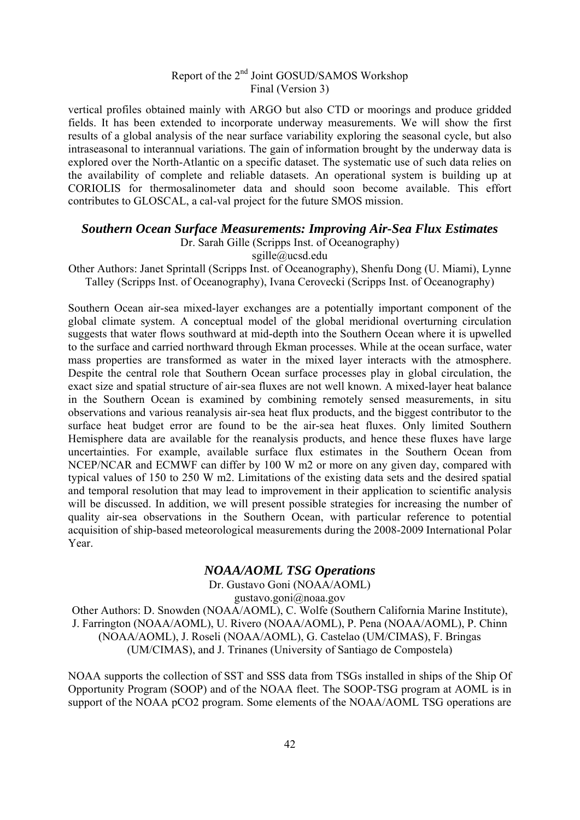vertical profiles obtained mainly with ARGO but also CTD or moorings and produce gridded fields. It has been extended to incorporate underway measurements. We will show the first results of a global analysis of the near surface variability exploring the seasonal cycle, but also intraseasonal to interannual variations. The gain of information brought by the underway data is explored over the North-Atlantic on a specific dataset. The systematic use of such data relies on the availability of complete and reliable datasets. An operational system is building up at CORIOLIS for thermosalinometer data and should soon become available. This effort contributes to GLOSCAL, a cal-val project for the future SMOS mission.

#### *Southern Ocean Surface Measurements: Improving Air-Sea Flux Estimates*

Dr. Sarah Gille (Scripps Inst. of Oceanography)

sgille@ucsd.edu

Other Authors: Janet Sprintall (Scripps Inst. of Oceanography), Shenfu Dong (U. Miami), Lynne Talley (Scripps Inst. of Oceanography), Ivana Cerovecki (Scripps Inst. of Oceanography)

Southern Ocean air-sea mixed-layer exchanges are a potentially important component of the global climate system. A conceptual model of the global meridional overturning circulation suggests that water flows southward at mid-depth into the Southern Ocean where it is upwelled to the surface and carried northward through Ekman processes. While at the ocean surface, water mass properties are transformed as water in the mixed layer interacts with the atmosphere. Despite the central role that Southern Ocean surface processes play in global circulation, the exact size and spatial structure of air-sea fluxes are not well known. A mixed-layer heat balance in the Southern Ocean is examined by combining remotely sensed measurements, in situ observations and various reanalysis air-sea heat flux products, and the biggest contributor to the surface heat budget error are found to be the air-sea heat fluxes. Only limited Southern Hemisphere data are available for the reanalysis products, and hence these fluxes have large uncertainties. For example, available surface flux estimates in the Southern Ocean from NCEP/NCAR and ECMWF can differ by 100 W m2 or more on any given day, compared with typical values of 150 to 250 W m2. Limitations of the existing data sets and the desired spatial and temporal resolution that may lead to improvement in their application to scientific analysis will be discussed. In addition, we will present possible strategies for increasing the number of quality air-sea observations in the Southern Ocean, with particular reference to potential acquisition of ship-based meteorological measurements during the 2008-2009 International Polar Year.

#### *NOAA/AOML TSG Operations*

Dr. Gustavo Goni (NOAA/AOML)

gustavo.goni@noaa.gov

Other Authors: D. Snowden (NOAA/AOML), C. Wolfe (Southern California Marine Institute), J. Farrington (NOAA/AOML), U. Rivero (NOAA/AOML), P. Pena (NOAA/AOML), P. Chinn (NOAA/AOML), J. Roseli (NOAA/AOML), G. Castelao (UM/CIMAS), F. Bringas (UM/CIMAS), and J. Trinanes (University of Santiago de Compostela)

NOAA supports the collection of SST and SSS data from TSGs installed in ships of the Ship Of Opportunity Program (SOOP) and of the NOAA fleet. The SOOP-TSG program at AOML is in support of the NOAA pCO2 program. Some elements of the NOAA/AOML TSG operations are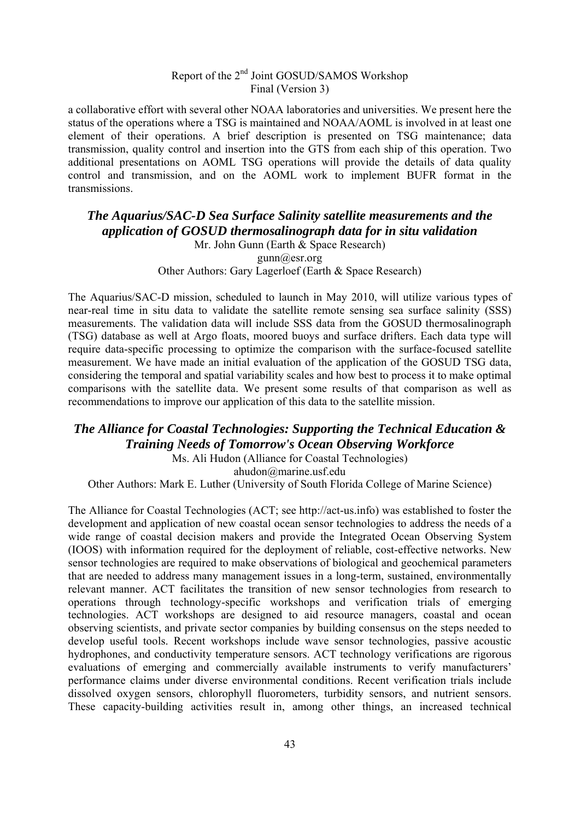a collaborative effort with several other NOAA laboratories and universities. We present here the status of the operations where a TSG is maintained and NOAA/AOML is involved in at least one element of their operations. A brief description is presented on TSG maintenance; data transmission, quality control and insertion into the GTS from each ship of this operation. Two additional presentations on AOML TSG operations will provide the details of data quality control and transmission, and on the AOML work to implement BUFR format in the transmissions.

# *The Aquarius/SAC-D Sea Surface Salinity satellite measurements and the application of GOSUD thermosalinograph data for in situ validation*

Mr. John Gunn (Earth & Space Research) gunn@esr.org Other Authors: Gary Lagerloef (Earth & Space Research)

The Aquarius/SAC-D mission, scheduled to launch in May 2010, will utilize various types of near-real time in situ data to validate the satellite remote sensing sea surface salinity (SSS) measurements. The validation data will include SSS data from the GOSUD thermosalinograph (TSG) database as well at Argo floats, moored buoys and surface drifters. Each data type will require data-specific processing to optimize the comparison with the surface-focused satellite measurement. We have made an initial evaluation of the application of the GOSUD TSG data, considering the temporal and spatial variability scales and how best to process it to make optimal comparisons with the satellite data. We present some results of that comparison as well as recommendations to improve our application of this data to the satellite mission.

# *The Alliance for Coastal Technologies: Supporting the Technical Education & Training Needs of Tomorrow's Ocean Observing Workforce*

Ms. Ali Hudon (Alliance for Coastal Technologies)

ahudon@marine.usf.edu

Other Authors: Mark E. Luther (University of South Florida College of Marine Science)

The Alliance for Coastal Technologies (ACT; see http://act-us.info) was established to foster the development and application of new coastal ocean sensor technologies to address the needs of a wide range of coastal decision makers and provide the Integrated Ocean Observing System (IOOS) with information required for the deployment of reliable, cost-effective networks. New sensor technologies are required to make observations of biological and geochemical parameters that are needed to address many management issues in a long-term, sustained, environmentally relevant manner. ACT facilitates the transition of new sensor technologies from research to operations through technology-specific workshops and verification trials of emerging technologies. ACT workshops are designed to aid resource managers, coastal and ocean observing scientists, and private sector companies by building consensus on the steps needed to develop useful tools. Recent workshops include wave sensor technologies, passive acoustic hydrophones, and conductivity temperature sensors. ACT technology verifications are rigorous evaluations of emerging and commercially available instruments to verify manufacturers' performance claims under diverse environmental conditions. Recent verification trials include dissolved oxygen sensors, chlorophyll fluorometers, turbidity sensors, and nutrient sensors. These capacity-building activities result in, among other things, an increased technical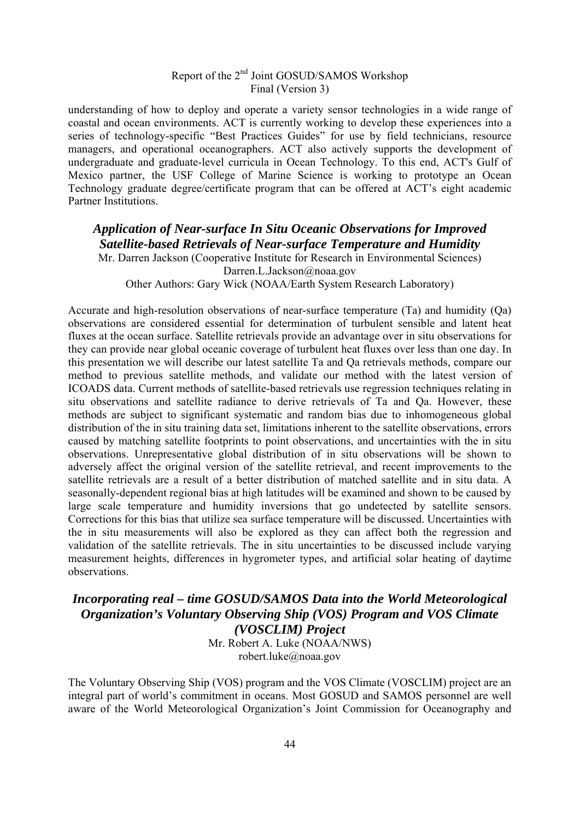understanding of how to deploy and operate a variety sensor technologies in a wide range of coastal and ocean environments. ACT is currently working to develop these experiences into a series of technology-specific "Best Practices Guides" for use by field technicians, resource managers, and operational oceanographers. ACT also actively supports the development of undergraduate and graduate-level curricula in Ocean Technology. To this end, ACT's Gulf of Mexico partner, the USF College of Marine Science is working to prototype an Ocean Technology graduate degree/certificate program that can be offered at ACT's eight academic Partner Institutions.

# *Application of Near-surface In Situ Oceanic Observations for Improved Satellite-based Retrievals of Near-surface Temperature and Humidity*

Mr. Darren Jackson (Cooperative Institute for Research in Environmental Sciences) Darren.L.Jackson@noaa.gov Other Authors: Gary Wick (NOAA/Earth System Research Laboratory)

Accurate and high-resolution observations of near-surface temperature (Ta) and humidity (Qa) observations are considered essential for determination of turbulent sensible and latent heat fluxes at the ocean surface. Satellite retrievals provide an advantage over in situ observations for they can provide near global oceanic coverage of turbulent heat fluxes over less than one day. In this presentation we will describe our latest satellite Ta and Qa retrievals methods, compare our method to previous satellite methods, and validate our method with the latest version of ICOADS data. Current methods of satellite-based retrievals use regression techniques relating in situ observations and satellite radiance to derive retrievals of Ta and Qa. However, these methods are subject to significant systematic and random bias due to inhomogeneous global distribution of the in situ training data set, limitations inherent to the satellite observations, errors caused by matching satellite footprints to point observations, and uncertainties with the in situ observations. Unrepresentative global distribution of in situ observations will be shown to adversely affect the original version of the satellite retrieval, and recent improvements to the satellite retrievals are a result of a better distribution of matched satellite and in situ data. A seasonally-dependent regional bias at high latitudes will be examined and shown to be caused by large scale temperature and humidity inversions that go undetected by satellite sensors. Corrections for this bias that utilize sea surface temperature will be discussed. Uncertainties with the in situ measurements will also be explored as they can affect both the regression and validation of the satellite retrievals. The in situ uncertainties to be discussed include varying measurement heights, differences in hygrometer types, and artificial solar heating of daytime observations.

#### *Incorporating real – time GOSUD/SAMOS Data into the World Meteorological Organization's Voluntary Observing Ship (VOS) Program and VOS Climate (VOSCLIM) Project*

Mr. Robert A. Luke (NOAA/NWS) robert.luke@noaa.gov

The Voluntary Observing Ship (VOS) program and the VOS Climate (VOSCLIM) project are an integral part of world's commitment in oceans. Most GOSUD and SAMOS personnel are well aware of the World Meteorological Organization's Joint Commission for Oceanography and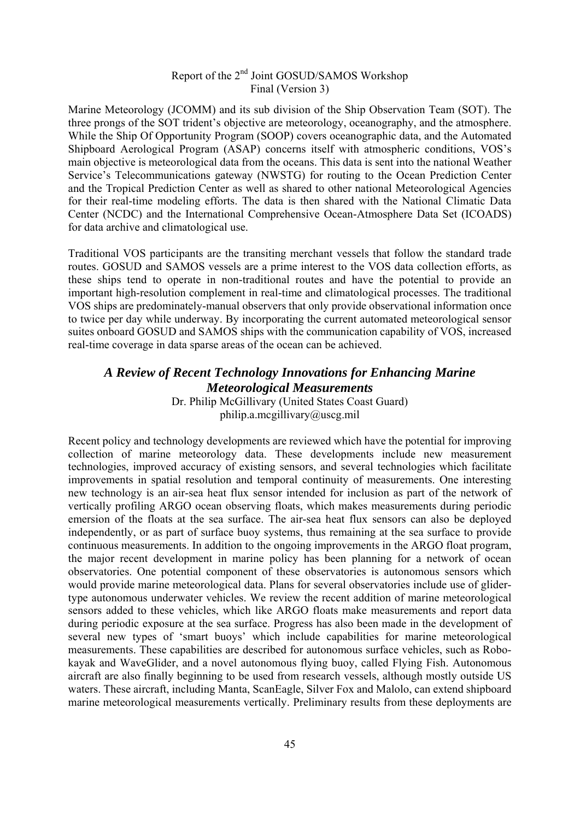Marine Meteorology (JCOMM) and its sub division of the Ship Observation Team (SOT). The three prongs of the SOT trident's objective are meteorology, oceanography, and the atmosphere. While the Ship Of Opportunity Program (SOOP) covers oceanographic data, and the Automated Shipboard Aerological Program (ASAP) concerns itself with atmospheric conditions, VOS's main objective is meteorological data from the oceans. This data is sent into the national Weather Service's Telecommunications gateway (NWSTG) for routing to the Ocean Prediction Center and the Tropical Prediction Center as well as shared to other national Meteorological Agencies for their real-time modeling efforts. The data is then shared with the National Climatic Data Center (NCDC) and the International Comprehensive Ocean-Atmosphere Data Set (ICOADS) for data archive and climatological use.

Traditional VOS participants are the transiting merchant vessels that follow the standard trade routes. GOSUD and SAMOS vessels are a prime interest to the VOS data collection efforts, as these ships tend to operate in non-traditional routes and have the potential to provide an important high-resolution complement in real-time and climatological processes. The traditional VOS ships are predominately-manual observers that only provide observational information once to twice per day while underway. By incorporating the current automated meteorological sensor suites onboard GOSUD and SAMOS ships with the communication capability of VOS, increased real-time coverage in data sparse areas of the ocean can be achieved.

### *A Review of Recent Technology Innovations for Enhancing Marine Meteorological Measurements*

Dr. Philip McGillivary (United States Coast Guard) philip.a.mcgillivary@uscg.mil

Recent policy and technology developments are reviewed which have the potential for improving collection of marine meteorology data. These developments include new measurement technologies, improved accuracy of existing sensors, and several technologies which facilitate improvements in spatial resolution and temporal continuity of measurements. One interesting new technology is an air-sea heat flux sensor intended for inclusion as part of the network of vertically profiling ARGO ocean observing floats, which makes measurements during periodic emersion of the floats at the sea surface. The air-sea heat flux sensors can also be deployed independently, or as part of surface buoy systems, thus remaining at the sea surface to provide continuous measurements. In addition to the ongoing improvements in the ARGO float program, the major recent development in marine policy has been planning for a network of ocean observatories. One potential component of these observatories is autonomous sensors which would provide marine meteorological data. Plans for several observatories include use of glidertype autonomous underwater vehicles. We review the recent addition of marine meteorological sensors added to these vehicles, which like ARGO floats make measurements and report data during periodic exposure at the sea surface. Progress has also been made in the development of several new types of 'smart buoys' which include capabilities for marine meteorological measurements. These capabilities are described for autonomous surface vehicles, such as Robokayak and WaveGlider, and a novel autonomous flying buoy, called Flying Fish. Autonomous aircraft are also finally beginning to be used from research vessels, although mostly outside US waters. These aircraft, including Manta, ScanEagle, Silver Fox and Malolo, can extend shipboard marine meteorological measurements vertically. Preliminary results from these deployments are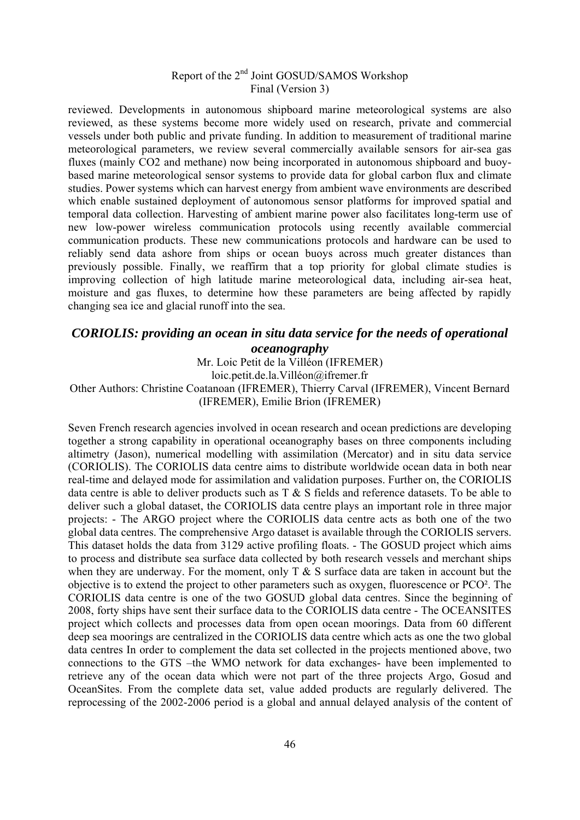reviewed. Developments in autonomous shipboard marine meteorological systems are also reviewed, as these systems become more widely used on research, private and commercial vessels under both public and private funding. In addition to measurement of traditional marine meteorological parameters, we review several commercially available sensors for air-sea gas fluxes (mainly CO2 and methane) now being incorporated in autonomous shipboard and buoybased marine meteorological sensor systems to provide data for global carbon flux and climate studies. Power systems which can harvest energy from ambient wave environments are described which enable sustained deployment of autonomous sensor platforms for improved spatial and temporal data collection. Harvesting of ambient marine power also facilitates long-term use of new low-power wireless communication protocols using recently available commercial communication products. These new communications protocols and hardware can be used to reliably send data ashore from ships or ocean buoys across much greater distances than previously possible. Finally, we reaffirm that a top priority for global climate studies is improving collection of high latitude marine meteorological data, including air-sea heat, moisture and gas fluxes, to determine how these parameters are being affected by rapidly changing sea ice and glacial runoff into the sea.

### *CORIOLIS: providing an ocean in situ data service for the needs of operational oceanography*

Mr. Loic Petit de la Villéon (IFREMER)

loic.petit.de.la.Villéon@ifremer.fr

#### Other Authors: Christine Coatanoan (IFREMER), Thierry Carval (IFREMER), Vincent Bernard (IFREMER), Emilie Brion (IFREMER)

Seven French research agencies involved in ocean research and ocean predictions are developing together a strong capability in operational oceanography bases on three components including altimetry (Jason), numerical modelling with assimilation (Mercator) and in situ data service (CORIOLIS). The CORIOLIS data centre aims to distribute worldwide ocean data in both near real-time and delayed mode for assimilation and validation purposes. Further on, the CORIOLIS data centre is able to deliver products such as T & S fields and reference datasets. To be able to deliver such a global dataset, the CORIOLIS data centre plays an important role in three major projects: - The ARGO project where the CORIOLIS data centre acts as both one of the two global data centres. The comprehensive Argo dataset is available through the CORIOLIS servers. This dataset holds the data from 3129 active profiling floats. - The GOSUD project which aims to process and distribute sea surface data collected by both research vessels and merchant ships when they are underway. For the moment, only  $T \& S$  surface data are taken in account but the objective is to extend the project to other parameters such as oxygen, fluorescence or PCO². The CORIOLIS data centre is one of the two GOSUD global data centres. Since the beginning of 2008, forty ships have sent their surface data to the CORIOLIS data centre - The OCEANSITES project which collects and processes data from open ocean moorings. Data from 60 different deep sea moorings are centralized in the CORIOLIS data centre which acts as one the two global data centres In order to complement the data set collected in the projects mentioned above, two connections to the GTS –the WMO network for data exchanges- have been implemented to retrieve any of the ocean data which were not part of the three projects Argo, Gosud and OceanSites. From the complete data set, value added products are regularly delivered. The reprocessing of the 2002-2006 period is a global and annual delayed analysis of the content of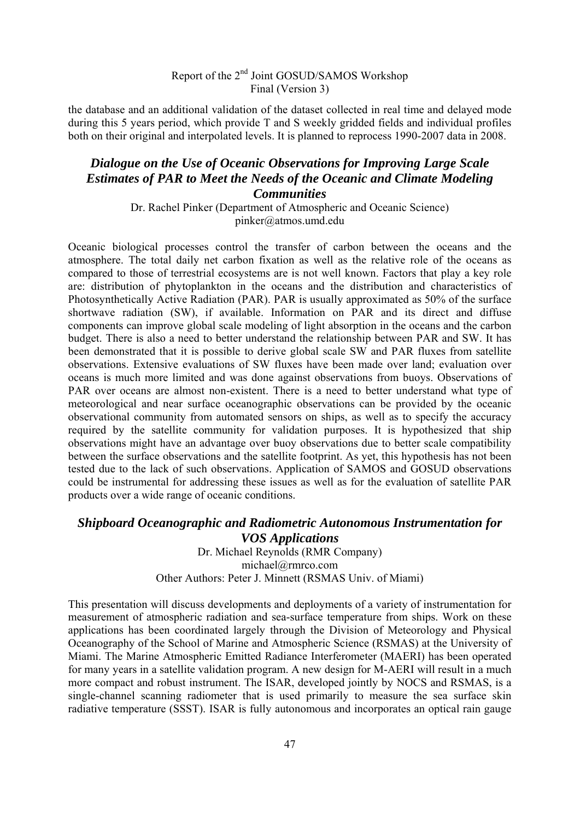the database and an additional validation of the dataset collected in real time and delayed mode during this 5 years period, which provide T and S weekly gridded fields and individual profiles both on their original and interpolated levels. It is planned to reprocess 1990-2007 data in 2008.

#### *Dialogue on the Use of Oceanic Observations for Improving Large Scale Estimates of PAR to Meet the Needs of the Oceanic and Climate Modeling Communities*

Dr. Rachel Pinker (Department of Atmospheric and Oceanic Science) pinker@atmos.umd.edu

Oceanic biological processes control the transfer of carbon between the oceans and the atmosphere. The total daily net carbon fixation as well as the relative role of the oceans as compared to those of terrestrial ecosystems are is not well known. Factors that play a key role are: distribution of phytoplankton in the oceans and the distribution and characteristics of Photosynthetically Active Radiation (PAR). PAR is usually approximated as 50% of the surface shortwave radiation (SW), if available. Information on PAR and its direct and diffuse components can improve global scale modeling of light absorption in the oceans and the carbon budget. There is also a need to better understand the relationship between PAR and SW. It has been demonstrated that it is possible to derive global scale SW and PAR fluxes from satellite observations. Extensive evaluations of SW fluxes have been made over land; evaluation over oceans is much more limited and was done against observations from buoys. Observations of PAR over oceans are almost non-existent. There is a need to better understand what type of meteorological and near surface oceanographic observations can be provided by the oceanic observational community from automated sensors on ships, as well as to specify the accuracy required by the satellite community for validation purposes. It is hypothesized that ship observations might have an advantage over buoy observations due to better scale compatibility between the surface observations and the satellite footprint. As yet, this hypothesis has not been tested due to the lack of such observations. Application of SAMOS and GOSUD observations could be instrumental for addressing these issues as well as for the evaluation of satellite PAR products over a wide range of oceanic conditions.

#### *Shipboard Oceanographic and Radiometric Autonomous Instrumentation for VOS Applications*  Dr. Michael Reynolds (RMR Company) michael@rmrco.com

Other Authors: Peter J. Minnett (RSMAS Univ. of Miami)

This presentation will discuss developments and deployments of a variety of instrumentation for measurement of atmospheric radiation and sea-surface temperature from ships. Work on these applications has been coordinated largely through the Division of Meteorology and Physical Oceanography of the School of Marine and Atmospheric Science (RSMAS) at the University of Miami. The Marine Atmospheric Emitted Radiance Interferometer (MAERI) has been operated for many years in a satellite validation program. A new design for M-AERI will result in a much more compact and robust instrument. The ISAR, developed jointly by NOCS and RSMAS, is a single-channel scanning radiometer that is used primarily to measure the sea surface skin radiative temperature (SSST). ISAR is fully autonomous and incorporates an optical rain gauge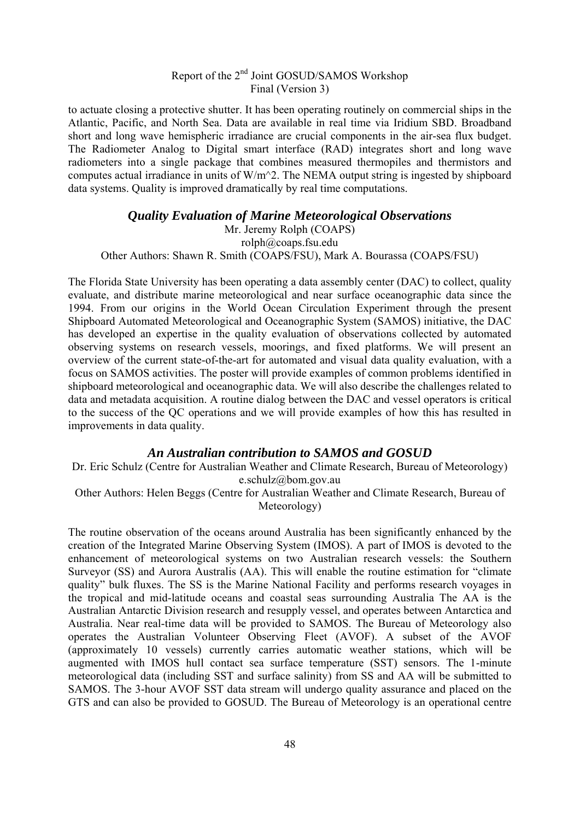to actuate closing a protective shutter. It has been operating routinely on commercial ships in the Atlantic, Pacific, and North Sea. Data are available in real time via Iridium SBD. Broadband short and long wave hemispheric irradiance are crucial components in the air-sea flux budget. The Radiometer Analog to Digital smart interface (RAD) integrates short and long wave radiometers into a single package that combines measured thermopiles and thermistors and computes actual irradiance in units of W/m^2. The NEMA output string is ingested by shipboard data systems. Quality is improved dramatically by real time computations.

#### *Quality Evaluation of Marine Meteorological Observations*

Mr. Jeremy Rolph (COAPS) rolph@coaps.fsu.edu Other Authors: Shawn R. Smith (COAPS/FSU), Mark A. Bourassa (COAPS/FSU)

The Florida State University has been operating a data assembly center (DAC) to collect, quality evaluate, and distribute marine meteorological and near surface oceanographic data since the 1994. From our origins in the World Ocean Circulation Experiment through the present Shipboard Automated Meteorological and Oceanographic System (SAMOS) initiative, the DAC has developed an expertise in the quality evaluation of observations collected by automated observing systems on research vessels, moorings, and fixed platforms. We will present an overview of the current state-of-the-art for automated and visual data quality evaluation, with a focus on SAMOS activities. The poster will provide examples of common problems identified in shipboard meteorological and oceanographic data. We will also describe the challenges related to data and metadata acquisition. A routine dialog between the DAC and vessel operators is critical to the success of the QC operations and we will provide examples of how this has resulted in improvements in data quality.

#### *An Australian contribution to SAMOS and GOSUD*

Dr. Eric Schulz (Centre for Australian Weather and Climate Research, Bureau of Meteorology) e.schulz@bom.gov.au Other Authors: Helen Beggs (Centre for Australian Weather and Climate Research, Bureau of

Meteorology)

The routine observation of the oceans around Australia has been significantly enhanced by the creation of the Integrated Marine Observing System (IMOS). A part of IMOS is devoted to the enhancement of meteorological systems on two Australian research vessels: the Southern Surveyor (SS) and Aurora Australis (AA). This will enable the routine estimation for "climate quality" bulk fluxes. The SS is the Marine National Facility and performs research voyages in the tropical and mid-latitude oceans and coastal seas surrounding Australia The AA is the Australian Antarctic Division research and resupply vessel, and operates between Antarctica and Australia. Near real-time data will be provided to SAMOS. The Bureau of Meteorology also operates the Australian Volunteer Observing Fleet (AVOF). A subset of the AVOF (approximately 10 vessels) currently carries automatic weather stations, which will be augmented with IMOS hull contact sea surface temperature (SST) sensors. The 1-minute meteorological data (including SST and surface salinity) from SS and AA will be submitted to SAMOS. The 3-hour AVOF SST data stream will undergo quality assurance and placed on the GTS and can also be provided to GOSUD. The Bureau of Meteorology is an operational centre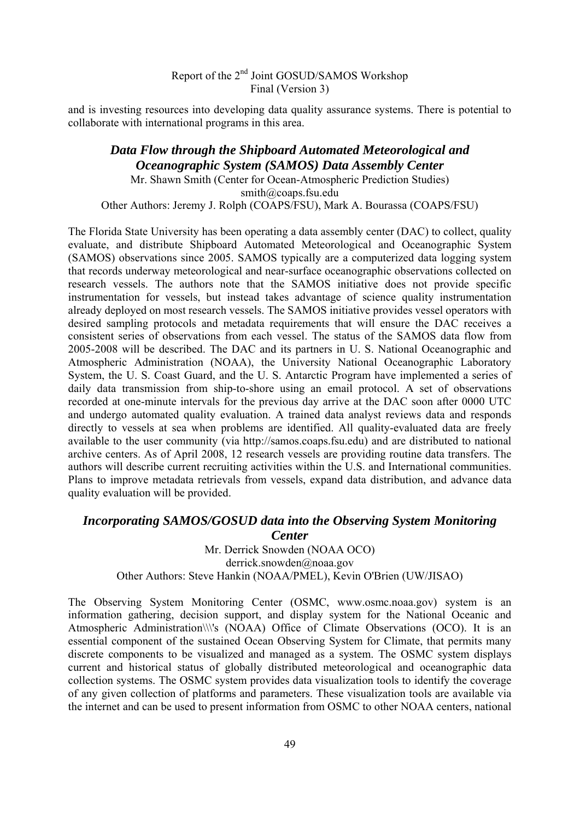and is investing resources into developing data quality assurance systems. There is potential to collaborate with international programs in this area.

*Data Flow through the Shipboard Automated Meteorological and Oceanographic System (SAMOS) Data Assembly Center*  Mr. Shawn Smith (Center for Ocean-Atmospheric Prediction Studies) smith@coaps.fsu.edu Other Authors: Jeremy J. Rolph (COAPS/FSU), Mark A. Bourassa (COAPS/FSU)

The Florida State University has been operating a data assembly center (DAC) to collect, quality evaluate, and distribute Shipboard Automated Meteorological and Oceanographic System (SAMOS) observations since 2005. SAMOS typically are a computerized data logging system that records underway meteorological and near-surface oceanographic observations collected on research vessels. The authors note that the SAMOS initiative does not provide specific instrumentation for vessels, but instead takes advantage of science quality instrumentation already deployed on most research vessels. The SAMOS initiative provides vessel operators with desired sampling protocols and metadata requirements that will ensure the DAC receives a consistent series of observations from each vessel. The status of the SAMOS data flow from 2005-2008 will be described. The DAC and its partners in U. S. National Oceanographic and Atmospheric Administration (NOAA), the University National Oceanographic Laboratory System, the U. S. Coast Guard, and the U. S. Antarctic Program have implemented a series of daily data transmission from ship-to-shore using an email protocol. A set of observations recorded at one-minute intervals for the previous day arrive at the DAC soon after 0000 UTC and undergo automated quality evaluation. A trained data analyst reviews data and responds directly to vessels at sea when problems are identified. All quality-evaluated data are freely available to the user community (via http://samos.coaps.fsu.edu) and are distributed to national archive centers. As of April 2008, 12 research vessels are providing routine data transfers. The authors will describe current recruiting activities within the U.S. and International communities. Plans to improve metadata retrievals from vessels, expand data distribution, and advance data quality evaluation will be provided.

## *Incorporating SAMOS/GOSUD data into the Observing System Monitoring Center*

Mr. Derrick Snowden (NOAA OCO) derrick.snowden@noaa.gov Other Authors: Steve Hankin (NOAA/PMEL), Kevin O'Brien (UW/JISAO)

The Observing System Monitoring Center (OSMC, www.osmc.noaa.gov) system is an information gathering, decision support, and display system for the National Oceanic and Atmospheric Administration\\\'s (NOAA) Office of Climate Observations (OCO). It is an essential component of the sustained Ocean Observing System for Climate, that permits many discrete components to be visualized and managed as a system. The OSMC system displays current and historical status of globally distributed meteorological and oceanographic data collection systems. The OSMC system provides data visualization tools to identify the coverage of any given collection of platforms and parameters. These visualization tools are available via the internet and can be used to present information from OSMC to other NOAA centers, national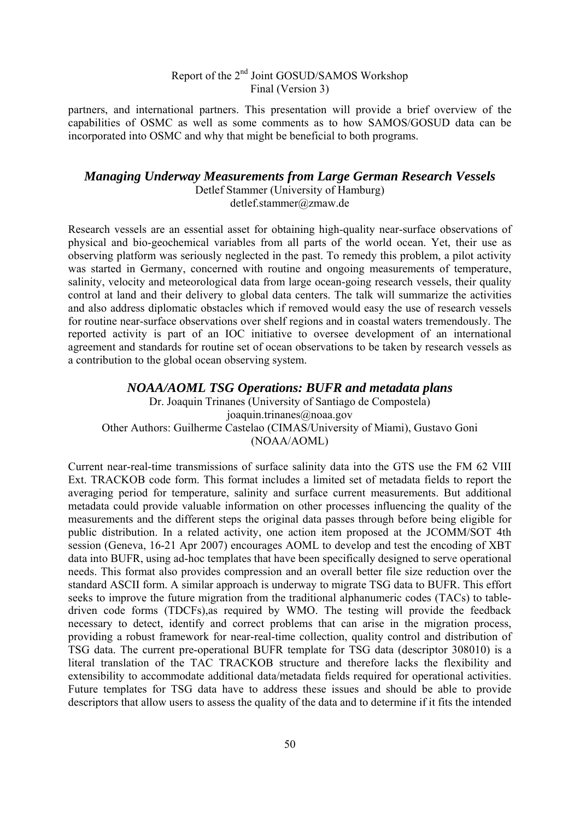partners, and international partners. This presentation will provide a brief overview of the capabilities of OSMC as well as some comments as to how SAMOS/GOSUD data can be incorporated into OSMC and why that might be beneficial to both programs.

### *Managing Underway Measurements from Large German Research Vessels*

Detlef Stammer (University of Hamburg) detlef.stammer@zmaw.de

Research vessels are an essential asset for obtaining high-quality near-surface observations of physical and bio-geochemical variables from all parts of the world ocean. Yet, their use as observing platform was seriously neglected in the past. To remedy this problem, a pilot activity was started in Germany, concerned with routine and ongoing measurements of temperature, salinity, velocity and meteorological data from large ocean-going research vessels, their quality control at land and their delivery to global data centers. The talk will summarize the activities and also address diplomatic obstacles which if removed would easy the use of research vessels for routine near-surface observations over shelf regions and in coastal waters tremendously. The reported activity is part of an IOC initiative to oversee development of an international agreement and standards for routine set of ocean observations to be taken by research vessels as a contribution to the global ocean observing system.

*NOAA/AOML TSG Operations: BUFR and metadata plans*  Dr. Joaquin Trinanes (University of Santiago de Compostela) joaquin.trinanes@noaa.gov Other Authors: Guilherme Castelao (CIMAS/University of Miami), Gustavo Goni (NOAA/AOML)

Current near-real-time transmissions of surface salinity data into the GTS use the FM 62 VIII Ext. TRACKOB code form. This format includes a limited set of metadata fields to report the averaging period for temperature, salinity and surface current measurements. But additional metadata could provide valuable information on other processes influencing the quality of the measurements and the different steps the original data passes through before being eligible for public distribution. In a related activity, one action item proposed at the JCOMM/SOT 4th session (Geneva, 16-21 Apr 2007) encourages AOML to develop and test the encoding of XBT data into BUFR, using ad-hoc templates that have been specifically designed to serve operational needs. This format also provides compression and an overall better file size reduction over the standard ASCII form. A similar approach is underway to migrate TSG data to BUFR. This effort seeks to improve the future migration from the traditional alphanumeric codes (TACs) to tabledriven code forms (TDCFs),as required by WMO. The testing will provide the feedback necessary to detect, identify and correct problems that can arise in the migration process, providing a robust framework for near-real-time collection, quality control and distribution of TSG data. The current pre-operational BUFR template for TSG data (descriptor 308010) is a literal translation of the TAC TRACKOB structure and therefore lacks the flexibility and extensibility to accommodate additional data/metadata fields required for operational activities. Future templates for TSG data have to address these issues and should be able to provide descriptors that allow users to assess the quality of the data and to determine if it fits the intended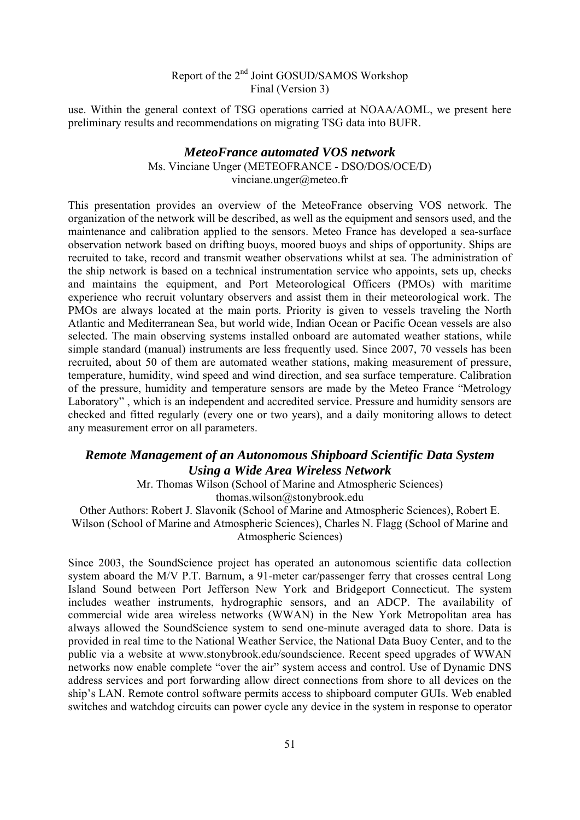use. Within the general context of TSG operations carried at NOAA/AOML, we present here preliminary results and recommendations on migrating TSG data into BUFR.

#### *MeteoFrance automated VOS network*

Ms. Vinciane Unger (METEOFRANCE - DSO/DOS/OCE/D) vinciane.unger@meteo.fr

This presentation provides an overview of the MeteoFrance observing VOS network. The organization of the network will be described, as well as the equipment and sensors used, and the maintenance and calibration applied to the sensors. Meteo France has developed a sea-surface observation network based on drifting buoys, moored buoys and ships of opportunity. Ships are recruited to take, record and transmit weather observations whilst at sea. The administration of the ship network is based on a technical instrumentation service who appoints, sets up, checks and maintains the equipment, and Port Meteorological Officers (PMOs) with maritime experience who recruit voluntary observers and assist them in their meteorological work. The PMOs are always located at the main ports. Priority is given to vessels traveling the North Atlantic and Mediterranean Sea, but world wide, Indian Ocean or Pacific Ocean vessels are also selected. The main observing systems installed onboard are automated weather stations, while simple standard (manual) instruments are less frequently used. Since 2007, 70 vessels has been recruited, about 50 of them are automated weather stations, making measurement of pressure, temperature, humidity, wind speed and wind direction, and sea surface temperature. Calibration of the pressure, humidity and temperature sensors are made by the Meteo France "Metrology Laboratory" , which is an independent and accredited service. Pressure and humidity sensors are checked and fitted regularly (every one or two years), and a daily monitoring allows to detect any measurement error on all parameters.

### *Remote Management of an Autonomous Shipboard Scientific Data System Using a Wide Area Wireless Network*

Mr. Thomas Wilson (School of Marine and Atmospheric Sciences) thomas.wilson@stonybrook.edu

Other Authors: Robert J. Slavonik (School of Marine and Atmospheric Sciences), Robert E. Wilson (School of Marine and Atmospheric Sciences), Charles N. Flagg (School of Marine and Atmospheric Sciences)

Since 2003, the SoundScience project has operated an autonomous scientific data collection system aboard the M/V P.T. Barnum, a 91-meter car/passenger ferry that crosses central Long Island Sound between Port Jefferson New York and Bridgeport Connecticut. The system includes weather instruments, hydrographic sensors, and an ADCP. The availability of commercial wide area wireless networks (WWAN) in the New York Metropolitan area has always allowed the SoundScience system to send one-minute averaged data to shore. Data is provided in real time to the National Weather Service, the National Data Buoy Center, and to the public via a website at www.stonybrook.edu/soundscience. Recent speed upgrades of WWAN networks now enable complete "over the air" system access and control. Use of Dynamic DNS address services and port forwarding allow direct connections from shore to all devices on the ship's LAN. Remote control software permits access to shipboard computer GUIs. Web enabled switches and watchdog circuits can power cycle any device in the system in response to operator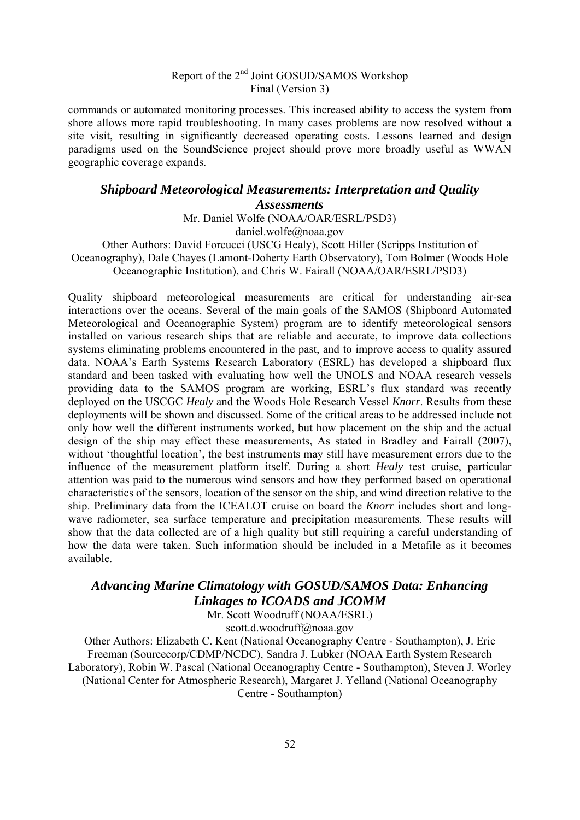commands or automated monitoring processes. This increased ability to access the system from shore allows more rapid troubleshooting. In many cases problems are now resolved without a site visit, resulting in significantly decreased operating costs. Lessons learned and design paradigms used on the SoundScience project should prove more broadly useful as WWAN geographic coverage expands.

#### *Shipboard Meteorological Measurements: Interpretation and Quality Assessments*

Mr. Daniel Wolfe (NOAA/OAR/ESRL/PSD3) daniel.wolfe@noaa.gov

Other Authors: David Forcucci (USCG Healy), Scott Hiller (Scripps Institution of Oceanography), Dale Chayes (Lamont-Doherty Earth Observatory), Tom Bolmer (Woods Hole Oceanographic Institution), and Chris W. Fairall (NOAA/OAR/ESRL/PSD3)

Quality shipboard meteorological measurements are critical for understanding air-sea interactions over the oceans. Several of the main goals of the SAMOS (Shipboard Automated Meteorological and Oceanographic System) program are to identify meteorological sensors installed on various research ships that are reliable and accurate, to improve data collections systems eliminating problems encountered in the past, and to improve access to quality assured data. NOAA's Earth Systems Research Laboratory (ESRL) has developed a shipboard flux standard and been tasked with evaluating how well the UNOLS and NOAA research vessels providing data to the SAMOS program are working, ESRL's flux standard was recently deployed on the USCGC *Healy* and the Woods Hole Research Vessel *Knorr*. Results from these deployments will be shown and discussed. Some of the critical areas to be addressed include not only how well the different instruments worked, but how placement on the ship and the actual design of the ship may effect these measurements, As stated in Bradley and Fairall (2007), without 'thoughtful location', the best instruments may still have measurement errors due to the influence of the measurement platform itself. During a short *Healy* test cruise, particular attention was paid to the numerous wind sensors and how they performed based on operational characteristics of the sensors, location of the sensor on the ship, and wind direction relative to the ship. Preliminary data from the ICEALOT cruise on board the *Knorr* includes short and longwave radiometer, sea surface temperature and precipitation measurements. These results will show that the data collected are of a high quality but still requiring a careful understanding of how the data were taken. Such information should be included in a Metafile as it becomes available.

# *Advancing Marine Climatology with GOSUD/SAMOS Data: Enhancing Linkages to ICOADS and JCOMM*

Mr. Scott Woodruff (NOAA/ESRL) scott.d.woodruff@noaa.gov

Other Authors: Elizabeth C. Kent (National Oceanography Centre - Southampton), J. Eric Freeman (Sourcecorp/CDMP/NCDC), Sandra J. Lubker (NOAA Earth System Research Laboratory), Robin W. Pascal (National Oceanography Centre - Southampton), Steven J. Worley (National Center for Atmospheric Research), Margaret J. Yelland (National Oceanography Centre - Southampton)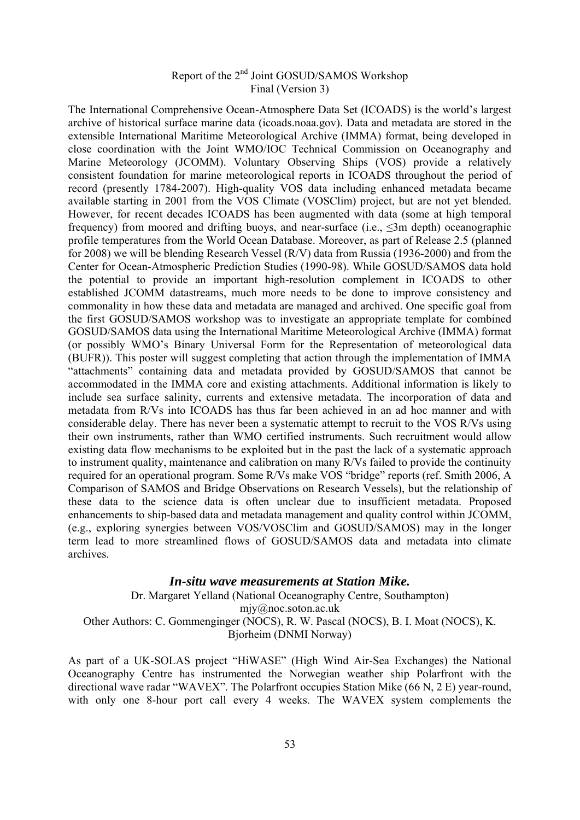The International Comprehensive Ocean-Atmosphere Data Set (ICOADS) is the world's largest archive of historical surface marine data (icoads.noaa.gov). Data and metadata are stored in the extensible International Maritime Meteorological Archive (IMMA) format, being developed in close coordination with the Joint WMO/IOC Technical Commission on Oceanography and Marine Meteorology (JCOMM). Voluntary Observing Ships (VOS) provide a relatively consistent foundation for marine meteorological reports in ICOADS throughout the period of record (presently 1784-2007). High-quality VOS data including enhanced metadata became available starting in 2001 from the VOS Climate (VOSClim) project, but are not yet blended. However, for recent decades ICOADS has been augmented with data (some at high temporal frequency) from moored and drifting buoys, and near-surface (i.e.,  $\leq 3m$  depth) oceanographic profile temperatures from the World Ocean Database. Moreover, as part of Release 2.5 (planned for 2008) we will be blending Research Vessel (R/V) data from Russia (1936-2000) and from the Center for Ocean-Atmospheric Prediction Studies (1990-98). While GOSUD/SAMOS data hold the potential to provide an important high-resolution complement in ICOADS to other established JCOMM datastreams, much more needs to be done to improve consistency and commonality in how these data and metadata are managed and archived. One specific goal from the first GOSUD/SAMOS workshop was to investigate an appropriate template for combined GOSUD/SAMOS data using the International Maritime Meteorological Archive (IMMA) format (or possibly WMO's Binary Universal Form for the Representation of meteorological data (BUFR)). This poster will suggest completing that action through the implementation of IMMA "attachments" containing data and metadata provided by GOSUD/SAMOS that cannot be accommodated in the IMMA core and existing attachments. Additional information is likely to include sea surface salinity, currents and extensive metadata. The incorporation of data and metadata from R/Vs into ICOADS has thus far been achieved in an ad hoc manner and with considerable delay. There has never been a systematic attempt to recruit to the VOS R/Vs using their own instruments, rather than WMO certified instruments. Such recruitment would allow existing data flow mechanisms to be exploited but in the past the lack of a systematic approach to instrument quality, maintenance and calibration on many R/Vs failed to provide the continuity required for an operational program. Some R/Vs make VOS "bridge" reports (ref. Smith 2006, A Comparison of SAMOS and Bridge Observations on Research Vessels), but the relationship of these data to the science data is often unclear due to insufficient metadata. Proposed enhancements to ship-based data and metadata management and quality control within JCOMM, (e.g., exploring synergies between VOS/VOSClim and GOSUD/SAMOS) may in the longer term lead to more streamlined flows of GOSUD/SAMOS data and metadata into climate archives.

#### *In-situ wave measurements at Station Mike.*

Dr. Margaret Yelland (National Oceanography Centre, Southampton) mjy@noc.soton.ac.uk Other Authors: C. Gommenginger (NOCS), R. W. Pascal (NOCS), B. I. Moat (NOCS), K. Bjorheim (DNMI Norway)

As part of a UK-SOLAS project "HiWASE" (High Wind Air-Sea Exchanges) the National Oceanography Centre has instrumented the Norwegian weather ship Polarfront with the directional wave radar "WAVEX". The Polarfront occupies Station Mike (66 N, 2 E) year-round, with only one 8-hour port call every 4 weeks. The WAVEX system complements the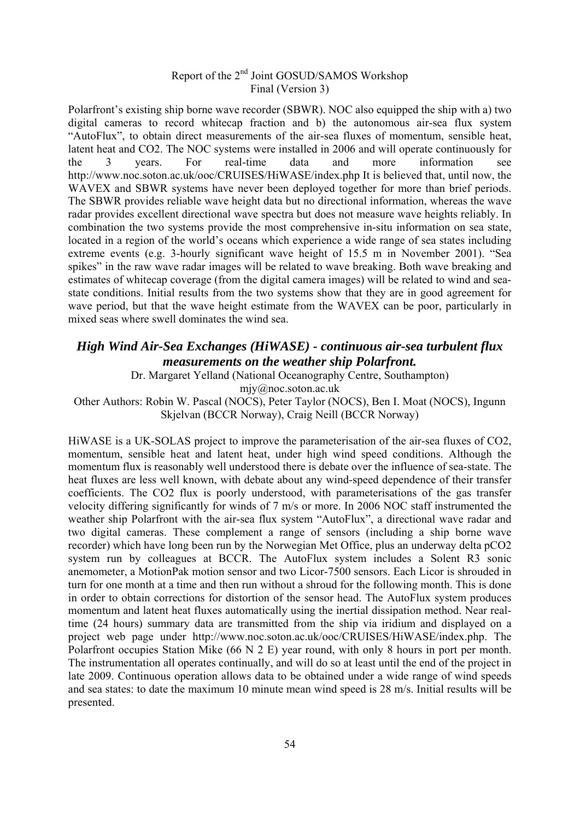Polarfront's existing ship borne wave recorder (SBWR). NOC also equipped the ship with a) two digital cameras to record whitecap fraction and b) the autonomous air-sea flux system "AutoFlux", to obtain direct measurements of the air-sea fluxes of momentum, sensible heat, latent heat and CO2. The NOC systems were installed in 2006 and will operate continuously for the 3 years. For real-time data and more information see http://www.noc.soton.ac.uk/ooc/CRUISES/HiWASE/index.php It is believed that, until now, the WAVEX and SBWR systems have never been deployed together for more than brief periods. The SBWR provides reliable wave height data but no directional information, whereas the wave radar provides excellent directional wave spectra but does not measure wave heights reliably. In combination the two systems provide the most comprehensive in-situ information on sea state, located in a region of the world's oceans which experience a wide range of sea states including extreme events (e.g. 3-hourly significant wave height of 15.5 m in November 2001). "Sea spikes" in the raw wave radar images will be related to wave breaking. Both wave breaking and estimates of whitecap coverage (from the digital camera images) will be related to wind and seastate conditions. Initial results from the two systems show that they are in good agreement for wave period, but that the wave height estimate from the WAVEX can be poor, particularly in mixed seas where swell dominates the wind sea.

### *High Wind Air-Sea Exchanges (HiWASE) - continuous air-sea turbulent flux measurements on the weather ship Polarfront.*

Dr. Margaret Yelland (National Oceanography Centre, Southampton) mjy@noc.soton.ac.uk

Other Authors: Robin W. Pascal (NOCS), Peter Taylor (NOCS), Ben I. Moat (NOCS), Ingunn Skjelvan (BCCR Norway), Craig Neill (BCCR Norway)

HiWASE is a UK-SOLAS project to improve the parameterisation of the air-sea fluxes of CO2, momentum, sensible heat and latent heat, under high wind speed conditions. Although the momentum flux is reasonably well understood there is debate over the influence of sea-state. The heat fluxes are less well known, with debate about any wind-speed dependence of their transfer coefficients. The CO2 flux is poorly understood, with parameterisations of the gas transfer velocity differing significantly for winds of 7 m/s or more. In 2006 NOC staff instrumented the weather ship Polarfront with the air-sea flux system "AutoFlux", a directional wave radar and two digital cameras. These complement a range of sensors (including a ship borne wave recorder) which have long been run by the Norwegian Met Office, plus an underway delta pCO2 system run by colleagues at BCCR. The AutoFlux system includes a Solent R3 sonic anemometer, a MotionPak motion sensor and two Licor-7500 sensors. Each Licor is shrouded in turn for one month at a time and then run without a shroud for the following month. This is done in order to obtain corrections for distortion of the sensor head. The AutoFlux system produces momentum and latent heat fluxes automatically using the inertial dissipation method. Near realtime (24 hours) summary data are transmitted from the ship via iridium and displayed on a project web page under http://www.noc.soton.ac.uk/ooc/CRUISES/HiWASE/index.php. The Polarfront occupies Station Mike (66 N 2 E) year round, with only 8 hours in port per month. The instrumentation all operates continually, and will do so at least until the end of the project in late 2009. Continuous operation allows data to be obtained under a wide range of wind speeds and sea states: to date the maximum 10 minute mean wind speed is 28 m/s. Initial results will be presented.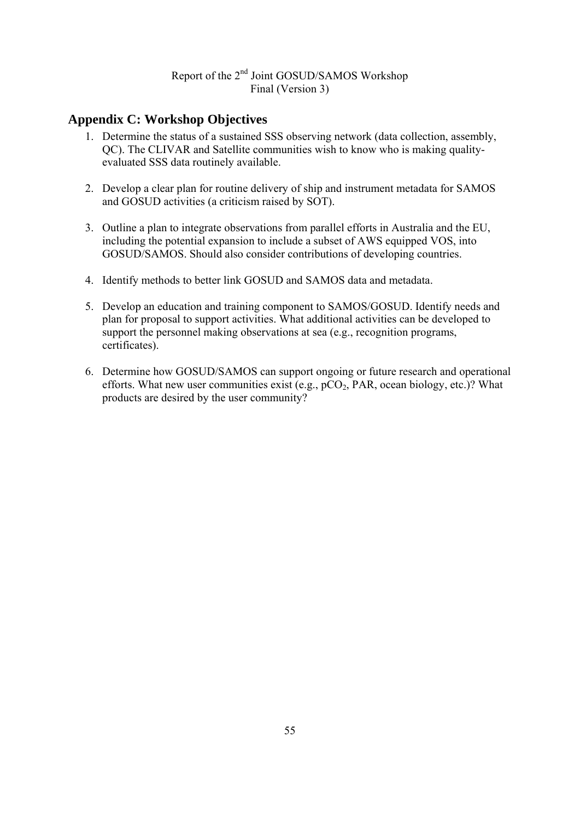### **Appendix C: Workshop Objectives**

- 1. Determine the status of a sustained SSS observing network (data collection, assembly, QC). The CLIVAR and Satellite communities wish to know who is making qualityevaluated SSS data routinely available.
- 2. Develop a clear plan for routine delivery of ship and instrument metadata for SAMOS and GOSUD activities (a criticism raised by SOT).
- 3. Outline a plan to integrate observations from parallel efforts in Australia and the EU, including the potential expansion to include a subset of AWS equipped VOS, into GOSUD/SAMOS. Should also consider contributions of developing countries.
- 4. Identify methods to better link GOSUD and SAMOS data and metadata.
- 5. Develop an education and training component to SAMOS/GOSUD. Identify needs and plan for proposal to support activities. What additional activities can be developed to support the personnel making observations at sea (e.g., recognition programs, certificates).
- 6. Determine how GOSUD/SAMOS can support ongoing or future research and operational efforts. What new user communities exist (e.g.,  $pCO<sub>2</sub>$ , PAR, ocean biology, etc.)? What products are desired by the user community?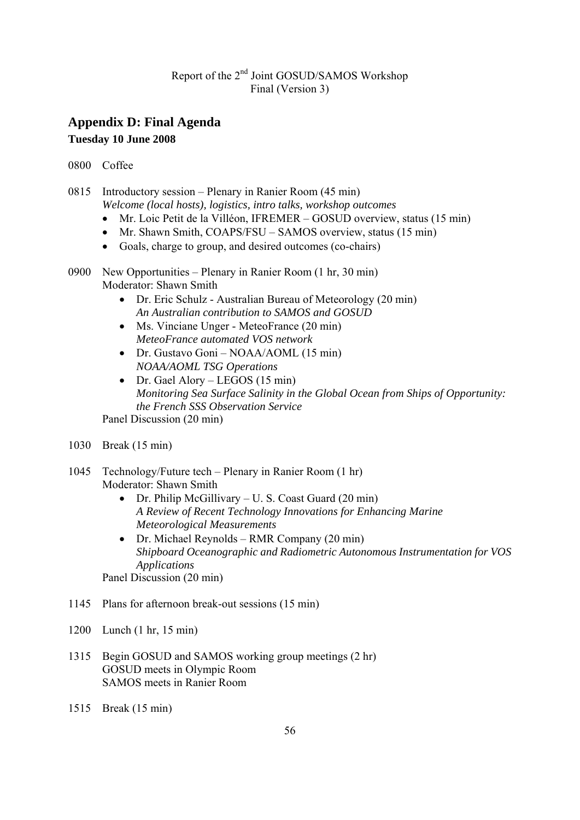### **Appendix D: Final Agenda Tuesday 10 June 2008**

0800 Coffee

0815 Introductory session – Plenary in Ranier Room (45 min) *Welcome (local hosts), logistics, intro talks, workshop outcomes* 

- Mr. Loic Petit de la Villéon, IFREMER GOSUD overview, status (15 min)
- Mr. Shawn Smith, COAPS/FSU SAMOS overview, status (15 min)
- Goals, charge to group, and desired outcomes (co-chairs)
- 0900 New Opportunities Plenary in Ranier Room (1 hr, 30 min) Moderator: Shawn Smith
	- Dr. Eric Schulz Australian Bureau of Meteorology (20 min) *An Australian contribution to SAMOS and GOSUD*
	- Ms. Vinciane Unger MeteoFrance (20 min) *MeteoFrance automated VOS network*
	- Dr. Gustavo Goni NOAA/AOML (15 min) *NOAA/AOML TSG Operations*
	- Dr. Gael Alory LEGOS (15 min) *Monitoring Sea Surface Salinity in the Global Ocean from Ships of Opportunity: the French SSS Observation Service*

Panel Discussion (20 min)

- 1030 Break (15 min)
- 1045 Technology/Future tech Plenary in Ranier Room (1 hr) Moderator: Shawn Smith
	- Dr. Philip McGillivary U. S. Coast Guard (20 min) *A Review of Recent Technology Innovations for Enhancing Marine Meteorological Measurements*
	- Dr. Michael Reynolds RMR Company (20 min) *Shipboard Oceanographic and Radiometric Autonomous Instrumentation for VOS Applications*

Panel Discussion (20 min)

- 1145 Plans for afternoon break-out sessions (15 min)
- 1200 Lunch (1 hr, 15 min)
- 1315 Begin GOSUD and SAMOS working group meetings (2 hr) GOSUD meets in Olympic Room SAMOS meets in Ranier Room
- 1515 Break (15 min)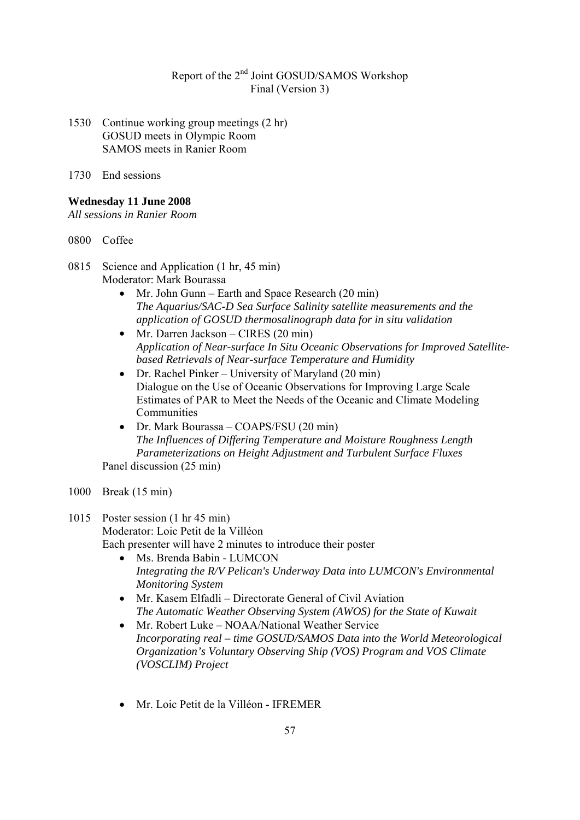- 1530 Continue working group meetings (2 hr) GOSUD meets in Olympic Room SAMOS meets in Ranier Room
- 1730 End sessions

#### **Wednesday 11 June 2008**

*All sessions in Ranier Room* 

- 0800 Coffee
- 0815 Science and Application (1 hr, 45 min) Moderator: Mark Bourassa
	- Mr. John Gunn Earth and Space Research (20 min) *The Aquarius/SAC-D Sea Surface Salinity satellite measurements and the application of GOSUD thermosalinograph data for in situ validation*
	- Mr. Darren Jackson CIRES (20 min) *Application of Near-surface In Situ Oceanic Observations for Improved Satellitebased Retrievals of Near-surface Temperature and Humidity*
	- Dr. Rachel Pinker University of Maryland (20 min) Dialogue on the Use of Oceanic Observations for Improving Large Scale Estimates of PAR to Meet the Needs of the Oceanic and Climate Modeling **Communities**
	- Dr. Mark Bourassa COAPS/FSU (20 min) *The Influences of Differing Temperature and Moisture Roughness Length Parameterizations on Height Adjustment and Turbulent Surface Fluxes*  Panel discussion (25 min)
- 1000 Break (15 min)

#### 1015 Poster session (1 hr 45 min)

Moderator: Loic Petit de la Villéon

Each presenter will have 2 minutes to introduce their poster

- Ms. Brenda Babin LUMCON *Integrating the R/V Pelican's Underway Data into LUMCON's Environmental Monitoring System*
- Mr. Kasem Elfadli Directorate General of Civil Aviation *The Automatic Weather Observing System (AWOS) for the State of Kuwait*
- Mr. Robert Luke NOAA/National Weather Service *Incorporating real – time GOSUD/SAMOS Data into the World Meteorological Organization's Voluntary Observing Ship (VOS) Program and VOS Climate (VOSCLIM) Project*
- Mr. Loic Petit de la Villéon IFREMER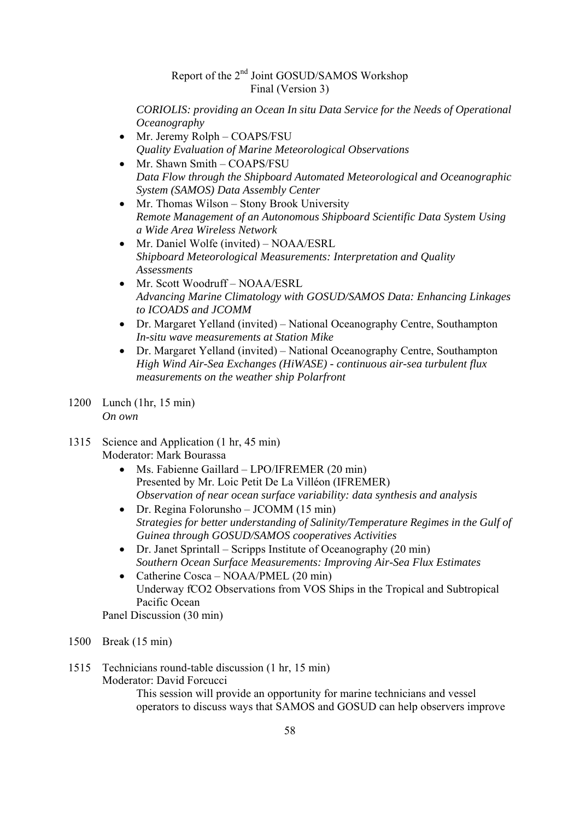*CORIOLIS: providing an Ocean In situ Data Service for the Needs of Operational Oceanography* 

- Mr. Jeremy Rolph COAPS/FSU *Quality Evaluation of Marine Meteorological Observations*
- Mr. Shawn Smith COAPS/FSU *Data Flow through the Shipboard Automated Meteorological and Oceanographic System (SAMOS) Data Assembly Center*
- Mr. Thomas Wilson Stony Brook University *Remote Management of an Autonomous Shipboard Scientific Data System Using a Wide Area Wireless Network*
- Mr. Daniel Wolfe (invited) NOAA/ESRL *Shipboard Meteorological Measurements: Interpretation and Quality Assessments*
- Mr. Scott Woodruff NOAA/ESRL *Advancing Marine Climatology with GOSUD/SAMOS Data: Enhancing Linkages to ICOADS and JCOMM*
- Dr. Margaret Yelland (invited) National Oceanography Centre, Southampton *In-situ wave measurements at Station Mike*
- Dr. Margaret Yelland (invited) National Oceanography Centre, Southampton *High Wind Air-Sea Exchanges (HiWASE) - continuous air-sea turbulent flux measurements on the weather ship Polarfront*
- 1200 Lunch (1hr, 15 min) *On own*
- 1315 Science and Application (1 hr, 45 min) Moderator: Mark Bourassa
	- Ms. Fabienne Gaillard LPO/IFREMER (20 min) Presented by Mr. Loic Petit De La Villéon (IFREMER) *Observation of near ocean surface variability: data synthesis and analysis*
	- Dr. Regina Folorunsho JCOMM (15 min) *Strategies for better understanding of Salinity/Temperature Regimes in the Gulf of Guinea through GOSUD/SAMOS cooperatives Activities*
	- Dr. Janet Sprintall Scripps Institute of Oceanography (20 min) *Southern Ocean Surface Measurements: Improving Air-Sea Flux Estimates*
	- Catherine Cosca NOAA/PMEL (20 min) Underway fCO2 Observations from VOS Ships in the Tropical and Subtropical Pacific Ocean

Panel Discussion (30 min)

- 1500 Break (15 min)
- 1515 Technicians round-table discussion (1 hr, 15 min)

Moderator: David Forcucci

This session will provide an opportunity for marine technicians and vessel operators to discuss ways that SAMOS and GOSUD can help observers improve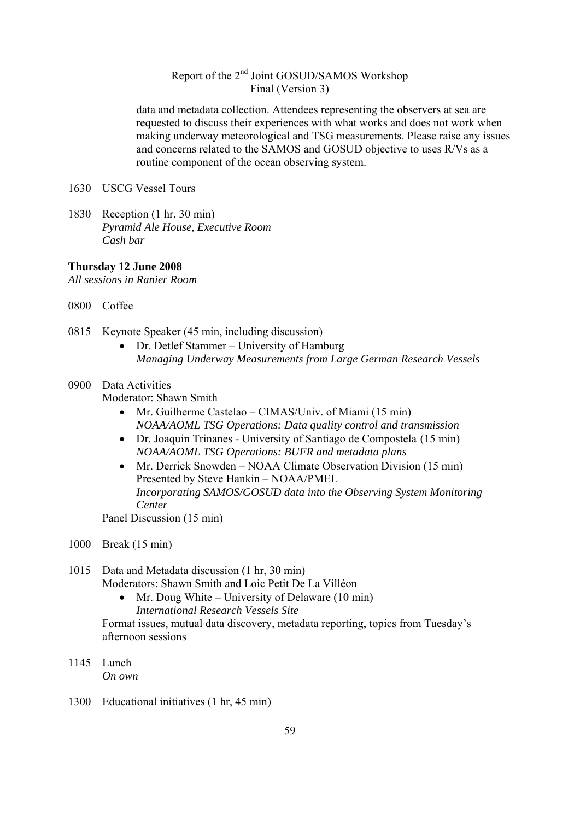data and metadata collection. Attendees representing the observers at sea are requested to discuss their experiences with what works and does not work when making underway meteorological and TSG measurements. Please raise any issues and concerns related to the SAMOS and GOSUD objective to uses R/Vs as a routine component of the ocean observing system.

- 1630 USCG Vessel Tours
- 1830 Reception (1 hr, 30 min) *Pyramid Ale House, Executive Room Cash bar*

#### **Thursday 12 June 2008**

*All sessions in Ranier Room* 

- 0800 Coffee
- 0815 Keynote Speaker (45 min, including discussion)
	- Dr. Detlef Stammer University of Hamburg *Managing Underway Measurements from Large German Research Vessels*

#### 0900 Data Activities

Moderator: Shawn Smith

- Mr. Guilherme Castelao CIMAS/Univ. of Miami (15 min) *NOAA/AOML TSG Operations: Data quality control and transmission*
- Dr. Joaquin Trinanes University of Santiago de Compostela (15 min) *NOAA/AOML TSG Operations: BUFR and metadata plans*
- Mr. Derrick Snowden NOAA Climate Observation Division (15 min) Presented by Steve Hankin – NOAA/PMEL *Incorporating SAMOS/GOSUD data into the Observing System Monitoring Center*

Panel Discussion (15 min)

- 1000 Break (15 min)
- 1015 Data and Metadata discussion (1 hr, 30 min) Moderators: Shawn Smith and Loic Petit De La Villéon
	- Mr. Doug White University of Delaware (10 min) *International Research Vessels Site*

Format issues, mutual data discovery, metadata reporting, topics from Tuesday's afternoon sessions

- 1145 Lunch *On own*
- 1300 Educational initiatives (1 hr, 45 min)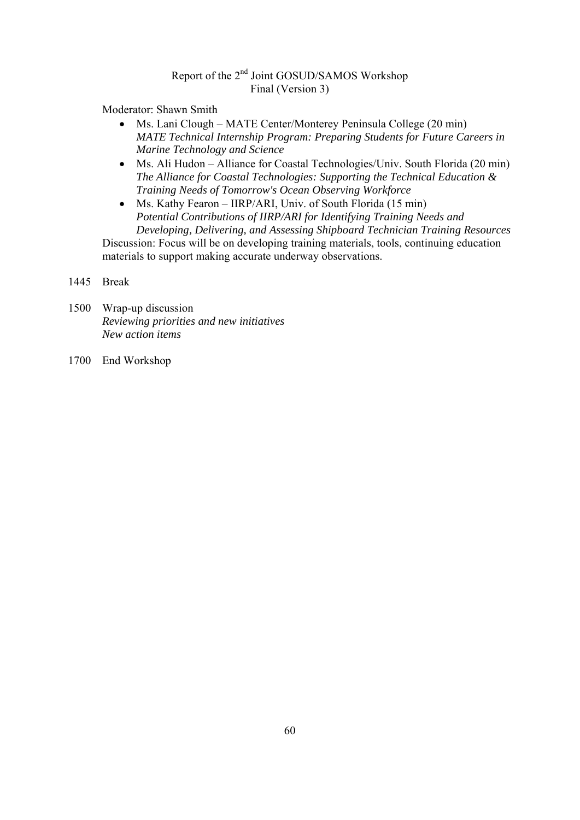Moderator: Shawn Smith

- Ms. Lani Clough MATE Center/Monterey Peninsula College (20 min) *MATE Technical Internship Program: Preparing Students for Future Careers in Marine Technology and Science*
- Ms. Ali Hudon Alliance for Coastal Technologies/Univ. South Florida (20 min) *The Alliance for Coastal Technologies: Supporting the Technical Education & Training Needs of Tomorrow's Ocean Observing Workforce*
- Ms. Kathy Fearon IIRP/ARI, Univ. of South Florida (15 min) *Potential Contributions of IIRP/ARI for Identifying Training Needs and Developing, Delivering, and Assessing Shipboard Technician Training Resources*

Discussion: Focus will be on developing training materials, tools, continuing education materials to support making accurate underway observations.

#### 1445 Break

- 1500 Wrap-up discussion  *Reviewing priorities and new initiatives New action items*
- 1700 End Workshop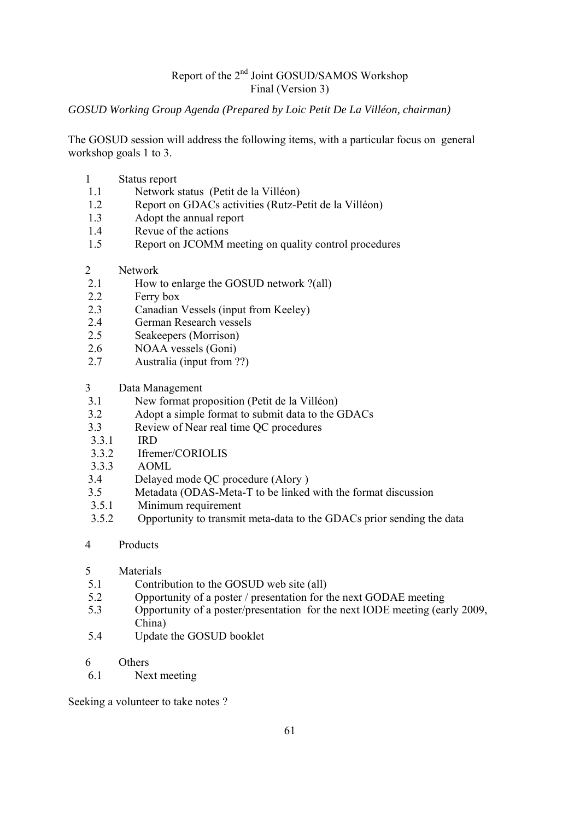#### *GOSUD Working Group Agenda (Prepared by Loic Petit De La Villéon, chairman)*

The GOSUD session will address the following items, with a particular focus on general workshop goals 1 to 3.

- 1 Status report
- 1.1 Network status (Petit de la Villéon)
- 1.2 Report on GDACs activities (Rutz-Petit de la Villéon)
- 1.3 Adopt the annual report
- 1.4 Revue of the actions
- 1.5 Report on JCOMM meeting on quality control procedures
- 2 Network
- 2.1 How to enlarge the GOSUD network ?(all)
- 2.2 Ferry box
- 2.3 Canadian Vessels (input from Keeley)
- 2.4 German Research vessels
- 2.5 Seakeepers (Morrison)
- 2.6 NOAA vessels (Goni)
- 2.7 Australia (input from ??)
- 3 Data Management
- 3.1 New format proposition (Petit de la Villéon)
- 3.2 Adopt a simple format to submit data to the GDACs
- 3.3 Review of Near real time QC procedures
- 3.3.1 IRD
- 3.3.2 Ifremer/CORIOLIS
- 3.3.3 AOML
- 3.4 Delayed mode QC procedure (Alory )
- 3.5 Metadata (ODAS-Meta-T to be linked with the format discussion
- 3.5.1 Minimum requirement
- 3.5.2 Opportunity to transmit meta-data to the GDACs prior sending the data
- 4 Products

#### 5 Materials

- 5.1 Contribution to the GOSUD web site (all)
- 5.2 Opportunity of a poster / presentation for the next GODAE meeting
- 5.3 Opportunity of a poster/presentation for the next IODE meeting (early 2009, China)
- 5.4 Update the GOSUD booklet
- 6 Others
- 6.1 Next meeting

Seeking a volunteer to take notes ?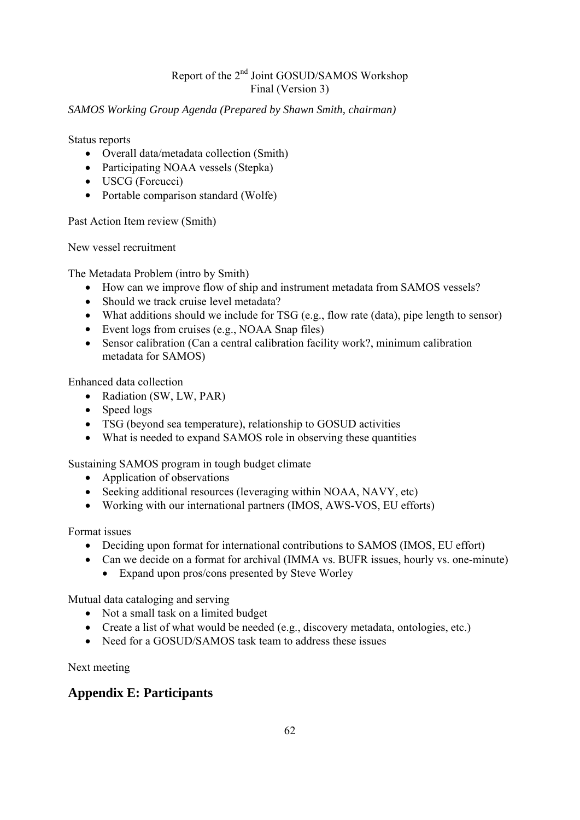#### *SAMOS Working Group Agenda (Prepared by Shawn Smith, chairman)*

Status reports

- Overall data/metadata collection (Smith)
- Participating NOAA vessels (Stepka)
- USCG (Forcucci)
- Portable comparison standard (Wolfe)

Past Action Item review (Smith)

New vessel recruitment

The Metadata Problem (intro by Smith)

- How can we improve flow of ship and instrument metadata from SAMOS vessels?
- Should we track cruise level metadata?
- What additions should we include for TSG (e.g., flow rate (data), pipe length to sensor)
- Event logs from cruises (e.g., NOAA Snap files)
- Sensor calibration (Can a central calibration facility work?, minimum calibration metadata for SAMOS)

Enhanced data collection

- Radiation (SW, LW, PAR)
- Speed logs
- TSG (beyond sea temperature), relationship to GOSUD activities
- What is needed to expand SAMOS role in observing these quantities

Sustaining SAMOS program in tough budget climate

- Application of observations
- Seeking additional resources (leveraging within NOAA, NAVY, etc)
- Working with our international partners (IMOS, AWS-VOS, EU efforts)

Format issues

- Deciding upon format for international contributions to SAMOS (IMOS, EU effort)
- Can we decide on a format for archival (IMMA vs. BUFR issues, hourly vs. one-minute)
	- Expand upon pros/cons presented by Steve Worley

Mutual data cataloging and serving

- Not a small task on a limited budget
- Create a list of what would be needed (e.g., discovery metadata, ontologies, etc.)
- Need for a GOSUD/SAMOS task team to address these issues

Next meeting

### **Appendix E: Participants**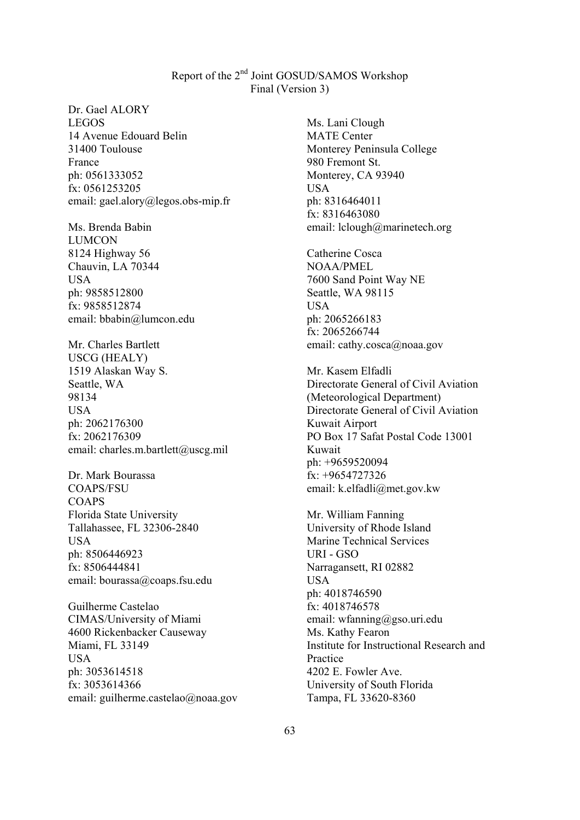Dr. Gael ALORY LEGOS 14 Avenue Edouard Belin 31400 Toulouse France ph: 0561333052 fx: 0561253205 email: gael.alory@legos.obs-mip.fr

Ms. Brenda Babin LUMCON 8124 Highway 56 Chauvin, LA 70344 USA ph: 9858512800 fx: 9858512874 email: bbabin@lumcon.edu

Mr. Charles Bartlett USCG (HEALY) 1519 Alaskan Way S. Seattle, WA 98134 USA ph: 2062176300 fx: 2062176309 email: charles.m.bartlett@uscg.mil

Dr. Mark Bourassa COAPS/FSU **COAPS** Florida State University Tallahassee, FL 32306-2840 USA ph: 8506446923 fx: 8506444841 email: bourassa@coaps.fsu.edu

Guilherme Castelao CIMAS/University of Miami 4600 Rickenbacker Causeway Miami, FL 33149 USA ph: 3053614518 fx: 3053614366 email: guilherme.castelao@noaa.gov

Ms. Lani Clough MATE Center Monterey Peninsula College 980 Fremont St. Monterey, CA 93940 USA ph: 8316464011 fx: 8316463080 email: lclough@marinetech.org

Catherine Cosca NOAA/PMEL 7600 Sand Point Way NE Seattle, WA 98115 **USA** ph: 2065266183 fx: 2065266744 email: cathy.cosca@noaa.gov

Mr. Kasem Elfadli Directorate General of Civil Aviation (Meteorological Department) Directorate General of Civil Aviation Kuwait Airport PO Box 17 Safat Postal Code 13001 Kuwait ph: +9659520094 fx: +9654727326 email: k.elfadli@met.gov.kw

Mr. William Fanning University of Rhode Island Marine Technical Services URI - GSO Narragansett, RI 02882 USA ph: 4018746590 fx: 4018746578 email: wfanning@gso.uri.edu Ms. Kathy Fearon Institute for Instructional Research and Practice 4202 E. Fowler Ave. University of South Florida Tampa, FL 33620-8360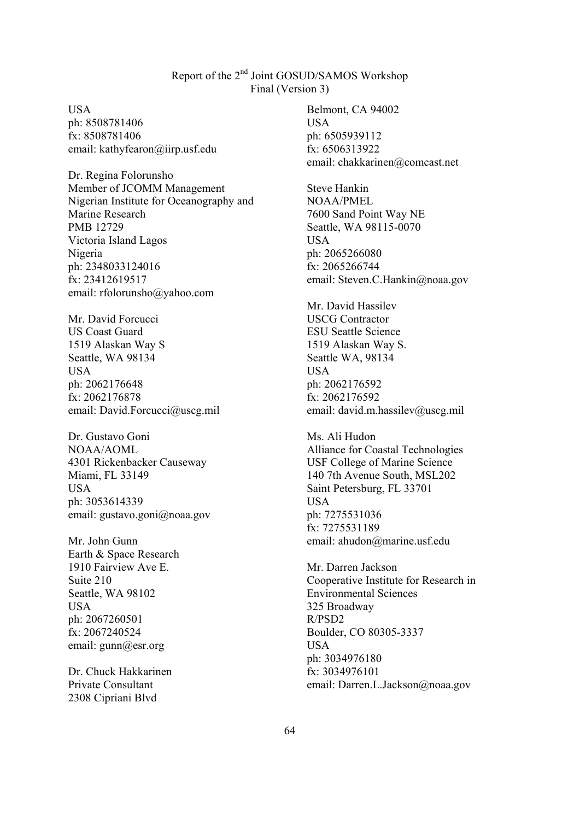USA ph: 8508781406 fx: 8508781406 email: kathyfearon@iirp.usf.edu

Dr. Regina Folorunsho Member of JCOMM Management Nigerian Institute for Oceanography and Marine Research PMB 12729 Victoria Island Lagos Nigeria ph: 2348033124016 fx: 23412619517 email: rfolorunsho@yahoo.com

Mr. David Forcucci US Coast Guard 1519 Alaskan Way S Seattle, WA 98134 **USA** ph: 2062176648 fx: 2062176878 email: David.Forcucci@uscg.mil

Dr. Gustavo Goni NOAA/AOML 4301 Rickenbacker Causeway Miami, FL 33149 USA ph: 3053614339 email: gustavo.goni@noaa.gov

Mr. John Gunn Earth & Space Research 1910 Fairview Ave E. Suite 210 Seattle, WA 98102 USA ph: 2067260501 fx: 2067240524 email: gunn@esr.org

Dr. Chuck Hakkarinen Private Consultant 2308 Cipriani Blvd

Belmont, CA 94002 USA ph: 6505939112 fx: 6506313922 email: chakkarinen@comcast.net

Steve Hankin NOAA/PMEL 7600 Sand Point Way NE Seattle, WA 98115-0070 USA ph: 2065266080 fx: 2065266744 email: Steven.C.Hankin@noaa.gov

Mr. David Hassilev USCG Contractor ESU Seattle Science 1519 Alaskan Way S. Seattle WA, 98134 **USA** ph: 2062176592 fx: 2062176592 email: david.m.hassilev@uscg.mil

Ms. Ali Hudon Alliance for Coastal Technologies USF College of Marine Science 140 7th Avenue South, MSL202 Saint Petersburg, FL 33701 USA ph: 7275531036 fx: 7275531189 email: ahudon@marine.usf.edu

Mr. Darren Jackson Cooperative Institute for Research in Environmental Sciences 325 Broadway R/PSD2 Boulder, CO 80305-3337 USA ph: 3034976180 fx: 3034976101 email: Darren.L.Jackson@noaa.gov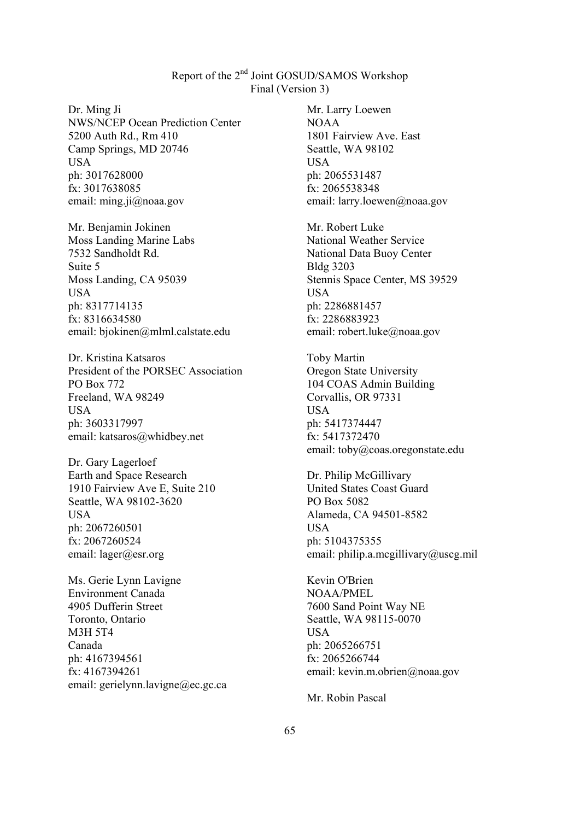Dr. Ming Ji NWS/NCEP Ocean Prediction Center 5200 Auth Rd., Rm 410 Camp Springs, MD 20746 USA ph: 3017628000 fx: 3017638085 email: ming.ji@noaa.gov

Mr. Benjamin Jokinen Moss Landing Marine Labs 7532 Sandholdt Rd. Suite 5 Moss Landing, CA 95039 USA ph: 8317714135 fx: 8316634580 email: bjokinen@mlml.calstate.edu

Dr. Kristina Katsaros President of the PORSEC Association PO Box 772 Freeland, WA 98249 USA ph: 3603317997 email: katsaros@whidbey.net

Dr. Gary Lagerloef Earth and Space Research 1910 Fairview Ave E, Suite 210 Seattle, WA 98102-3620 USA ph: 2067260501 fx: 2067260524 email: lager@esr.org

Ms. Gerie Lynn Lavigne Environment Canada 4905 Dufferin Street Toronto, Ontario M3H 5T4 Canada ph: 4167394561 fx: 4167394261 email: gerielynn.lavigne@ec.gc.ca Mr. Larry Loewen NOAA 1801 Fairview Ave. East Seattle, WA 98102 USA ph: 2065531487 fx: 2065538348 email: larry.loewen@noaa.gov

Mr. Robert Luke National Weather Service National Data Buoy Center Bldg 3203 Stennis Space Center, MS 39529 USA ph: 2286881457 fx: 2286883923 email: robert.luke@noaa.gov

Toby Martin Oregon State University 104 COAS Admin Building Corvallis, OR 97331 USA ph: 5417374447 fx: 5417372470 email: toby@coas.oregonstate.edu

Dr. Philip McGillivary United States Coast Guard PO Box 5082 Alameda, CA 94501-8582 USA ph: 5104375355 email: philip.a.mcgillivary@uscg.mil

Kevin O'Brien NOAA/PMEL 7600 Sand Point Way NE Seattle, WA 98115-0070 **USA** ph: 2065266751 fx: 2065266744 email: kevin.m.obrien@noaa.gov

Mr. Robin Pascal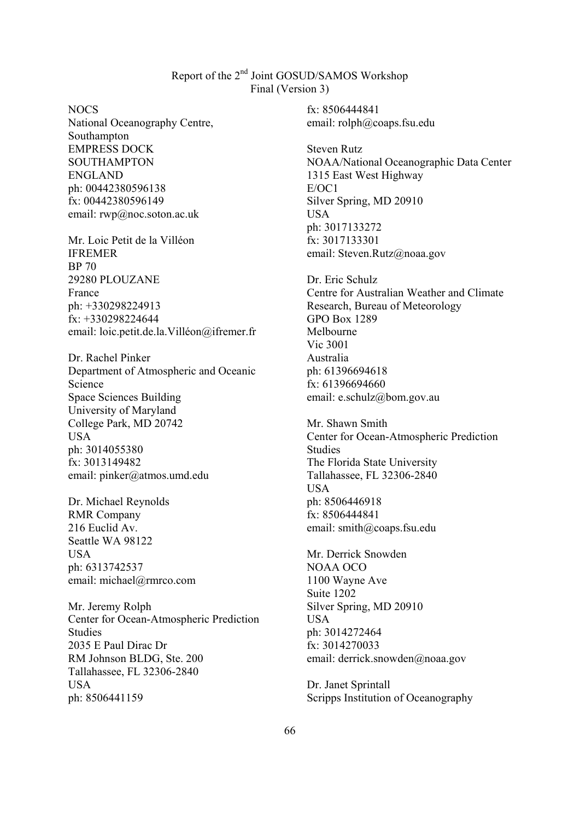NOCS

National Oceanography Centre, Southampton EMPRESS DOCK SOUTHAMPTON ENGLAND ph: 00442380596138 fx: 00442380596149 email: rwp@noc.soton.ac.uk

Mr. Loic Petit de la Villéon IFREMER BP 70 29280 PLOUZANE France ph: +330298224913 fx: +330298224644 email: loic.petit.de.la.Villéon@ifremer.fr

Dr. Rachel Pinker Department of Atmospheric and Oceanic Science Space Sciences Building University of Maryland College Park, MD 20742 USA ph: 3014055380 fx: 3013149482 email: pinker@atmos.umd.edu

Dr. Michael Reynolds RMR Company 216 Euclid Av. Seattle WA 98122 USA ph: 6313742537 email: michael@rmrco.com

Mr. Jeremy Rolph Center for Ocean-Atmospheric Prediction **Studies** 2035 E Paul Dirac Dr RM Johnson BLDG, Ste. 200 Tallahassee, FL 32306-2840 USA ph: 8506441159

fx: 8506444841 email: rolph@coaps.fsu.edu

Steven Rutz NOAA/National Oceanographic Data Center 1315 East West Highway E/OC1 Silver Spring, MD 20910 USA ph: 3017133272 fx: 3017133301 email: Steven.Rutz@noaa.gov

Dr. Eric Schulz Centre for Australian Weather and Climate Research, Bureau of Meteorology GPO Box 1289 Melbourne Vic 3001 Australia ph: 61396694618 fx: 61396694660 email: e.schulz@bom.gov.au

Mr. Shawn Smith Center for Ocean-Atmospheric Prediction Studies The Florida State University Tallahassee, FL 32306-2840 USA ph: 8506446918 fx: 8506444841 email: smith@coaps.fsu.edu

Mr. Derrick Snowden NOAA OCO 1100 Wayne Ave Suite 1202 Silver Spring, MD 20910 USA ph: 3014272464 fx: 3014270033 email: derrick.snowden@noaa.gov

Dr. Janet Sprintall Scripps Institution of Oceanography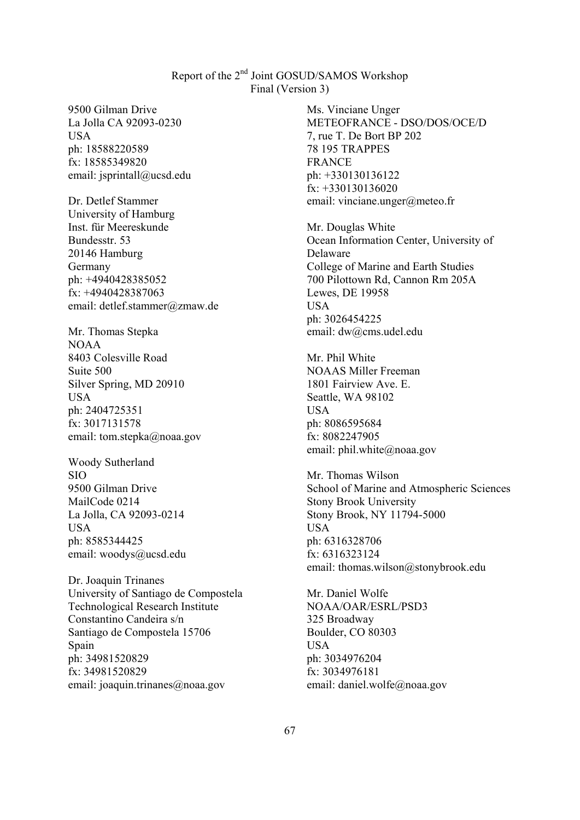9500 Gilman Drive La Jolla CA 92093-0230 USA ph: 18588220589 fx: 18585349820 email: jsprintall@ucsd.edu

Dr. Detlef Stammer University of Hamburg Inst. für Meereskunde Bundesstr. 53 20146 Hamburg Germany ph: +4940428385052 fx: +4940428387063 email: detlef.stammer@zmaw.de

Mr. Thomas Stepka NOAA 8403 Colesville Road Suite 500 Silver Spring, MD 20910 USA ph: 2404725351 fx: 3017131578 email: tom.stepka@noaa.gov

Woody Sutherland SIO 9500 Gilman Drive MailCode 0214 La Jolla, CA 92093-0214 USA ph: 8585344425 email: woodys@ucsd.edu

Dr. Joaquin Trinanes University of Santiago de Compostela Technological Research Institute Constantino Candeira s/n Santiago de Compostela 15706 Spain ph: 34981520829 fx: 34981520829 email: joaquin.trinanes@noaa.gov

Ms. Vinciane Unger METEOFRANCE - DSO/DOS/OCE/D 7, rue T. De Bort BP 202 78 195 TRAPPES FRANCE ph: +330130136122 fx: +330130136020 email: vinciane.unger@meteo.fr

Mr. Douglas White Ocean Information Center, University of Delaware College of Marine and Earth Studies 700 Pilottown Rd, Cannon Rm 205A Lewes, DE 19958 **USA** ph: 3026454225 email: dw@cms.udel.edu

Mr. Phil White NOAAS Miller Freeman 1801 Fairview Ave. E. Seattle, WA 98102 USA ph: 8086595684 fx: 8082247905 email: phil.white@noaa.gov

Mr. Thomas Wilson School of Marine and Atmospheric Sciences Stony Brook University Stony Brook, NY 11794-5000 USA ph: 6316328706 fx: 6316323124 email: thomas.wilson@stonybrook.edu

Mr. Daniel Wolfe NOAA/OAR/ESRL/PSD3 325 Broadway Boulder, CO 80303 USA ph: 3034976204 fx: 3034976181 email: daniel.wolfe@noaa.gov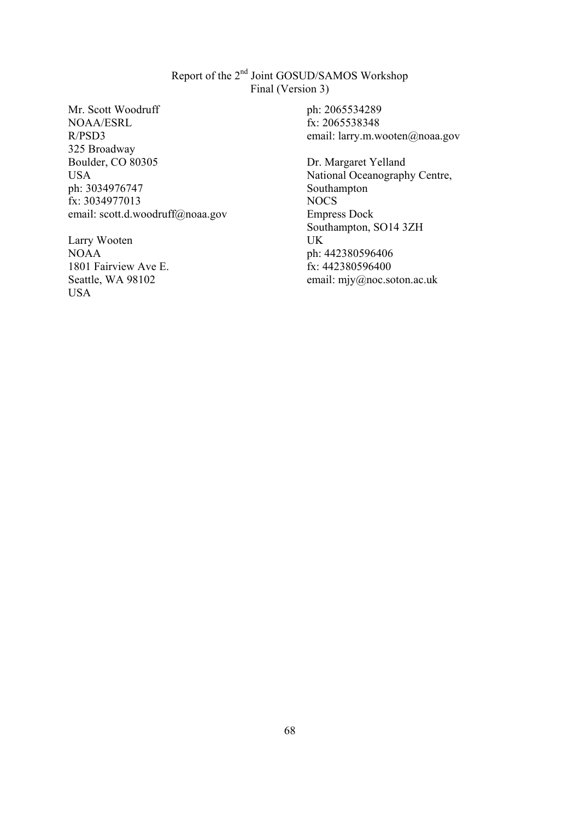Mr. Scott Woodruff NOAA/ESRL R/PSD3 325 Broadway Boulder, CO 80305 USA ph: 3034976747 fx: 3034977013 email: scott.d.woodruff@noaa.gov

Larry Wooten NOAA 1801 Fairview Ave E. Seattle, WA 98102 USA

ph: 2065534289 fx: 2065538348 email: larry.m.wooten@noaa.gov

Dr. Margaret Yelland National Oceanography Centre, Southampton NOCS Empress Dock Southampton, SO14 3ZH UK ph: 442380596406 fx: 442380596400 email: mjy@noc.soton.ac.uk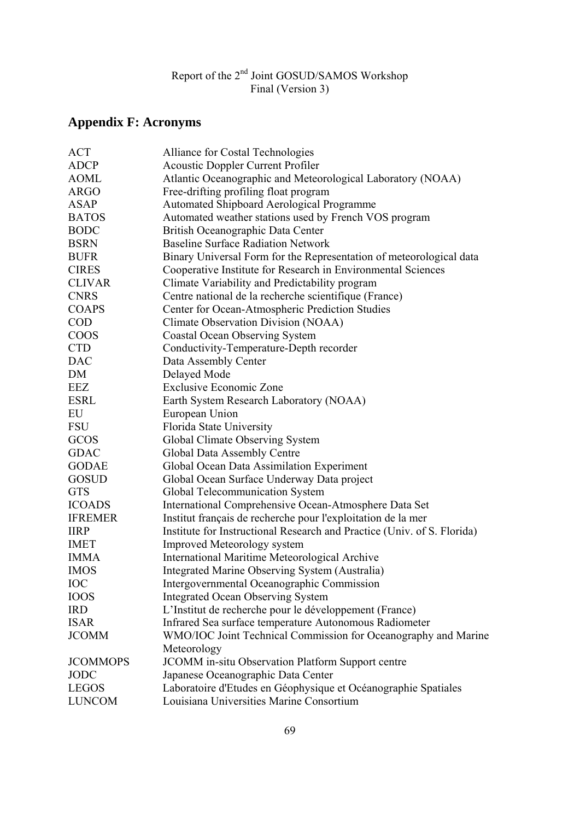# **Appendix F: Acronyms**

| <b>ACT</b>      | Alliance for Costal Technologies                                        |
|-----------------|-------------------------------------------------------------------------|
| <b>ADCP</b>     | <b>Acoustic Doppler Current Profiler</b>                                |
| <b>AOML</b>     | Atlantic Oceanographic and Meteorological Laboratory (NOAA)             |
| <b>ARGO</b>     | Free-drifting profiling float program                                   |
| ASAP            | <b>Automated Shipboard Aerological Programme</b>                        |
| <b>BATOS</b>    | Automated weather stations used by French VOS program                   |
| <b>BODC</b>     | British Oceanographic Data Center                                       |
| <b>BSRN</b>     | <b>Baseline Surface Radiation Network</b>                               |
| <b>BUFR</b>     | Binary Universal Form for the Representation of meteorological data     |
| <b>CIRES</b>    | Cooperative Institute for Research in Environmental Sciences            |
| <b>CLIVAR</b>   | Climate Variability and Predictability program                          |
| <b>CNRS</b>     | Centre national de la recherche scientifique (France)                   |
| <b>COAPS</b>    | Center for Ocean-Atmospheric Prediction Studies                         |
| <b>COD</b>      | Climate Observation Division (NOAA)                                     |
| <b>COOS</b>     | <b>Coastal Ocean Observing System</b>                                   |
| <b>CTD</b>      | Conductivity-Temperature-Depth recorder                                 |
| <b>DAC</b>      | Data Assembly Center                                                    |
| DM              | Delayed Mode                                                            |
| EEZ             | <b>Exclusive Economic Zone</b>                                          |
| <b>ESRL</b>     | Earth System Research Laboratory (NOAA)                                 |
| EU              | European Union                                                          |
| <b>FSU</b>      | Florida State University                                                |
| GCOS            | Global Climate Observing System                                         |
| <b>GDAC</b>     | Global Data Assembly Centre                                             |
| <b>GODAE</b>    | Global Ocean Data Assimilation Experiment                               |
| <b>GOSUD</b>    | Global Ocean Surface Underway Data project                              |
| <b>GTS</b>      | Global Telecommunication System                                         |
| <b>ICOADS</b>   | International Comprehensive Ocean-Atmosphere Data Set                   |
| <b>IFREMER</b>  | Institut français de recherche pour l'exploitation de la mer            |
| <b>IIRP</b>     | Institute for Instructional Research and Practice (Univ. of S. Florida) |
| <b>IMET</b>     | <b>Improved Meteorology system</b>                                      |
| <b>IMMA</b>     | International Maritime Meteorological Archive                           |
| <b>IMOS</b>     | Integrated Marine Observing System (Australia)                          |
| <b>IOC</b>      | Intergovernmental Oceanographic Commission                              |
| <b>IOOS</b>     | <b>Integrated Ocean Observing System</b>                                |
| <b>IRD</b>      | L'Institut de recherche pour le développement (France)                  |
| <b>ISAR</b>     | Infrared Sea surface temperature Autonomous Radiometer                  |
| <b>JCOMM</b>    | WMO/IOC Joint Technical Commission for Oceanography and Marine          |
|                 | Meteorology                                                             |
| <b>JCOMMOPS</b> | <b>JCOMM</b> in-situ Observation Platform Support centre                |
| <b>JODC</b>     | Japanese Oceanographic Data Center                                      |
| <b>LEGOS</b>    | Laboratoire d'Etudes en Géophysique et Océanographie Spatiales          |
| <b>LUNCOM</b>   | Louisiana Universities Marine Consortium                                |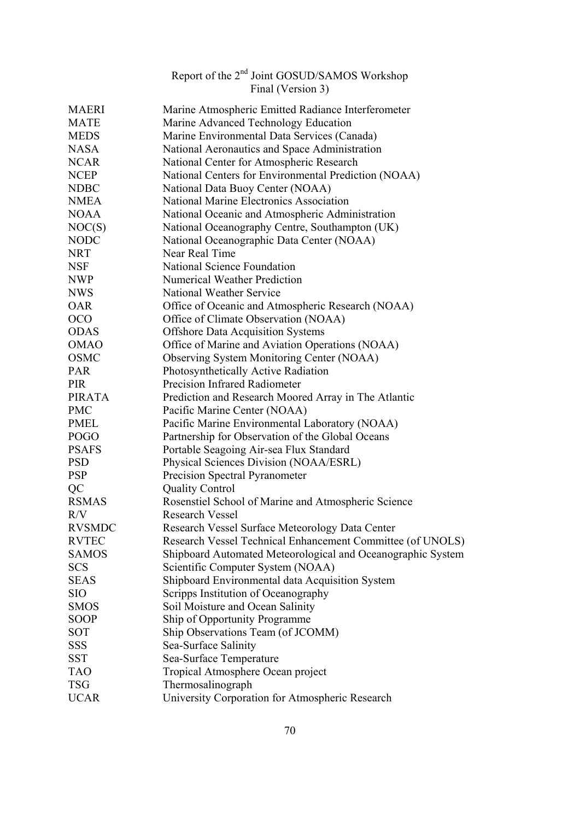|               | Final (Version 3)                                           |
|---------------|-------------------------------------------------------------|
| <b>MAERI</b>  | Marine Atmospheric Emitted Radiance Interferometer          |
| <b>MATE</b>   | Marine Advanced Technology Education                        |
| <b>MEDS</b>   | Marine Environmental Data Services (Canada)                 |
| <b>NASA</b>   | National Aeronautics and Space Administration               |
| <b>NCAR</b>   | National Center for Atmospheric Research                    |
| <b>NCEP</b>   | National Centers for Environmental Prediction (NOAA)        |
| <b>NDBC</b>   | National Data Buoy Center (NOAA)                            |
| <b>NMEA</b>   | National Marine Electronics Association                     |
| <b>NOAA</b>   | National Oceanic and Atmospheric Administration             |
| NOC(S)        | National Oceanography Centre, Southampton (UK)              |
| <b>NODC</b>   | National Oceanographic Data Center (NOAA)                   |
| <b>NRT</b>    | Near Real Time                                              |
| <b>NSF</b>    | National Science Foundation                                 |
| <b>NWP</b>    | <b>Numerical Weather Prediction</b>                         |
| <b>NWS</b>    | National Weather Service                                    |
| <b>OAR</b>    | Office of Oceanic and Atmospheric Research (NOAA)           |
| <b>OCO</b>    | Office of Climate Observation (NOAA)                        |
| <b>ODAS</b>   | <b>Offshore Data Acquisition Systems</b>                    |
| <b>OMAO</b>   | Office of Marine and Aviation Operations (NOAA)             |
| <b>OSMC</b>   | Observing System Monitoring Center (NOAA)                   |
| <b>PAR</b>    | Photosynthetically Active Radiation                         |
| <b>PIR</b>    | Precision Infrared Radiometer                               |
| <b>PIRATA</b> | Prediction and Research Moored Array in The Atlantic        |
| <b>PMC</b>    | Pacific Marine Center (NOAA)                                |
| <b>PMEL</b>   | Pacific Marine Environmental Laboratory (NOAA)              |
| <b>POGO</b>   | Partnership for Observation of the Global Oceans            |
| <b>PSAFS</b>  | Portable Seagoing Air-sea Flux Standard                     |
| <b>PSD</b>    | Physical Sciences Division (NOAA/ESRL)                      |
| <b>PSP</b>    | Precision Spectral Pyranometer                              |
| QC            | <b>Quality Control</b>                                      |
| <b>RSMAS</b>  | Rosenstiel School of Marine and Atmospheric Science         |
| R/V           | <b>Research Vessel</b>                                      |
| <b>RVSMDC</b> | Research Vessel Surface Meteorology Data Center             |
| <b>RVTEC</b>  | Research Vessel Technical Enhancement Committee (of UNOLS)  |
| <b>SAMOS</b>  | Shipboard Automated Meteorological and Oceanographic System |
| <b>SCS</b>    | Scientific Computer System (NOAA)                           |
| <b>SEAS</b>   | Shipboard Environmental data Acquisition System             |
| <b>SIO</b>    | Scripps Institution of Oceanography                         |
| <b>SMOS</b>   | Soil Moisture and Ocean Salinity                            |
| <b>SOOP</b>   | Ship of Opportunity Programme                               |
| <b>SOT</b>    | Ship Observations Team (of JCOMM)                           |
| SSS           | Sea-Surface Salinity                                        |
| <b>SST</b>    | Sea-Surface Temperature                                     |
| <b>TAO</b>    | Tropical Atmosphere Ocean project                           |
| <b>TSG</b>    | Thermosalinograph                                           |
| <b>UCAR</b>   | University Corporation for Atmospheric Research             |

Report of the 2<sup>nd</sup> Joint GOSUD/SAMOS Workshop